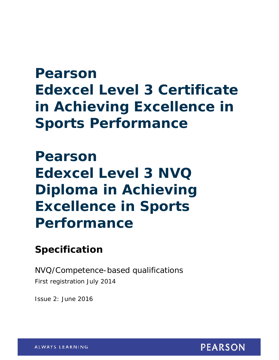# **Pearson Edexcel Level 3 Certificate in Achieving Excellence in Sports Performance**

# **Pearson Edexcel Level 3 NVQ Diploma in Achieving Excellence in Sports Performance**

## **Specification**

NVQ/Competence-based qualifications First registration July 2014

Issue 2: June 2016

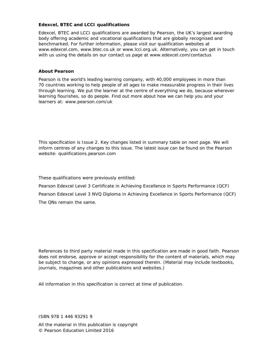#### **Edexcel, BTEC and LCCI qualifications**

Edexcel, BTEC and LCCI qualifications are awarded by Pearson, the UK's largest awarding body offering academic and vocational qualifications that are globally recognised and benchmarked. For further information, please visit our qualification websites at www.edexcel.com, www.btec.co.uk or www.lcci.org.uk. Alternatively, you can get in touch with us using the details on our contact us page at www.edexcel.com/contactus

#### **About Pearson**

Pearson is the world's leading learning company, with 40,000 employees in more than 70 countries working to help people of all ages to make measurable progress in their lives through learning. We put the learner at the centre of everything we do, because wherever learning flourishes, so do people. Find out more about how we can help you and your learners at: www.pearson.com/uk

This specification is Issue 2. Key changes listed in summary table on next page. We will inform centres of any changes to this issue. The latest issue can be found on the Pearson website: qualifications.pearson.com

These qualifications were previously entitled:

Pearson Edexcel Level 3 Certificate in Achieving Excellence in Sports Performance (QCF) Pearson Edexcel Level 3 NVQ Diploma in Achieving Excellence in Sports Performance (QCF) The QNs remain the same.

*References to third party material made in this specification are made in good faith. Pearson does not endorse, approve or accept responsibility for the content of materials, which may be subject to change, or any opinions expressed therein. (Material may include textbooks, journals, magazines and other publications and websites.)* 

*All information in this specification is correct at time of publication.*

ISBN 978 1 446 93291 9

All the material in this publication is copyright © Pearson Education Limited 2016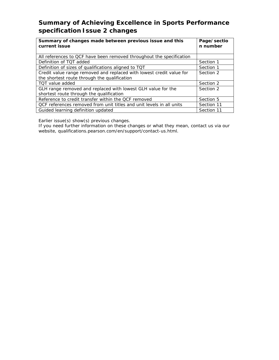### **Summary of Achieving Excellence in Sports Performance specification Issue 2 changes**

| Summary of changes made between previous issue and this<br>current issue | Page/sectio<br>n number |  |
|--------------------------------------------------------------------------|-------------------------|--|
| All references to QCF have been removed throughout the specification     |                         |  |
| Definition of TQT added                                                  | Section 1               |  |
| Definition of sizes of qualifications aligned to TQT                     | Section 1               |  |
| Credit value range removed and replaced with lowest credit value for     | Section 2               |  |
| the shortest route through the qualification                             |                         |  |
| TOT value added                                                          | Section 2               |  |
| GLH range removed and replaced with lowest GLH value for the             | Section 2               |  |
| shortest route through the qualification                                 |                         |  |
| Reference to credit transfer within the QCF removed                      | Section 5               |  |
| QCF references removed from unit titles and unit levels in all units     | Section 11              |  |
| Guided learning definition updated                                       | Section 11              |  |

Earlier issue(s) show(s) previous changes.

If you need further information on these changes or what they mean, contact us via our website, qualifications.pearson.com/en/support/contact-us.html.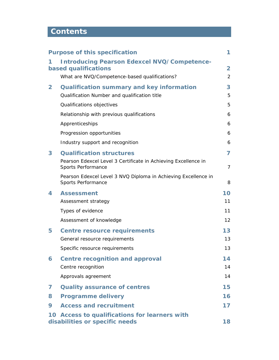## **Contents**

|                | <b>Purpose of this specification</b>                                                 | 1              |
|----------------|--------------------------------------------------------------------------------------|----------------|
| 1              | <b>Introducing Pearson Edexcel NVQ/Competence-</b><br>based qualifications           | $\overline{2}$ |
|                | What are NVQ/Competence-based qualifications?                                        | $\overline{2}$ |
| $\overline{2}$ | <b>Qualification summary and key information</b>                                     | 3              |
|                | Qualification Number and qualification title                                         | 5              |
|                | Qualifications objectives                                                            | 5              |
|                | Relationship with previous qualifications                                            | 6              |
|                | Apprenticeships                                                                      | 6              |
|                | Progression opportunities                                                            | 6              |
|                | Industry support and recognition                                                     | 6              |
| 3              | <b>Qualification structures</b>                                                      | $\overline{7}$ |
|                | Pearson Edexcel Level 3 Certificate in Achieving Excellence in<br>Sports Performance | $\overline{7}$ |
|                | Pearson Edexcel Level 3 NVQ Diploma in Achieving Excellence in<br>Sports Performance | 8              |
| 4              | <b>Assessment</b>                                                                    | 10             |
|                | Assessment strategy                                                                  | 11             |
|                | Types of evidence                                                                    | 11             |
|                | Assessment of knowledge                                                              | 12             |
| 5              | <b>Centre resource requirements</b>                                                  | 13             |
|                | General resource requirements                                                        | 13             |
|                | Specific resource requirements                                                       | 13             |
| 6              | <b>Centre recognition and approval</b>                                               | 14             |
|                | Centre recognition                                                                   | 14             |
|                | Approvals agreement                                                                  | 14             |
| 7              | <b>Quality assurance of centres</b>                                                  | 15             |
| 8              | <b>Programme delivery</b>                                                            | 16             |
| 9              | <b>Access and recruitment</b>                                                        | 17             |
|                | 10 Access to qualifications for learners with<br>disabilities or specific needs      | 18             |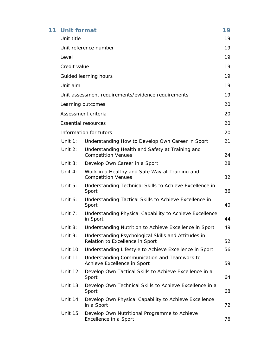| 11 <sub>1</sub> | <b>Unit format</b>    |                                                                                        | 19 |  |  |
|-----------------|-----------------------|----------------------------------------------------------------------------------------|----|--|--|
|                 | Unit title            |                                                                                        |    |  |  |
|                 | Unit reference number |                                                                                        |    |  |  |
|                 | Level                 |                                                                                        |    |  |  |
|                 | Credit value          |                                                                                        | 19 |  |  |
|                 |                       | Guided learning hours                                                                  | 19 |  |  |
|                 | Unit aim              |                                                                                        | 19 |  |  |
|                 |                       | Unit assessment requirements/evidence requirements                                     | 19 |  |  |
|                 |                       | Learning outcomes                                                                      | 20 |  |  |
|                 |                       | Assessment criteria                                                                    | 20 |  |  |
|                 |                       | <b>Essential resources</b>                                                             | 20 |  |  |
|                 |                       | Information for tutors                                                                 | 20 |  |  |
|                 | Unit $1$ :            | Understanding How to Develop Own Career in Sport                                       | 21 |  |  |
|                 | Unit $2:$             | Understanding Health and Safety at Training and<br><b>Competition Venues</b>           | 24 |  |  |
|                 | Unit $3:$             | Develop Own Career in a Sport                                                          | 28 |  |  |
|                 | Unit $4:$             | Work in a Healthy and Safe Way at Training and<br><b>Competition Venues</b>            | 32 |  |  |
|                 | Unit $5:$             | Understanding Technical Skills to Achieve Excellence in<br>Sport                       | 36 |  |  |
|                 | Unit 6:               | Understanding Tactical Skills to Achieve Excellence in<br>Sport                        | 40 |  |  |
|                 | Unit $7:$             | Understanding Physical Capability to Achieve Excellence<br>in Sport                    | 44 |  |  |
|                 | Unit $8:$             | Understanding Nutrition to Achieve Excellence in Sport                                 | 49 |  |  |
|                 | Unit 9:               | Understanding Psychological Skills and Attitudes in<br>Relation to Excellence in Sport | 52 |  |  |
|                 | Unit 10:              | Understanding Lifestyle to Achieve Excellence in Sport                                 | 56 |  |  |
|                 | Unit 11:              | Understanding Communication and Teamwork to<br>Achieve Excellence in Sport             | 59 |  |  |
|                 | Unit 12:              | Develop Own Tactical Skills to Achieve Excellence in a<br>Sport                        | 64 |  |  |
|                 | Unit 13:              | Develop Own Technical Skills to Achieve Excellence in a<br>Sport                       | 68 |  |  |
|                 | Unit 14:              | Develop Own Physical Capability to Achieve Excellence<br>in a Sport                    | 72 |  |  |
|                 | Unit 15:              | Develop Own Nutritional Programme to Achieve<br>Excellence in a Sport                  | 76 |  |  |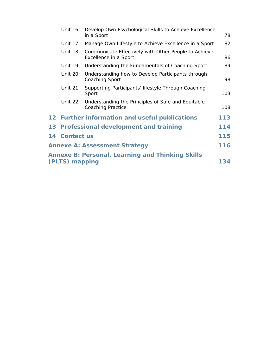| Unit 16:       | Develop Own Psychological Skills to Achieve Excellence<br>in a Sport           | 78  |
|----------------|--------------------------------------------------------------------------------|-----|
| Unit 17:       | Manage Own Lifestyle to Achieve Excellence in a Sport                          | 82  |
| Unit 18:       | Communicate Effectively with Other People to Achieve<br>Excellence in a Sport  | 86  |
|                | Unit 19: Understanding the Fundamentals of Coaching Sport                      | 89  |
| Unit 20:       | Understanding how to Develop Participants through<br>Coaching Sport            | 98  |
| Unit $21$ :    | Supporting Participants' lifestyle Through Coaching<br>Sport                   | 103 |
| Unit 22        | Understanding the Principles of Safe and Equitable<br><b>Coaching Practice</b> | 108 |
|                | 12 Further information and useful publications                                 | 113 |
|                | 13 Professional development and training                                       | 114 |
| 14 Contact us  |                                                                                | 115 |
|                | <b>Annexe A: Assessment Strategy</b>                                           | 116 |
|                | <b>Annexe B: Personal, Learning and Thinking Skills</b>                        |     |
| (PLTS) mapping |                                                                                | 134 |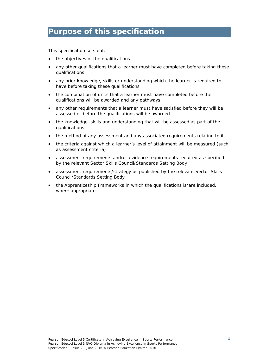### **Purpose of this specification**

This specification sets out:

- the objectives of the qualifications
- any other qualifications that a learner must have completed before taking these qualifications
- any prior knowledge, skills or understanding which the learner is required to have before taking these qualifications
- the combination of units that a learner must have completed before the qualifications will be awarded and any pathways
- any other requirements that a learner must have satisfied before they will be assessed or before the qualifications will be awarded
- the knowledge, skills and understanding that will be assessed as part of the qualifications
- the method of any assessment and any associated requirements relating to it
- the criteria against which a learner's level of attainment will be measured (such as assessment criteria)
- assessment requirements and/or evidence requirements required as specified by the relevant Sector Skills Council/Standards Setting Body
- assessment requirements/strategy as published by the relevant Sector Skills Council/Standards Setting Body
- the Apprenticeship Frameworks in which the qualifications is/are included, where appropriate.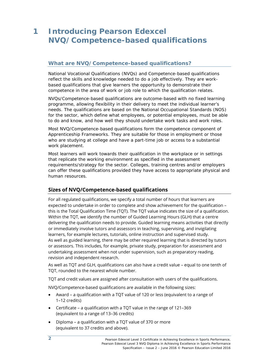### **1 Introducing Pearson Edexcel NVQ/Competence-based qualifications**

### **What are NVQ/Competence-based qualifications?**

National Vocational Qualifications (NVQs) and Competence-based qualifications reflect the skills and knowledge needed to do a job effectively. They are workbased qualifications that give learners the opportunity to demonstrate their competence in the area of work or job role to which the qualification relates.

NVQs/Competence-based qualifications are outcome-based with no fixed learning programme, allowing flexibility in their delivery to meet the individual learner's needs. The qualifications are based on the National Occupational Standards (NOS) for the sector, which define what employees, or potential employees, must be able to do and know, and how well they should undertake work tasks and work roles.

Most NVQ/Competence-based qualifications form the competence component of Apprenticeship Frameworks. They are suitable for those in employment or those who are studying at college and have a part-time job or access to a substantial work placement.

Most learners will work towards their qualification in the workplace or in settings that replicate the working environment as specified in the assessment requirements/strategy for the sector. Colleges, training centres and/or employers can offer these qualifications provided they have access to appropriate physical and human resources.

### **Sizes of NVQ/Competence-based qualifications**

For all regulated qualifications, we specify a total number of hours that learners are expected to undertake in order to complete and show achievement for the qualification – this is the Total Qualification Time (TQT). The TQT value indicates the size of a qualification. Within the TQT, we identify the number of Guided Learning Hours (GLH) that a centre delivering the qualification needs to provide. Guided learning means activities that directly or immediately involve tutors and assessors in teaching, supervising, and invigilating learners, for example lectures, tutorials, online instruction and supervised study. As well as guided learning, there may be other required learning that is directed by tutors or assessors. This includes, for example, private study, preparation for assessment and undertaking assessment when not under supervision, such as preparatory reading, revision and independent research.

As well as TQT and GLH, qualifications can also have a credit value – equal to one tenth of TQT, rounded to the nearest whole number.

TQT and credit values are assigned after consultation with users of the qualifications.

NVQ/Competence-based qualifications are available in the following sizes:

- Award a qualification with a TQT value of 120 or less (equivalent to a range of 1–12 credits)
- Certificate a qualification with a TQT value in the range of 121–369 (equivalent to a range of 13–36 credits)
- Diploma a qualification with a TQT value of 370 or more (equivalent to 37 credits and above).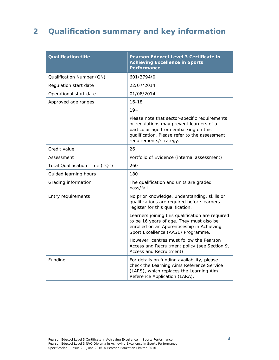### **2 Qualification summary and key information**

| <b>Qualification title</b>     | Pearson Edexcel Level 3 Certificate in<br><b>Achieving Excellence in Sports</b><br>Performance                                                                                                                |
|--------------------------------|---------------------------------------------------------------------------------------------------------------------------------------------------------------------------------------------------------------|
| Qualification Number (QN)      | 601/3794/0                                                                                                                                                                                                    |
| Regulation start date          | 22/07/2014                                                                                                                                                                                                    |
| Operational start date         | 01/08/2014                                                                                                                                                                                                    |
| Approved age ranges            | $16 - 18$                                                                                                                                                                                                     |
|                                | $19+$                                                                                                                                                                                                         |
|                                | Please note that sector-specific requirements<br>or regulations may prevent learners of a<br>particular age from embarking on this<br>qualification. Please refer to the assessment<br>requirements/strategy. |
| Credit value                   | 26                                                                                                                                                                                                            |
| Assessment                     | Portfolio of Evidence (internal assessment)                                                                                                                                                                   |
| Total Qualification Time (TQT) | 260                                                                                                                                                                                                           |
| Guided learning hours          | 180                                                                                                                                                                                                           |
| Grading information            | The qualification and units are graded<br>pass/fail.                                                                                                                                                          |
| Entry requirements             | No prior knowledge, understanding, skills or<br>qualifications are required before learners<br>register for this qualification.                                                                               |
|                                | Learners joining this qualification are required<br>to be 16 years of age. They must also be<br>enrolled on an Apprenticeship in Achieving<br>Sport Excellence (AASE) Programme.                              |
|                                | However, centres must follow the Pearson<br>Access and Recruitment policy (see Section 9,<br>Access and Recruitment).                                                                                         |
| Funding                        | For details on funding availability, please<br>check the Learning Aims Reference Service<br>(LARS), which replaces the Learning Aim<br>Reference Application (LARA).                                          |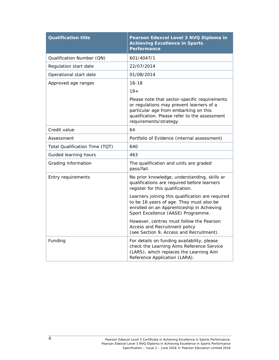| <b>Qualification title</b>     | Pearson Edexcel Level 3 NVQ Diploma in<br><b>Achieving Excellence in Sports</b><br>Performance                                                                                                                |
|--------------------------------|---------------------------------------------------------------------------------------------------------------------------------------------------------------------------------------------------------------|
| Qualification Number (QN)      | 601/4047/1                                                                                                                                                                                                    |
| Regulation start date          | 22/07/2014                                                                                                                                                                                                    |
| Operational start date         | 01/08/2014                                                                                                                                                                                                    |
| Approved age ranges            | $16 - 18$                                                                                                                                                                                                     |
|                                | $19+$                                                                                                                                                                                                         |
|                                | Please note that sector-specific requirements<br>or regulations may prevent learners of a<br>particular age from embarking on this<br>qualification. Please refer to the assessment<br>requirements/strategy. |
| Credit value                   | 64                                                                                                                                                                                                            |
| Assessment                     | Portfolio of Evidence (internal assessment)                                                                                                                                                                   |
| Total Qualification Time (TQT) | 640                                                                                                                                                                                                           |
| Guided learning hours          | 463                                                                                                                                                                                                           |
| Grading information            | The qualification and units are graded<br>pass/fail.                                                                                                                                                          |
| Entry requirements             | No prior knowledge, understanding, skills or<br>qualifications are required before learners<br>register for this qualification.                                                                               |
|                                | Learners joining this qualification are required<br>to be 16 years of age. They must also be<br>enrolled on an Apprenticeship in Achieving<br>Sport Excellence (AASE) Programme.                              |
|                                | However, centres must follow the Pearson<br>Access and Recruitment policy<br>(see Section 9, Access and Recruitment).                                                                                         |
| Funding                        | For details on funding availability, please<br>check the Learning Aims Reference Service<br>(LARS), which replaces the Learning Aim<br>Reference Application (LARA).                                          |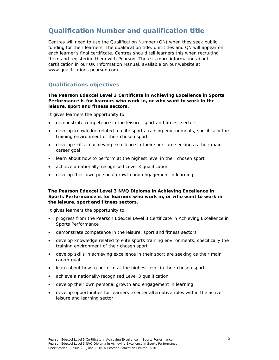### **Qualification Number and qualification title**

Centres will need to use the Qualification Number (QN) when they seek public funding for their learners. The qualification title, unit titles and QN will appear on each learner's final certificate. Centres should tell learners this when recruiting them and registering them with Pearson. There is more information about certification in our *UK Information Manual,* available on our website at www.qualifications.pearson.com

### **Qualifications objectives**

#### **The Pearson Edexcel Level 3 Certificate in Achieving Excellence in Sports Performance is for learners who work in, or who want to work in the leisure, sport and fitness sectors.**

It gives learners the opportunity to:

- demonstrate competence in the leisure, sport and fitness sectors
- develop knowledge related to elite sports training environments, specifically the training environment of their chosen sport
- develop skills in achieving excellence in their sport are seeking as their main career goal
- learn about how to perform at the highest level in their chosen sport
- achieve a nationally-recognised Level 3 qualification
- develop their own personal growth and engagement in learning

#### **The Pearson Edexcel Level 3 NVQ Diploma in Achieving Excellence in Sports Performance is for learners who work in, or who want to work in the leisure, sport and fitness sectors.**

It gives learners the opportunity to:

- progress from the Pearson Edexcel Level 3 Certificate in Achieving Excellence in Sports Performance
- demonstrate competence in the leisure, sport and fitness sectors
- develop knowledge related to elite sports training environments, specifically the training environment of their chosen sport
- develop skills in achieving excellence in their sport are seeking as their main career goal
- learn about how to perform at the highest level in their chosen sport
- achieve a nationally-recognised Level 3 qualification
- develop their own personal growth and engagement in learning
- develop opportunities for learners to enter alternative roles within the active leisure and learning sector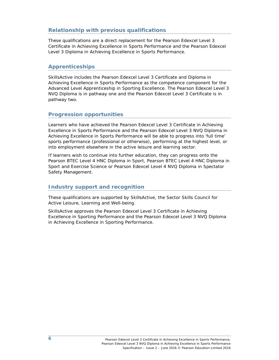### **Relationship with previous qualifications**

These qualifications are a direct replacement for the Pearson Edexcel Level 3 Certificate in Achieving Excellence in Sports Performance and the Pearson Edexcel Level 3 Diploma in Achieving Excellence in Sports Performance.

### **Apprenticeships**

SkillsActive includes the Pearson Edexcel Level 3 Certificate and Diploma in Achieving Excellence in Sports Performance as the competence component for the Advanced Level Apprenticeship in Sporting Excellence. The Pearson Edexcel Level 3 NVQ Diploma is in pathway one and the Pearson Edexcel Level 3 Certificate is in pathway two.

### **Progression opportunities**

Learners who have achieved the Pearson Edexcel Level 3 Certificate in Achieving Excellence in Sports Performance and the Pearson Edexcel Level 3 NVQ Diploma in Achieving Excellence in Sports Performance will be able to progress into 'full time' sports performance (professional or otherwise), performing at the highest level, or into employment elsewhere in the active leisure and learning sector.

If learners wish to continue into further education, they can progress onto the Pearson BTEC Level 4 HNC Diploma in Sport, Pearson BTEC Level 4 HNC Diploma in Sport and Exercise Science or Pearson Edexcel Level 4 NVQ Diploma in Spectator Safety Management.

#### **Industry support and recognition**

These qualifications are supported by SkillsActive, the Sector Skills Council for Active Leisure, Learning and Well-being.

SkillsActive approves the Pearson Edexcel Level 3 Certificate in Achieving Excellence in Sporting Performance and the Pearson Edexcel Level 3 NVQ Diploma in Achieving Excellence in Sporting Performance.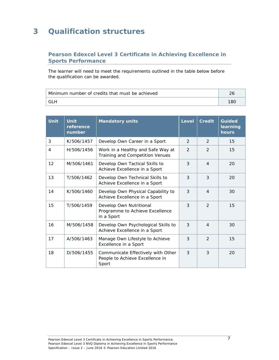### **3 Qualification structures**

### **Pearson Edexcel Level 3 Certificate in Achieving Excellence in Sports Performance**

The learner will need to meet the requirements outlined in the table below before the qualification can be awarded.

| Minimum number of credits that must be achieved |     |
|-------------------------------------------------|-----|
| GLH                                             | 18C |

| <b>Unit</b> | <b>Unit</b><br>reference<br>number | <b>Mandatory units</b>                                                         | <b>Level</b>  | <b>Credit</b>  | <b>Guided</b><br>learning<br>hours |
|-------------|------------------------------------|--------------------------------------------------------------------------------|---------------|----------------|------------------------------------|
| 3           | K/506/1457                         | Develop Own Career in a Sport                                                  | 2             | 2              | 15                                 |
| 4           | H/506/1456                         | Work in a Healthy and Safe Way at<br>Training and Competition Venues           | $\mathcal{P}$ | $\mathcal{P}$  | 15                                 |
| 12          | M/506/1461                         | Develop Own Tactical Skills to<br>Achieve Excellence in a Sport                | 3             | $\overline{4}$ | 20                                 |
| 13          | T/506/1462                         | Develop Own Technical Skills to<br>Achieve Excellence in a Sport               | 3             | 3              | 20                                 |
| 14          | K/506/1460                         | Develop Own Physical Capability to<br>Achieve Excellence in a Sport            | 3             | $\overline{A}$ | 30                                 |
| 15          | T/506/1459                         | Develop Own Nutritional<br>Programme to Achieve Excellence<br>in a Sport       | 3             | $\mathcal{P}$  | 15                                 |
| 16          | M/506/1458                         | Develop Own Psychological Skills to<br>Achieve Excellence in a Sport           | 3             | $\overline{A}$ | 30                                 |
| 17          | A/506/1463                         | Manage Own Lifestyle to Achieve<br>Excellence in a Sport                       | 3             | $\mathcal{P}$  | 15                                 |
| 18          | D/506/1455                         | Communicate Effectively with Other<br>People to Achieve Excellence in<br>Sport | 3             | 3              | 20                                 |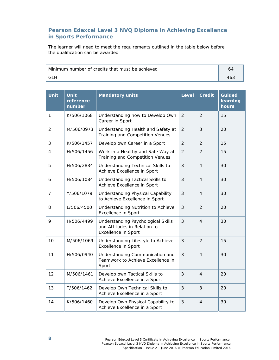### **Pearson Edexcel Level 3 NVQ Diploma in Achieving Excellence in Sports Performance**

The learner will need to meet the requirements outlined in the table below before the qualification can be awarded.

| Minimum number of credits that must be achieved | 64 |
|-------------------------------------------------|----|
| GL H                                            |    |

| <b>Unit</b>    | <b>Unit</b><br>reference<br>number | <b>Mandatory units</b>                                                                    | <b>Level</b>   | <b>Credit</b>  | <b>Guided</b><br>learning<br>hours |
|----------------|------------------------------------|-------------------------------------------------------------------------------------------|----------------|----------------|------------------------------------|
| $\mathbf{1}$   | K/506/1068                         | Understanding how to Develop Own<br>Career in Sport                                       | $\overline{2}$ | $\overline{2}$ | 15                                 |
| $\overline{2}$ | M/506/0973                         | Understanding Health and Safety at<br>Training and Competition Venues                     | $\overline{2}$ | 3              | 20                                 |
| 3              | K/506/1457                         | Develop own Career in a Sport                                                             | $\overline{2}$ | $\overline{2}$ | 15                                 |
| 4              | H/506/1456                         | Work in a Healthy and Safe Way at<br>Training and Competition Venues                      | $\overline{2}$ | 2              | 15                                 |
| 5              | H/506/2834                         | Understanding Technical Skills to<br>Achieve Excellence in Sport                          | 3              | $\overline{4}$ | 30                                 |
| 6              | H/506/1084                         | Understanding Tactical Skills to<br>Achieve Excellence in Sport                           | 3              | $\overline{4}$ | 30                                 |
| $\overline{7}$ | Y/506/1079                         | Understanding Physical Capability<br>to Achieve Excellence in Sport                       | 3              | $\overline{4}$ | 30                                 |
| 8              | L/506/4500                         | Understanding Nutrition to Achieve<br><b>Excellence in Sport</b>                          | 3              | $\overline{2}$ | 20                                 |
| 9              | H/506/4499                         | Understanding Psychological Skills<br>and Attitudes in Relation to<br>Excellence in Sport | 3              | $\overline{4}$ | 30                                 |
| 10             | M/506/1069                         | Understanding Lifestyle to Achieve<br><b>Excellence in Sport</b>                          | 3              | $\overline{2}$ | 15                                 |
| 11             | H/506/0940                         | Understanding Communication and<br>Teamwork to Achieve Excellence in<br>Sport             | 3              | $\overline{4}$ | 30                                 |
| 12             | M/506/1461                         | Develop own Tactical Skills to<br>Achieve Excellence in a Sport                           | 3              | $\overline{4}$ | 20                                 |
| 13             | T/506/1462                         | Develop Own Technical Skills to<br>Achieve Excellence in a Sport                          | 3              | 3              | 20                                 |
| 14             | K/506/1460                         | Develop Own Physical Capability to<br>Achieve Excellence in a Sport                       | 3              | $\overline{4}$ | 30                                 |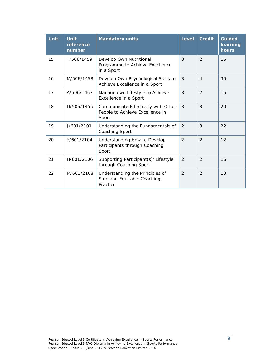| <b>Unit</b> | <b>Unit</b><br>reference<br>number | <b>Mandatory units</b>                                                         | <b>Level</b>  | <b>Credit</b>  | <b>Guided</b><br>learning<br>hours |
|-------------|------------------------------------|--------------------------------------------------------------------------------|---------------|----------------|------------------------------------|
| 15          | T/506/1459                         | Develop Own Nutritional<br>Programme to Achieve Excellence<br>in a Sport       | 3             | $\overline{2}$ | 15                                 |
| 16          | M/506/1458                         | Develop Own Psychological Skills to<br>Achieve Excellence in a Sport           | 3             | $\overline{4}$ | 30                                 |
| 17          | A/506/1463                         | Manage own Lifestyle to Achieve<br>Excellence in a Sport                       | 3             | 2              | 15                                 |
| 18          | D/506/1455                         | Communicate Effectively with Other<br>People to Achieve Excellence in<br>Sport | 3             | 3              | 20                                 |
| 19          | J/601/2101                         | Understanding the Fundamentals of<br>Coaching Sport                            | $\mathcal{P}$ | 3              | 22                                 |
| 20          | Y/601/2104                         | Understanding How to Develop<br>Participants through Coaching<br>Sport         | $\mathcal{P}$ | $\mathcal{P}$  | 12                                 |
| 21          | H/601/2106                         | Supporting Participant(s)' Lifestyle<br>through Coaching Sport                 | $\mathcal{P}$ | $\mathcal{P}$  | 16                                 |
| 22          | M/601/2108                         | Understanding the Principles of<br>Safe and Equitable Coaching<br>Practice     | $\mathcal{P}$ | $\mathcal{P}$  | 13                                 |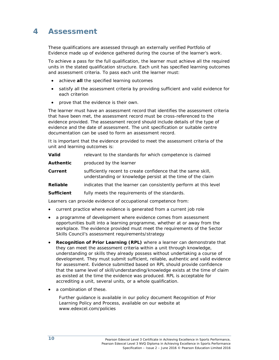### **4 Assessment**

These qualifications are assessed through an externally verified Portfolio of Evidence made up of evidence gathered during the course of the learner's work.

To achieve a pass for the full qualification, the learner must achieve all the required units in the stated qualification structure. Each unit has specified learning outcomes and assessment criteria. To pass each unit the learner must:

- achieve **all** the specified learning outcomes
- satisfy all the assessment criteria by providing sufficient and valid evidence for each criterion
- prove that the evidence is their own.

The learner must have an assessment record that identifies the assessment criteria that have been met, the assessment record must be cross-referenced to the evidence provided. The assessment record should include details of the type of evidence and the date of assessment. The unit specification or suitable centre documentation can be used to form an assessment record.

It is important that the evidence provided to meet the assessment criteria of the unit and learning outcomes is:

| Valid             | relevant to the standards for which competence is claimed                                                                    |
|-------------------|------------------------------------------------------------------------------------------------------------------------------|
| <b>Authentic</b>  | produced by the learner                                                                                                      |
| Current           | sufficiently recent to create confidence that the same skill,<br>understanding or knowledge persist at the time of the claim |
| <b>Reliable</b>   | indicates that the learner can consistently perform at this level                                                            |
| <b>Sufficient</b> | fully meets the requirements of the standards.                                                                               |
|                   |                                                                                                                              |

Learners can provide evidence of occupational competence from:

- current practice where evidence is generated from a current job role
- a programme of development where evidence comes from assessment opportunities built into a learning programme, whether at or away from the workplace. The evidence provided must meet the requirements of the Sector Skills Council's assessment requirements/strategy
- **Recognition of Prior Learning (RPL)** where a learner can demonstrate that they can meet the assessment criteria within a unit through knowledge, understanding or skills they already possess without undertaking a course of development. They must submit sufficient, reliable, authentic and valid evidence for assessment. Evidence submitted based on RPL should provide confidence that the same level of skill/understanding/knowledge exists at the time of claim as existed at the time the evidence was produced. RPL is acceptable for accrediting a unit, several units, or a whole qualification.
- a combination of these.

Further guidance is available in our policy document *Recognition of Prior Learning Policy and Process*, available on our website at www.edexcel.com/policies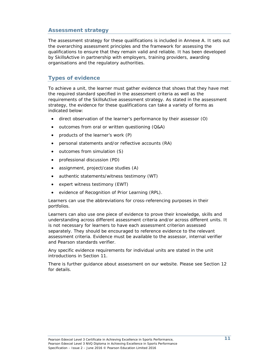### **Assessment strategy**

The assessment strategy for these qualifications is included in *Annexe A*. It sets out the overarching assessment principles and the framework for assessing the qualifications to ensure that they remain valid and reliable. It has been developed by SkillsActive in partnership with employers, training providers, awarding organisations and the regulatory authorities.

### **Types of evidence**

To achieve a unit, the learner must gather evidence that shows that they have met the required standard specified in the assessment criteria as well as the requirements of the SkillsActive assessment strategy. As stated in the assessment strategy, the evidence for these qualifications can take a variety of forms as indicated below:

- direct observation of the learner's performance by their assessor (O)
- outcomes from oral or written questioning (Q&A)
- products of the learner's work (P)
- personal statements and/or reflective accounts (RA)
- outcomes from simulation (S)
- professional discussion (PD)
- assignment, project/case studies (A)
- authentic statements/witness testimony (WT)
- expert witness testimony (EWT)
- evidence of Recognition of Prior Learning (RPL).

Learners can use the abbreviations for cross-referencing purposes in their portfolios.

Learners can also use one piece of evidence to prove their knowledge, skills and understanding across different assessment criteria and/or across different units. It is not necessary for learners to have each assessment criterion assessed separately. They should be encouraged to reference evidence to the relevant assessment criteria. Evidence must be available to the assessor, internal verifier and Pearson standards verifier.

Any specific evidence requirements for individual units are stated in the unit introductions in *Section 11*.

There is further guidance about assessment on our website. Please see *Section 12* for details.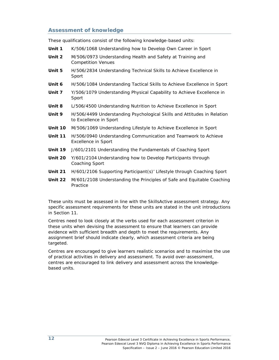### **Assessment of knowledge**

These qualifications consist of the following knowledge-based units:

- **Unit 1** K/506/1068 Understanding how to Develop Own Career in Sport
- **Unit 2** M/506/0973 Understanding Health and Safety at Training and Competition Venues
- **Unit 5** H/506/2834 Understanding Technical Skills to Achieve Excellence in Sport
- **Unit 6** H/506/1084 Understanding Tactical Skills to Achieve Excellence in Sport
- **Unit 7** Y/506/1079 Understanding Physical Capability to Achieve Excellence in Sport
- **Unit 8** L/506/4500 Understanding Nutrition to Achieve Excellence in Sport
- **Unit 9** H/506/4499 Understanding Psychological Skills and Attitudes in Relation to Excellence in Sport
- **Unit 10** M/506/1069 Understanding Lifestyle to Achieve Excellence in Sport
- **Unit 11** H/506/0940 Understanding Communication and Teamwork to Achieve Excellence in Sport
- **Unit 19** J/601/2101 Understanding the Fundamentals of Coaching Sport
- **Unit 20** Y/601/2104 Understanding how to Develop Participants through Coaching Sport
- **Unit 21** H/601/2106 Supporting Participant(s)' Lifestyle through Coaching Sport
- **Unit 22** M/601/2108 Understanding the Principles of Safe and Equitable Coaching Practice

These units must be assessed in line with the SkillsActive assessment strategy. Any specific assessment requirements for these units are stated in the unit introductions in *Section 11*.

Centres need to look closely at the verbs used for each assessment criterion in these units when devising the assessment to ensure that learners can provide evidence with sufficient breadth and depth to meet the requirements. Any assignment brief should indicate clearly, which assessment criteria are being targeted.

Centres are encouraged to give learners realistic scenarios and to maximise the use of practical activities in delivery and assessment. To avoid over-assessment, centres are encouraged to link delivery and assessment across the knowledgebased units.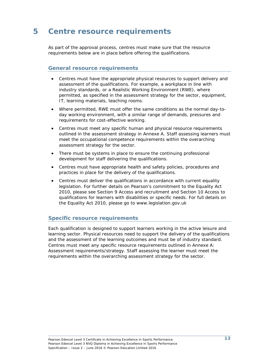### **5 Centre resource requirements**

As part of the approval process, centres must make sure that the resource requirements below are in place before offering the qualifications.

#### **General resource requirements**

- Centres must have the appropriate physical resources to support delivery and assessment of the qualifications. For example, a workplace in line with industry standards, or a Realistic Working Environment (RWE), where permitted, as specified in the assessment strategy for the sector, equipment, IT, learning materials, teaching rooms.
- Where permitted, RWE must offer the same conditions as the normal day-today working environment, with a similar range of demands, pressures and requirements for cost-effective working.
- Centres must meet any specific human and physical resource requirements outlined in the assessment strategy in Annexe A. Staff assessing learners must meet the occupational competence requirements within the overarching assessment strategy for the sector.
- There must be systems in place to ensure the continuing professional development for staff delivering the qualifications.
- Centres must have appropriate health and safety policies, procedures and practices in place for the delivery of the qualifications.
- Centres must deliver the qualifications in accordance with current equality legislation. For further details on Pearson's commitment to the Equality Act 2010, please see Section 9 Access and recruitment and Section 10 Access to qualifications for learners with disabilities or specific needs. For full details on the Equality Act 2010, please go to www.legislation.gov.uk

### **Specific resource requirements**

Each qualification is designed to support learners working in the active leisure and learning sector. Physical resources need to support the delivery of the qualifications and the assessment of the learning outcomes and must be of industry standard. Centres must meet any specific resource requirements outlined in *Annexe A: Assessment requirements/strategy*. Staff assessing the learner must meet the requirements within the overarching assessment strategy for the sector.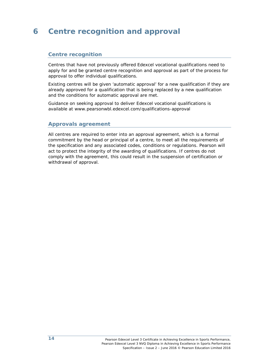### **6 Centre recognition and approval**

### **Centre recognition**

Centres that have not previously offered Edexcel vocational qualifications need to apply for and be granted centre recognition and approval as part of the process for approval to offer individual qualifications.

Existing centres will be given 'automatic approval' for a new qualification if they are already approved for a qualification that is being replaced by a new qualification and the conditions for automatic approval are met.

Guidance on seeking approval to deliver Edexcel vocational qualifications is available at www.pearsonwbl.edexcel.com/qualifications-approval

#### **Approvals agreement**

All centres are required to enter into an approval agreement, which is a formal commitment by the head or principal of a centre, to meet all the requirements of the specification and any associated codes, conditions or regulations. Pearson will act to protect the integrity of the awarding of qualifications. If centres do not comply with the agreement, this could result in the suspension of certification or withdrawal of approval.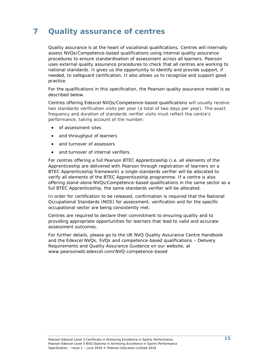### **7 Quality assurance of centres**

Quality assurance is at the heart of vocational qualifications. Centres will internally assess NVQs/Competence-based qualifications using internal quality assurance procedures to ensure standardisation of assessment across all learners. Pearson uses external quality assurance procedures to check that all centres are working to national standards. It gives us the opportunity to identify and provide support, if needed, to safeguard certification. It also allows us to recognise and support good practice.

For the qualifications in this specification, the Pearson quality assurance model is as described below.

Centres offering Edexcel NVQs/Competence-based qualifications will usually receive two standards verification visits per year (a total of two days per year). The exact frequency and duration of standards verifier visits must reflect the centre's performance, taking account of the number:

- of assessment sites
- and throughput of learners
- and turnover of assessors
- and turnover of internal verifiers.

For centres offering a full Pearson BTEC Apprenticeship (i.e. all elements of the Apprenticeship are delivered with Pearson through registration of learners on a BTEC Apprenticeship framework) a single standards verifier will be allocated to verify all elements of the BTEC Apprenticeship programme. If a centre is also offering stand-alone NVQs/Competence-based qualifications in the same sector as a full BTEC Apprenticeship, the same standards verifier will be allocated.

In order for certification to be released, confirmation is required that the National Occupational Standards (NOS) for assessment, verification and for the specific occupational sector are being consistently met.

Centres are required to declare their commitment to ensuring quality and to providing appropriate opportunities for learners that lead to valid and accurate assessment outcomes.

For further details, please go to the *UK NVQ Quality Assurance Centre Handbook* and the *Edexcel NVQs, SVQs and competence-based qualifications – Delivery Requirements and Quality Assurance Guidance* on our website, at www.pearsonwbl.edexcel.com/NVQ-competence-based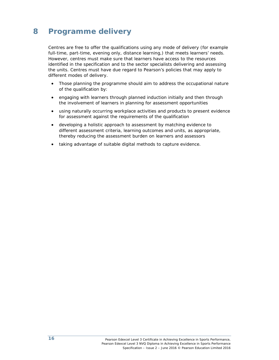### **8 Programme delivery**

Centres are free to offer the qualifications using any mode of delivery (for example full-time, part-time, evening only, distance learning,) that meets learners' needs. However, centres must make sure that learners have access to the resources identified in the specification and to the sector specialists delivering and assessing the units. Centres must have due regard to Pearson's policies that may apply to different modes of delivery.

- Those planning the programme should aim to address the occupational nature of the qualification by:
- engaging with learners through planned induction initially and then through the involvement of learners in planning for assessment opportunities
- using naturally occurring workplace activities and products to present evidence for assessment against the requirements of the qualification
- developing a holistic approach to assessment by matching evidence to different assessment criteria, learning outcomes and units, as appropriate, thereby reducing the assessment burden on learners and assessors
- taking advantage of suitable digital methods to capture evidence.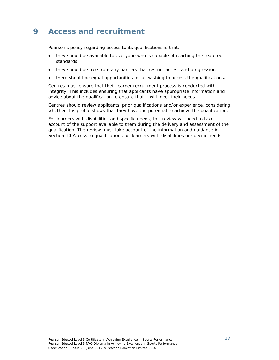### **9 Access and recruitment**

Pearson's policy regarding access to its qualifications is that:

- they should be available to everyone who is capable of reaching the required standards
- they should be free from any barriers that restrict access and progression
- there should be equal opportunities for all wishing to access the qualifications.

Centres must ensure that their learner recruitment process is conducted with integrity. This includes ensuring that applicants have appropriate information and advice about the qualification to ensure that it will meet their needs.

Centres should review applicants' prior qualifications and/or experience, considering whether this profile shows that they have the potential to achieve the qualification.

For learners with disabilities and specific needs, this review will need to take account of the support available to them during the delivery and assessment of the qualification. The review must take account of the information and guidance in *Section 10 Access to qualifications for learners with disabilities or specific needs*.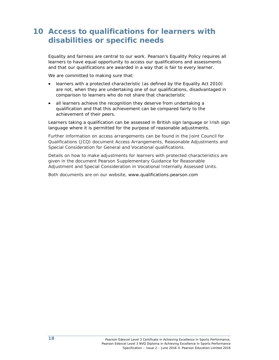### **10 Access to qualifications for learners with disabilities or specific needs**

Equality and fairness are central to our work. Pearson's Equality Policy requires all learners to have equal opportunity to access our qualifications and assessments and that our qualifications are awarded in a way that is fair to every learner.

We are committed to making sure that:

- learners with a protected characteristic (as defined by the Equality Act 2010) are not, when they are undertaking one of our qualifications, disadvantaged in comparison to learners who do not share that characteristic
- all learners achieve the recognition they deserve from undertaking a qualification and that this achievement can be compared fairly to the achievement of their peers.

Learners taking a qualification can be assessed in British sign language or Irish sign language where it is permitted for the purpose of reasonable adjustments.

Further information on access arrangements can be found in the Joint Council for Qualifications (JCQ) document *Access Arrangements, Reasonable Adjustments and Special Consideration for General and Vocational qualifications.*

Details on how to make adjustments for learners with protected characteristics are given in the document *Pearson Supplementary Guidance for Reasonable Adjustment and Special Consideration in Vocational Internally Assessed Units.*

Both documents are on our website, www.qualifications.pearson.com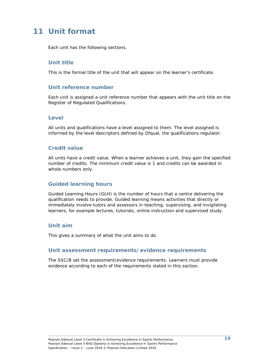### **11 Unit format**

Each unit has the following sections.

### **Unit title**

This is the formal title of the unit that will appear on the learner's certificate.

### **Unit reference number**

Each unit is assigned a unit reference number that appears with the unit title on the Register of Regulated Qualifications.

### **Level**

All units and qualifications have a level assigned to them. The level assigned is informed by the level descriptors defined by Ofqual, the qualifications regulator.

### **Credit value**

All units have a credit value. When a learner achieves a unit, they gain the specified number of credits. The minimum credit value is 1 and credits can be awarded in whole numbers only.

### **Guided learning hours**

Guided Learning Hours (GLH) is the number of hours that a centre delivering the qualification needs to provide. Guided learning means activities that directly or immediately involve tutors and assessors in teaching, supervising, and invigilating learners, for example lectures, tutorials, online instruction and supervised study.

### **Unit aim**

This gives a summary of what the unit aims to do.

#### **Unit assessment requirements/evidence requirements**

The SSC/B set the assessment/evidence requirements. Learners must provide evidence according to each of the requirements stated in this section.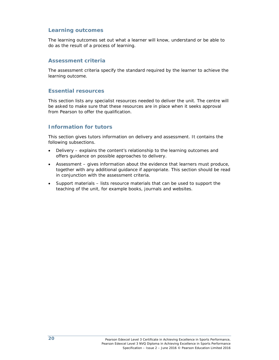### **Learning outcomes**

The learning outcomes set out what a learner will know, understand or be able to do as the result of a process of learning.

#### **Assessment criteria**

The assessment criteria specify the standard required by the learner to achieve the learning outcome.

#### **Essential resources**

This section lists any specialist resources needed to deliver the unit. The centre will be asked to make sure that these resources are in place when it seeks approval from Pearson to offer the qualification.

### **Information for tutors**

This section gives tutors information on delivery and assessment. It contains the following subsections.

- *Delivery* explains the content's relationship to the learning outcomes and offers guidance on possible approaches to delivery.
- *Assessment*  gives information about the evidence that learners must produce, together with any additional guidance if appropriate. This section should be read in conjunction with the assessment criteria.
- *Support materials*  lists resource materials that can be used to support the teaching of the unit, for example books, journals and websites.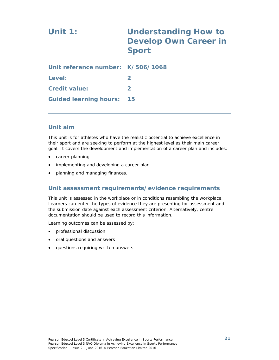# **Unit 1: Understanding How to Develop Own Career in Sport**

| Unit reference number: K/506/1068 |                  |
|-----------------------------------|------------------|
| Level:                            | $\boldsymbol{z}$ |
| <b>Credit value:</b>              | $\mathbf{p}$     |
| <b>Guided learning hours: 15</b>  |                  |

### **Unit aim**

This unit is for athletes who have the realistic potential to achieve excellence in their sport and are seeking to perform at the highest level as their main career goal. It covers the development and implementation of a career plan and includes:

- career planning
- implementing and developing a career plan
- planning and managing finances.

### **Unit assessment requirements/evidence requirements**

This unit is assessed in the workplace or in conditions resembling the workplace. Learners can enter the types of evidence they are presenting for assessment and the submission date against each assessment criterion. Alternatively, centre documentation should be used to record this information.

Learning outcomes can be assessed by:

- professional discussion
- oral questions and answers
- questions requiring written answers.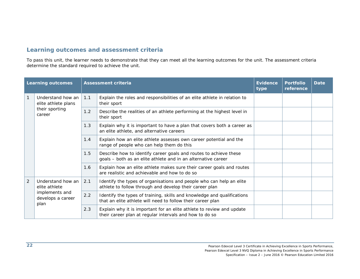### **Learning outcomes and assessment criteria**

To pass this unit, the learner needs to demonstrate that they can meet all the learning outcomes for the unit. The assessment criteria determine the standard required to achieve the unit.

| <b>Learning outcomes</b> |                                                                                   |     | <b>Assessment criteria</b>                                                                                                             | <b>Evidence</b><br>type | <b>Portfolio</b><br>reference | <b>Date</b> |
|--------------------------|-----------------------------------------------------------------------------------|-----|----------------------------------------------------------------------------------------------------------------------------------------|-------------------------|-------------------------------|-------------|
|                          | Understand how an<br>elite athlete plans<br>their sporting<br>career              | 1.1 | Explain the roles and responsibilities of an elite athlete in relation to<br>their sport                                               |                         |                               |             |
|                          |                                                                                   | 1.2 | Describe the realities of an athlete performing at the highest level in<br>their sport                                                 |                         |                               |             |
|                          |                                                                                   | 1.3 | Explain why it is important to have a plan that covers both a career as<br>an elite athlete, and alternative careers                   |                         |                               |             |
|                          |                                                                                   | 1.4 | Explain how an elite athlete assesses own career potential and the<br>range of people who can help them do this                        |                         |                               |             |
|                          |                                                                                   | 1.5 | Describe how to identify career goals and routes to achieve these<br>goals - both as an elite athlete and in an alternative career     |                         |                               |             |
|                          |                                                                                   | 1.6 | Explain how an elite athlete makes sure their career goals and routes<br>are realistic and achievable and how to do so                 |                         |                               |             |
| $\overline{2}$           | Understand how an<br>elite athlete<br>implements and<br>develops a career<br>plan | 2.1 | Identify the types of organisations and people who can help an elite<br>athlete to follow through and develop their career plan        |                         |                               |             |
|                          |                                                                                   | 2.2 | Identify the types of training, skills and knowledge and qualifications<br>that an elite athlete will need to follow their career plan |                         |                               |             |
|                          |                                                                                   | 2.3 | Explain why it is important for an elite athlete to review and update<br>their career plan at regular intervals and how to do so       |                         |                               |             |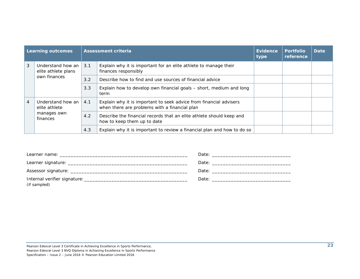| <b>Learning outcomes</b> |                                                               |     | <b>Assessment criteria</b>                                                                                          | Evidence<br>type | <b>Portfolio</b><br>reference | <b>Date</b> |
|--------------------------|---------------------------------------------------------------|-----|---------------------------------------------------------------------------------------------------------------------|------------------|-------------------------------|-------------|
| 3                        | Understand how an<br>elite athlete plans                      |     | Explain why it is important for an elite athlete to manage their<br>finances responsibly                            |                  |                               |             |
|                          | own finances                                                  | 3.2 | Describe how to find and use sources of financial advice                                                            |                  |                               |             |
|                          |                                                               | 3.3 | Explain how to develop own financial goals – short, medium and long<br>term                                         |                  |                               |             |
| 4                        | Understand how an<br>elite athlete<br>manages own<br>finances | 4.1 | Explain why it is important to seek advice from financial advisers<br>when there are problems with a financial plan |                  |                               |             |
|                          |                                                               | 4.2 | Describe the financial records that an elite athlete should keep and<br>how to keep them up to date                 |                  |                               |             |
|                          |                                                               | 4.3 | Explain why it is important to review a financial plan and how to do so                                             |                  |                               |             |

| (if sampled) | Date: the contract of the contract of the contract of the contract of the contract of the contract of the contract of the contract of the contract of the contract of the contract of the contract of the contract of the cont |
|--------------|--------------------------------------------------------------------------------------------------------------------------------------------------------------------------------------------------------------------------------|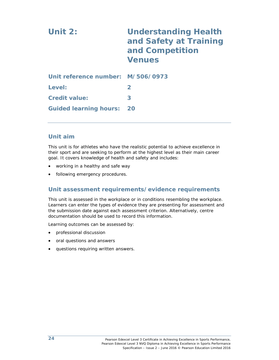| Unit $2:$                         | <b>Understanding Health</b><br>and Safety at Training<br>and Competition<br><b>Venues</b> |
|-----------------------------------|-------------------------------------------------------------------------------------------|
| Unit reference number: M/506/0973 |                                                                                           |
| Level:                            | $\mathbf{2}$                                                                              |
| <b>Credit value:</b>              | 3                                                                                         |
| <b>Guided learning hours:</b>     | - 20                                                                                      |

### **Unit aim**

This unit is for athletes who have the realistic potential to achieve excellence in their sport and are seeking to perform at the highest level as their main career goal. It covers knowledge of health and safety and includes:

- working in a healthy and safe way
- following emergency procedures.

### **Unit assessment requirements/evidence requirements**

This unit is assessed in the workplace or in conditions resembling the workplace. Learners can enter the types of evidence they are presenting for assessment and the submission date against each assessment criterion. Alternatively, centre documentation should be used to record this information.

Learning outcomes can be assessed by:

- professional discussion
- oral questions and answers
- questions requiring written answers.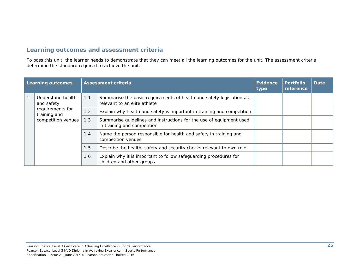### **Learning outcomes and assessment criteria**

To pass this unit, the learner needs to demonstrate that they can meet all the learning outcomes for the unit. The assessment criteria determine the standard required to achieve the unit.

| Learning outcomes |                                                                                           |     | <b>Assessment criteria</b>                                                                           | Evidence<br>type | <b>Portfolio</b><br>reference | <b>Date</b> |
|-------------------|-------------------------------------------------------------------------------------------|-----|------------------------------------------------------------------------------------------------------|------------------|-------------------------------|-------------|
|                   | Understand health<br>and safety<br>requirements for<br>training and<br>competition venues | 1.1 | Summarise the basic requirements of health and safety legislation as<br>relevant to an elite athlete |                  |                               |             |
|                   |                                                                                           | 1.2 | Explain why health and safety is important in training and competition                               |                  |                               |             |
|                   |                                                                                           | 1.3 | Summarise guidelines and instructions for the use of equipment used<br>in training and competition   |                  |                               |             |
|                   |                                                                                           | 1.4 | Name the person responsible for health and safety in training and<br>competition venues              |                  |                               |             |
|                   |                                                                                           | 1.5 | Describe the health, safety and security checks relevant to own role                                 |                  |                               |             |
|                   |                                                                                           | 1.6 | Explain why it is important to follow safeguarding procedures for<br>children and other groups       |                  |                               |             |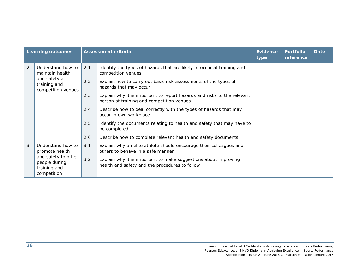| <b>Learning outcomes</b> |                                                                                                            |     | <b>Assessment criteria</b>                                                                                           | <b>Evidence</b><br>type | <b>Portfolio</b><br>reference | <b>Date</b> |
|--------------------------|------------------------------------------------------------------------------------------------------------|-----|----------------------------------------------------------------------------------------------------------------------|-------------------------|-------------------------------|-------------|
| $\overline{2}$           | Understand how to<br>maintain health<br>and safety at<br>training and<br>competition venues                | 2.1 | Identify the types of hazards that are likely to occur at training and<br>competition venues                         |                         |                               |             |
|                          |                                                                                                            | 2.2 | Explain how to carry out basic risk assessments of the types of<br>hazards that may occur                            |                         |                               |             |
|                          |                                                                                                            | 2.3 | Explain why it is important to report hazards and risks to the relevant<br>person at training and competition venues |                         |                               |             |
|                          |                                                                                                            | 2.4 | Describe how to deal correctly with the types of hazards that may<br>occur in own workplace                          |                         |                               |             |
|                          |                                                                                                            | 2.5 | Identify the documents relating to health and safety that may have to<br>be completed                                |                         |                               |             |
|                          |                                                                                                            | 2.6 | Describe how to complete relevant health and safety documents                                                        |                         |                               |             |
| 3                        | Understand how to<br>promote health<br>and safety to other<br>people during<br>training and<br>competition | 3.1 | Explain why an elite athlete should encourage their colleagues and<br>others to behave in a safe manner              |                         |                               |             |
|                          |                                                                                                            | 3.2 | Explain why it is important to make suggestions about improving<br>health and safety and the procedures to follow    |                         |                               |             |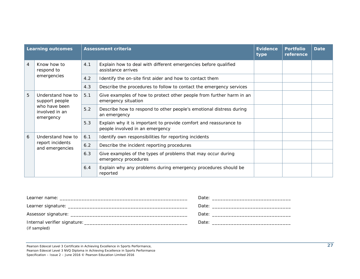| <b>Learning outcomes</b> |                                                                                     |     | <b>Assessment criteria</b>                                                                           | <b>Evidence</b><br>type | <b>Portfolio</b><br>reference | <b>Date</b> |
|--------------------------|-------------------------------------------------------------------------------------|-----|------------------------------------------------------------------------------------------------------|-------------------------|-------------------------------|-------------|
| 4                        | Know how to<br>respond to                                                           | 4.1 | Explain how to deal with different emergencies before qualified<br>assistance arrives                |                         |                               |             |
|                          | emergencies                                                                         | 4.2 | Identify the on-site first aider and how to contact them                                             |                         |                               |             |
|                          |                                                                                     | 4.3 | Describe the procedures to follow to contact the emergency services                                  |                         |                               |             |
| 5                        | Understand how to<br>support people<br>who have been<br>involved in an<br>emergency | 5.1 | Give examples of how to protect other people from further harm in an<br>emergency situation          |                         |                               |             |
|                          |                                                                                     | 5.2 | Describe how to respond to other people's emotional distress during<br>an emergency                  |                         |                               |             |
|                          |                                                                                     | 5.3 | Explain why it is important to provide comfort and reassurance to<br>people involved in an emergency |                         |                               |             |
| 6                        | Understand how to<br>report incidents<br>and emergencies                            | 6.1 | Identify own responsibilities for reporting incidents                                                |                         |                               |             |
|                          |                                                                                     | 6.2 | Describe the incident reporting procedures                                                           |                         |                               |             |
|                          |                                                                                     | 6.3 | Give examples of the types of problems that may occur during<br>emergency procedures                 |                         |                               |             |
|                          |                                                                                     | 6.4 | Explain why any problems during emergency procedures should be<br>reported                           |                         |                               |             |

| (if sampled) |  |
|--------------|--|

Pearson Edexcel Level 3 Certificate in Achieving Excellence in Sports Performance, Pearson Edexcel Level 3 NVQ Diploma in Achieving Excellence in Sports Performance Specification – Issue 2 – June 2016 © Pearson Education Limited 2016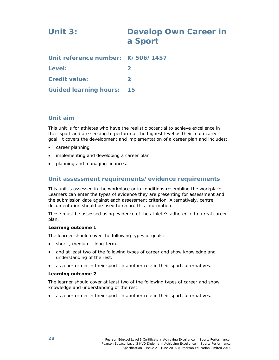# **Unit 3: Develop Own Career in a Sport Unit reference number: K/506/1457 Level:** 2 **Credit value: 2**

**Guided learning hours: 15** 

### **Unit aim**

This unit is for athletes who have the realistic potential to achieve excellence in their sport and are seeking to perform at the highest level as their main career goal. It covers the development and implementation of a career plan and includes:

- career planning
- implementing and developing a career plan
- planning and managing finances.

### **Unit assessment requirements/evidence requirements**

This unit is assessed in the workplace or in conditions resembling the workplace. Learners can enter the types of evidence they are presenting for assessment and the submission date against each assessment criterion. Alternatively, centre documentation should be used to record this information.

These must be assessed using evidence of the athlete's adherence to a real career plan.

#### **Learning outcome 1**

The learner should cover the following types of goals:

- short-, medium-, long-term
- and at least two of the following types of career and show knowledge and understanding of the rest:
- as a performer in their sport, in another role in their sport, alternatives.

#### **Learning outcome 2**

The learner should cover at least two of the following types of career and show knowledge and understanding of the rest:

as a performer in their sport, in another role in their sport, alternatives.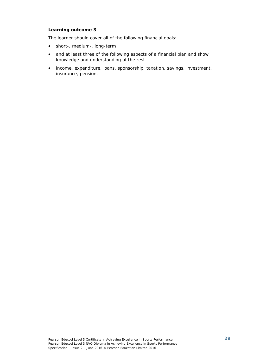#### **Learning outcome 3**

The learner should cover all of the following financial goals:

- short-, medium-, long-term
- and at least three of the following aspects of a financial plan and show knowledge and understanding of the rest
- income, expenditure, loans, sponsorship, taxation, savings, investment, insurance, pension.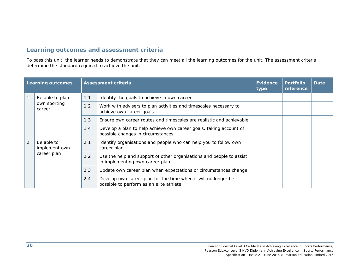| <b>Learning outcomes</b> |                                            |     | <b>Assessment criteria</b>                                                                                | <b>Evidence</b><br>type | <b>Portfolio</b><br>reference | <b>Date</b> |
|--------------------------|--------------------------------------------|-----|-----------------------------------------------------------------------------------------------------------|-------------------------|-------------------------------|-------------|
|                          | Be able to plan                            | 1.1 | Identify the goals to achieve in own career                                                               |                         |                               |             |
|                          | own sporting<br>career                     | 1.2 | Work with advisers to plan activities and timescales necessary to<br>achieve own career goals             |                         |                               |             |
|                          |                                            | 1.3 | Ensure own career routes and timescales are realistic and achievable                                      |                         |                               |             |
|                          |                                            | 1.4 | Develop a plan to help achieve own career goals, taking account of<br>possible changes in circumstances   |                         |                               |             |
| 2                        | Be able to<br>implement own<br>career plan | 2.1 | Identify organisations and people who can help you to follow own<br>career plan                           |                         |                               |             |
|                          |                                            | 2.2 | Use the help and support of other organisations and people to assist<br>in implementing own career plan   |                         |                               |             |
|                          |                                            | 2.3 | Update own career plan when expectations or circumstances change                                          |                         |                               |             |
|                          |                                            | 2.4 | Develop own career plan for the time when it will no longer be<br>possible to perform as an elite athlete |                         |                               |             |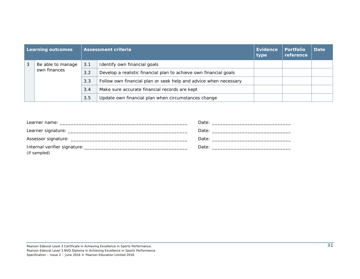| <b>Learning outcomes</b> |                   |     | <b>Assessment criteria</b>                                        | Evidence<br>type | <b>Portfolio</b><br>reference | <b>Date</b> |
|--------------------------|-------------------|-----|-------------------------------------------------------------------|------------------|-------------------------------|-------------|
| 3                        | Be able to manage | 3.1 | Identify own financial goals                                      |                  |                               |             |
|                          | own finances      | 3.2 | Develop a realistic financial plan to achieve own financial goals |                  |                               |             |
|                          |                   | 3.3 | Follow own financial plan or seek help and advice when necessary  |                  |                               |             |
|                          |                   | 3.4 | Make sure accurate financial records are kept                     |                  |                               |             |
|                          |                   | 3.5 | Update own financial plan when circumstances change               |                  |                               |             |

| Learner name: will be a state of the contract of the contract of the contract of the contract of the contract of the contract of the contract of the contract of the contract of the contract of the contract of the contract |  |
|-------------------------------------------------------------------------------------------------------------------------------------------------------------------------------------------------------------------------------|--|
|                                                                                                                                                                                                                               |  |
|                                                                                                                                                                                                                               |  |
| (if sampled)                                                                                                                                                                                                                  |  |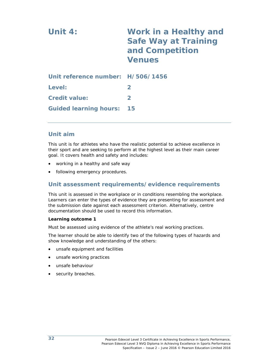| Unit $4:$                         | Work in a Healthy and<br><b>Safe Way at Training</b><br>and Competition<br><b>Venues</b> |
|-----------------------------------|------------------------------------------------------------------------------------------|
| Unit reference number: H/506/1456 |                                                                                          |
| Level:                            | $\mathbf{2}$                                                                             |
| <b>Credit value:</b>              | $\mathbf{2}$                                                                             |
| <b>Guided learning hours:</b>     | 15                                                                                       |

#### **Unit aim**

This unit is for athletes who have the realistic potential to achieve excellence in their sport and are seeking to perform at the highest level as their main career goal. It covers health and safety and includes:

- working in a healthy and safe way
- following emergency procedures.

#### **Unit assessment requirements/evidence requirements**

This unit is assessed in the workplace or in conditions resembling the workplace. Learners can enter the types of evidence they are presenting for assessment and the submission date against each assessment criterion. Alternatively, centre documentation should be used to record this information.

#### **Learning outcome 1**

Must be assessed using evidence of the athlete's real working practices.

The learner should be able to identify two of the following types of hazards and show knowledge and understanding of the others:

- unsafe equipment and facilities
- unsafe working practices
- unsafe behaviour
- security breaches.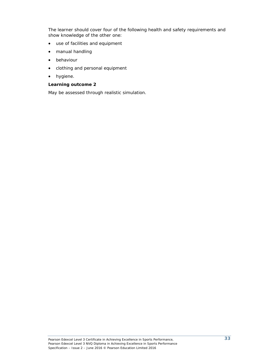The learner should cover four of the following health and safety requirements and show knowledge of the other one:

- use of facilities and equipment
- manual handling
- behaviour
- clothing and personal equipment
- hygiene.

#### **Learning outcome 2**

May be assessed through realistic simulation.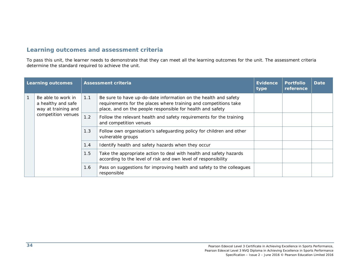| <b>Learning outcomes</b> |                                                                 |     | <b>Assessment criteria</b>                                                                                                                                                                        | <b>Evidence</b><br>type | <b>Portfolio</b><br>reference | <b>Date</b> |
|--------------------------|-----------------------------------------------------------------|-----|---------------------------------------------------------------------------------------------------------------------------------------------------------------------------------------------------|-------------------------|-------------------------------|-------------|
|                          | Be able to work in<br>a healthy and safe<br>way at training and | 1.1 | Be sure to have up-do-date information on the health and safety<br>requirements for the places where training and competitions take<br>place, and on the people responsible for health and safety |                         |                               |             |
|                          | competition venues                                              | 1.2 | Follow the relevant health and safety requirements for the training<br>and competition venues                                                                                                     |                         |                               |             |
|                          |                                                                 | 1.3 | Follow own organisation's safeguarding policy for children and other<br>vulnerable groups                                                                                                         |                         |                               |             |
|                          |                                                                 | 1.4 | Identify health and safety hazards when they occur                                                                                                                                                |                         |                               |             |
|                          |                                                                 | 1.5 | Take the appropriate action to deal with health and safety hazards<br>according to the level of risk and own level of responsibility                                                              |                         |                               |             |
|                          |                                                                 | 1.6 | Pass on suggestions for improving health and safety to the colleagues<br>responsible                                                                                                              |                         |                               |             |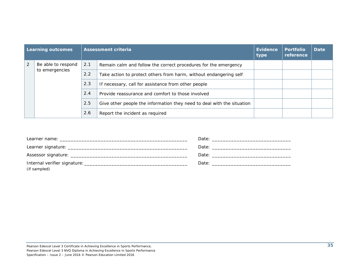| Learning outcomes |                    |     | Assessment criteria                                                    | Evidence<br>type | <b>Portfolio</b><br>reference | <b>Date</b> |
|-------------------|--------------------|-----|------------------------------------------------------------------------|------------------|-------------------------------|-------------|
| 2                 | Be able to respond | 2.1 | Remain calm and follow the correct procedures for the emergency        |                  |                               |             |
|                   | to emergencies     | 2.2 | Take action to protect others from harm, without endangering self      |                  |                               |             |
|                   |                    | 2.3 | If necessary, call for assistance from other people                    |                  |                               |             |
|                   |                    | 2.4 | Provide reassurance and comfort to those involved                      |                  |                               |             |
|                   |                    | 2.5 | Give other people the information they need to deal with the situation |                  |                               |             |
|                   |                    | 2.6 | Report the incident as required                                        |                  |                               |             |

| (if sampled) |  |
|--------------|--|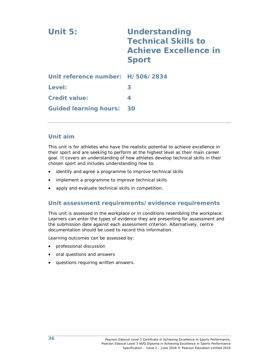| Unit 5:                           | <b>Understanding</b><br><b>Technical Skills to</b><br><b>Achieve Excellence in</b><br><b>Sport</b> |
|-----------------------------------|----------------------------------------------------------------------------------------------------|
| Unit reference number: H/506/2834 |                                                                                                    |
| Level:                            | 3                                                                                                  |
| <b>Credit value:</b>              | 4                                                                                                  |
| <b>Guided learning hours:</b>     | 30                                                                                                 |

#### **Unit aim**

This unit is for athletes who have the realistic potential to achieve excellence in their sport and are seeking to perform at the highest level as their main career goal. It covers an understanding of how athletes develop technical skills in their chosen sport and includes understanding how to:

- identify and agree a programme to improve technical skills
- implement a programme to improve technical skills
- apply and evaluate technical skills in competition.

#### **Unit assessment requirements/evidence requirements**

This unit is assessed in the workplace or in conditions resembling the workplace. Learners can enter the types of evidence they are presenting for assessment and the submission date against each assessment criterion. Alternatively, centre documentation should be used to record this information.

- professional discussion
- oral questions and answers
- questions requiring written answers.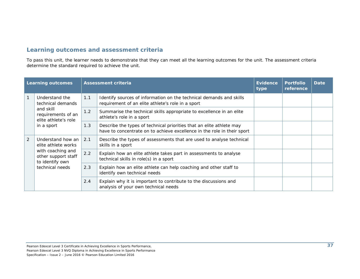| <b>Learning outcomes</b> |                                                                                                                            |     | <b>Assessment criteria</b>                                                                                                                      | <b>Evidence</b><br>type | <b>Portfolio</b><br>reference | <b>Date</b> |
|--------------------------|----------------------------------------------------------------------------------------------------------------------------|-----|-------------------------------------------------------------------------------------------------------------------------------------------------|-------------------------|-------------------------------|-------------|
| $\mathbf{1}$             | Understand the<br>technical demands                                                                                        | 1.1 | Identify sources of information on the technical demands and skills<br>requirement of an elite athlete's role in a sport                        |                         |                               |             |
|                          | and skill<br>requirements of an<br>elite athlete's role<br>in a sport                                                      | 1.2 | Summarise the technical skills appropriate to excellence in an elite<br>athlete's role in a sport                                               |                         |                               |             |
|                          |                                                                                                                            | 1.3 | Describe the types of technical priorities that an elite athlete may<br>have to concentrate on to achieve excellence in the role in their sport |                         |                               |             |
| 2                        | Understand how an<br>elite athlete works<br>with coaching and<br>other support staff<br>to identify own<br>technical needs | 2.1 | Describe the types of assessments that are used to analyse technical<br>skills in a sport                                                       |                         |                               |             |
|                          |                                                                                                                            | 2.2 | Explain how an elite athlete takes part in assessments to analyse<br>technical skills in role(s) in a sport                                     |                         |                               |             |
|                          |                                                                                                                            | 2.3 | Explain how an elite athlete can help coaching and other staff to<br>identify own technical needs                                               |                         |                               |             |
|                          |                                                                                                                            | 2.4 | Explain why it is important to contribute to the discussions and<br>analysis of your own technical needs                                        |                         |                               |             |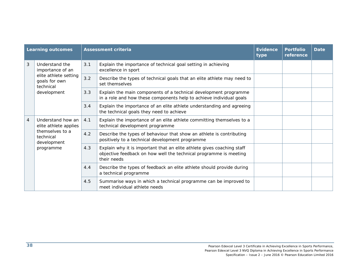| <b>Learning outcomes</b> |                                                                                                          |     | <b>Assessment criteria</b>                                                                                                                                 | <b>Evidence</b><br>type | <b>Portfolio</b><br>reference | <b>Date</b> |
|--------------------------|----------------------------------------------------------------------------------------------------------|-----|------------------------------------------------------------------------------------------------------------------------------------------------------------|-------------------------|-------------------------------|-------------|
| 3                        | Understand the<br>importance of an<br>elite athlete setting<br>goals for own<br>technical<br>development | 3.1 | Explain the importance of technical goal setting in achieving<br>excellence in sport                                                                       |                         |                               |             |
|                          |                                                                                                          | 3.2 | Describe the types of technical goals that an elite athlete may need to<br>set themselves                                                                  |                         |                               |             |
|                          |                                                                                                          | 3.3 | Explain the main components of a technical development programme<br>in a role and how these components help to achieve individual goals                    |                         |                               |             |
|                          |                                                                                                          | 3.4 | Explain the importance of an elite athlete understanding and agreeing<br>the technical goals they need to achieve                                          |                         |                               |             |
| $\overline{4}$           | Understand how an<br>elite athlete applies<br>themselves to a<br>technical<br>development<br>programme   | 4.1 | Explain the importance of an elite athlete committing themselves to a<br>technical development programme                                                   |                         |                               |             |
|                          |                                                                                                          | 4.2 | Describe the types of behaviour that show an athlete is contributing<br>positively to a technical development programme                                    |                         |                               |             |
|                          |                                                                                                          | 4.3 | Explain why it is important that an elite athlete gives coaching staff<br>objective feedback on how well the technical programme is meeting<br>their needs |                         |                               |             |
|                          |                                                                                                          | 4.4 | Describe the types of feedback an elite athlete should provide during<br>a technical programme                                                             |                         |                               |             |
|                          |                                                                                                          | 4.5 | Summarise ways in which a technical programme can be improved to<br>meet individual athlete needs                                                          |                         |                               |             |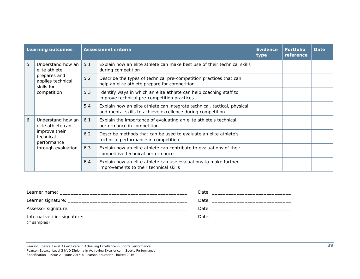| <b>Learning outcomes</b> |                                                                                                           |     | <b>Assessment criteria</b>                                                                                                             | <b>Evidence</b><br>type | <b>Portfolio</b><br>reference | Date |
|--------------------------|-----------------------------------------------------------------------------------------------------------|-----|----------------------------------------------------------------------------------------------------------------------------------------|-------------------------|-------------------------------|------|
| 5                        | Understand how an<br>elite athlete<br>prepares and<br>applies technical<br>skills for<br>competition      | 5.1 | Explain how an elite athlete can make best use of their technical skills<br>during competition                                         |                         |                               |      |
|                          |                                                                                                           | 5.2 | Describe the types of technical pre-competition practices that can<br>help an elite athlete prepare for competition                    |                         |                               |      |
|                          |                                                                                                           | 5.3 | Identify ways in which an elite athlete can help coaching staff to<br>improve technical pre-competition practices                      |                         |                               |      |
|                          |                                                                                                           | 5.4 | Explain how an elite athlete can integrate technical, tactical, physical<br>and mental skills to achieve excellence during competition |                         |                               |      |
| 6                        | Understand how an<br>elite athlete can<br>improve their<br>technical<br>performance<br>through evaluation | 6.1 | Explain the importance of evaluating an elite athlete's technical<br>performance in competition                                        |                         |                               |      |
|                          |                                                                                                           | 6.2 | Describe methods that can be used to evaluate an elite athlete's<br>technical performance in competition                               |                         |                               |      |
|                          |                                                                                                           | 6.3 | Explain how an elite athlete can contribute to evaluations of their<br>competitive technical performance                               |                         |                               |      |
|                          |                                                                                                           | 6.4 | Explain how an elite athlete can use evaluations to make further<br>improvements to their technical skills                             |                         |                               |      |

| (if sampled) |  |
|--------------|--|

Pearson Edexcel Level 3 Certificate in Achieving Excellence in Sports Performance,

Pearson Edexcel Level 3 NVQ Diploma in Achieving Excellence in Sports Performance

Specification – Issue 2 – June 2016 © Pearson Education Limited 2016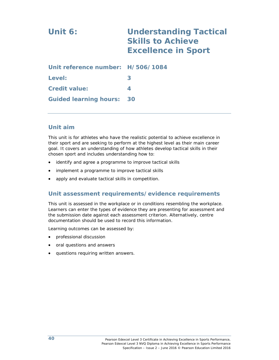# **Unit 6: Understanding Tactical Skills to Achieve Excellence in Sport**

| Unit reference number: H/506/1084 |   |
|-----------------------------------|---|
| Level:                            | 3 |
| <b>Credit value:</b>              |   |
| <b>Guided learning hours: 30</b>  |   |

#### **Unit aim**

This unit is for athletes who have the realistic potential to achieve excellence in their sport and are seeking to perform at the highest level as their main career goal. It covers an understanding of how athletes develop tactical skills in their chosen sport and includes understanding how to:

- identify and agree a programme to improve tactical skills
- implement a programme to improve tactical skills
- apply and evaluate tactical skills in competition.

#### **Unit assessment requirements/evidence requirements**

This unit is assessed in the workplace or in conditions resembling the workplace. Learners can enter the types of evidence they are presenting for assessment and the submission date against each assessment criterion. Alternatively, centre documentation should be used to record this information.

- professional discussion
- oral questions and answers
- questions requiring written answers.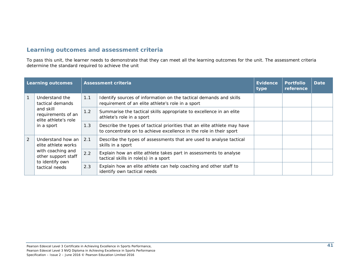| <b>Learning outcomes</b> |                                                                                                                           |     | <b>Assessment criteria</b>                                                                                                                     | <b>Evidence</b><br>type | <b>Portfolio</b><br>reference | <b>Date</b> |
|--------------------------|---------------------------------------------------------------------------------------------------------------------------|-----|------------------------------------------------------------------------------------------------------------------------------------------------|-------------------------|-------------------------------|-------------|
|                          | Understand the<br>tactical demands<br>and skill<br>requirements of an<br>elite athlete's role<br>in a sport               | 1.1 | Identify sources of information on the tactical demands and skills<br>requirement of an elite athlete's role in a sport                        |                         |                               |             |
|                          |                                                                                                                           | 1.2 | Summarise the tactical skills appropriate to excellence in an elite<br>athlete's role in a sport                                               |                         |                               |             |
|                          |                                                                                                                           | 1.3 | Describe the types of tactical priorities that an elite athlete may have<br>to concentrate on to achieve excellence in the role in their sport |                         |                               |             |
| $\overline{2}$           | Understand how an<br>elite athlete works<br>with coaching and<br>other support staff<br>to identify own<br>tactical needs | 2.1 | Describe the types of assessments that are used to analyse tactical<br>skills in a sport                                                       |                         |                               |             |
|                          |                                                                                                                           | 2.2 | Explain how an elite athlete takes part in assessments to analyse<br>tactical skills in role(s) in a sport                                     |                         |                               |             |
|                          |                                                                                                                           | 2.3 | Explain how an elite athlete can help coaching and other staff to<br>identify own tactical needs                                               |                         |                               |             |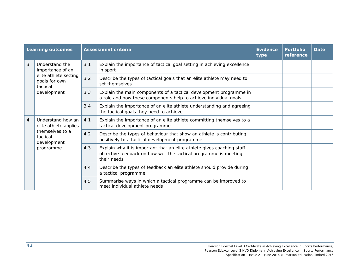|                | <b>Learning outcomes</b>                                                                                |     | <b>Assessment criteria</b>                                                                                                                                | <b>Evidence</b><br>type | <b>Portfolio</b><br>reference | <b>Date</b> |
|----------------|---------------------------------------------------------------------------------------------------------|-----|-----------------------------------------------------------------------------------------------------------------------------------------------------------|-------------------------|-------------------------------|-------------|
| 3              | Understand the<br>importance of an<br>elite athlete setting<br>goals for own<br>tactical<br>development | 3.1 | Explain the importance of tactical goal setting in achieving excellence<br>in sport                                                                       |                         |                               |             |
|                |                                                                                                         | 3.2 | Describe the types of tactical goals that an elite athlete may need to<br>set themselves                                                                  |                         |                               |             |
|                |                                                                                                         | 3.3 | Explain the main components of a tactical development programme in<br>a role and how these components help to achieve individual goals                    |                         |                               |             |
|                |                                                                                                         | 3.4 | Explain the importance of an elite athlete understanding and agreeing<br>the tactical goals they need to achieve                                          |                         |                               |             |
| $\overline{4}$ | Understand how an<br>elite athlete applies<br>themselves to a<br>tactical<br>development<br>programme   | 4.1 | Explain the importance of an elite athlete committing themselves to a<br>tactical development programme                                                   |                         |                               |             |
|                |                                                                                                         | 4.2 | Describe the types of behaviour that show an athlete is contributing<br>positively to a tactical development programme                                    |                         |                               |             |
|                |                                                                                                         | 4.3 | Explain why it is important that an elite athlete gives coaching staff<br>objective feedback on how well the tactical programme is meeting<br>their needs |                         |                               |             |
|                |                                                                                                         | 4.4 | Describe the types of feedback an elite athlete should provide during<br>a tactical programme                                                             |                         |                               |             |
|                |                                                                                                         | 4.5 | Summarise ways in which a tactical programme can be improved to<br>meet individual athlete needs                                                          |                         |                               |             |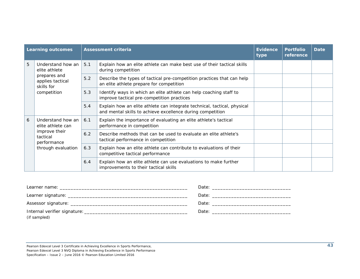|   | <b>Learning outcomes</b>                                                                            |     | <b>Assessment criteria</b>                                                                                                             | Evidence<br>type | <b>Portfolio</b><br>reference | Date |
|---|-----------------------------------------------------------------------------------------------------|-----|----------------------------------------------------------------------------------------------------------------------------------------|------------------|-------------------------------|------|
| 5 | Understand how an<br>elite athlete<br>prepares and<br>applies tactical<br>skills for<br>competition | 5.1 | Explain how an elite athlete can make best use of their tactical skills<br>during competition                                          |                  |                               |      |
|   |                                                                                                     | 5.2 | Describe the types of tactical pre-competition practices that can help<br>an elite athlete prepare for competition                     |                  |                               |      |
|   |                                                                                                     | 5.3 | Identify ways in which an elite athlete can help coaching staff to<br>improve tactical pre-competition practices                       |                  |                               |      |
|   |                                                                                                     | 5.4 | Explain how an elite athlete can integrate technical, tactical, physical<br>and mental skills to achieve excellence during competition |                  |                               |      |
| 6 | Understand how an<br>elite athlete can<br>improve their<br>tactical<br>performance                  | 6.1 | Explain the importance of evaluating an elite athlete's tactical<br>performance in competition                                         |                  |                               |      |
|   |                                                                                                     | 6.2 | Describe methods that can be used to evaluate an elite athlete's<br>tactical performance in competition                                |                  |                               |      |
|   | through evaluation                                                                                  | 6.3 | Explain how an elite athlete can contribute to evaluations of their<br>competitive tactical performance                                |                  |                               |      |
|   |                                                                                                     | 6.4 | Explain how an elite athlete can use evaluations to make further<br>improvements to their tactical skills                              |                  |                               |      |

| (if sampled) |  |
|--------------|--|

Pearson Edexcel Level 3 Certificate in Achieving Excellence in Sports Performance, Pearson Edexcel Level 3 NVQ Diploma in Achieving Excellence in Sports Performance Specification – Issue 2 – June 2016 © Pearson Education Limited 2016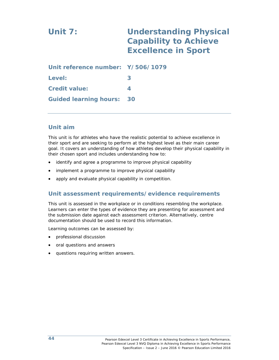# **Unit 7: Understanding Physical Capability to Achieve Excellence in Sport Unit reference number: Y/506/1079 Level: 3 Credit value: 4**

#### **Unit aim**

This unit is for athletes who have the realistic potential to achieve excellence in their sport and are seeking to perform at the highest level as their main career goal. It covers an understanding of how athletes develop their physical capability in their chosen sport and includes understanding how to:

- identify and agree a programme to improve physical capability
- implement a programme to improve physical capability
- apply and evaluate physical capability in competition.

#### **Unit assessment requirements/evidence requirements**

This unit is assessed in the workplace or in conditions resembling the workplace. Learners can enter the types of evidence they are presenting for assessment and the submission date against each assessment criterion. Alternatively, centre documentation should be used to record this information.

Learning outcomes can be assessed by:

**Guided learning hours: 30** 

- professional discussion
- oral questions and answers
- questions requiring written answers.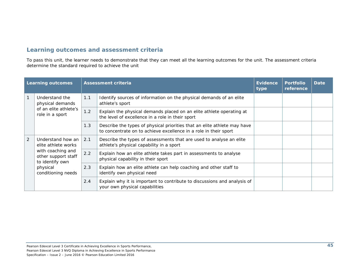| <b>Learning outcomes</b> |                                                                                                         |     | <b>Assessment criteria</b>                                                                                                                   | <b>Evidence</b><br>type | <b>Portfolio</b><br>reference | <b>Date</b> |
|--------------------------|---------------------------------------------------------------------------------------------------------|-----|----------------------------------------------------------------------------------------------------------------------------------------------|-------------------------|-------------------------------|-------------|
| $\mathbf{1}$             | Understand the<br>physical demands<br>of an elite athlete's<br>role in a sport                          | 1.1 | Identify sources of information on the physical demands of an elite<br>athlete's sport                                                       |                         |                               |             |
|                          |                                                                                                         | 1.2 | Explain the physical demands placed on an elite athlete operating at<br>the level of excellence in a role in their sport                     |                         |                               |             |
|                          |                                                                                                         | 1.3 | Describe the types of physical priorities that an elite athlete may have<br>to concentrate on to achieve excellence in a role in their sport |                         |                               |             |
| 2                        | Understand how an<br>elite athlete works<br>with coaching and<br>other support staff<br>to identify own | 2.1 | Describe the types of assessments that are used to analyse an elite<br>athlete's physical capability in a sport                              |                         |                               |             |
|                          |                                                                                                         | 2.2 | Explain how an elite athlete takes part in assessments to analyse<br>physical capability in their sport                                      |                         |                               |             |
|                          | physical<br>conditioning needs                                                                          | 2.3 | Explain how an elite athlete can help coaching and other staff to<br>identify own physical need                                              |                         |                               |             |
|                          |                                                                                                         | 2.4 | Explain why it is important to contribute to discussions and analysis of<br>your own physical capabilities                                   |                         |                               |             |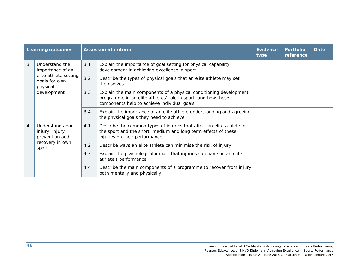|                | <b>Learning outcomes</b>                                          |     | <b>Assessment criteria</b>                                                                                                                                                        | <b>Evidence</b><br>type | <b>Portfolio</b><br>reference | <b>Date</b> |
|----------------|-------------------------------------------------------------------|-----|-----------------------------------------------------------------------------------------------------------------------------------------------------------------------------------|-------------------------|-------------------------------|-------------|
| 3              | Understand the<br>importance of an                                | 3.1 | Explain the importance of goal setting for physical capability<br>development in achieving excellence in sport                                                                    |                         |                               |             |
|                | elite athlete setting<br>goals for own<br>physical<br>development | 3.2 | Describe the types of physical goals that an elite athlete may set<br>themselves                                                                                                  |                         |                               |             |
|                |                                                                   | 3.3 | Explain the main components of a physical conditioning development<br>programme in an elite athletes' role in sport, and how these<br>components help to achieve individual goals |                         |                               |             |
|                |                                                                   | 3.4 | Explain the importance of an elite athlete understanding and agreeing<br>the physical goals they need to achieve                                                                  |                         |                               |             |
| $\overline{4}$ | Understand about<br>injury, injury<br>prevention and              | 4.1 | Describe the common types of injuries that affect an elite athlete in<br>the sport and the short, medium and long term effects of these<br>injuries on their performance          |                         |                               |             |
|                | recovery in own<br>sport                                          | 4.2 | Describe ways an elite athlete can minimise the risk of injury                                                                                                                    |                         |                               |             |
|                |                                                                   | 4.3 | Explain the psychological impact that injuries can have on an elite<br>athlete's performance                                                                                      |                         |                               |             |
|                |                                                                   | 4.4 | Describe the main components of a programme to recover from injury<br>both mentally and physically                                                                                |                         |                               |             |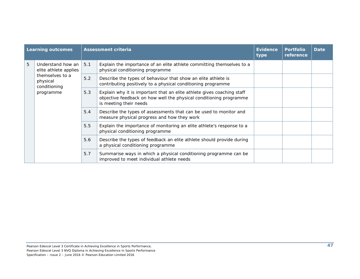| <b>Learning outcomes</b> |                                                                                                        |       | <b>Assessment criteria</b>                                                                                                                                             | <b>Evidence</b><br>type | <b>Portfolio</b><br>reference | <b>Date</b> |
|--------------------------|--------------------------------------------------------------------------------------------------------|-------|------------------------------------------------------------------------------------------------------------------------------------------------------------------------|-------------------------|-------------------------------|-------------|
| 5                        | Understand how an<br>elite athlete applies<br>themselves to a<br>physical<br>conditioning<br>programme | 5.1   | Explain the importance of an elite athlete committing themselves to a<br>physical conditioning programme                                                               |                         |                               |             |
|                          |                                                                                                        | $5.2$ | Describe the types of behaviour that show an elite athlete is<br>contributing positively to a physical conditioning programme                                          |                         |                               |             |
|                          |                                                                                                        | 5.3   | Explain why it is important that an elite athlete gives coaching staff<br>objective feedback on how well the physical conditioning programme<br>is meeting their needs |                         |                               |             |
|                          |                                                                                                        | 5.4   | Describe the types of assessments that can be used to monitor and<br>measure physical progress and how they work                                                       |                         |                               |             |
|                          |                                                                                                        | 5.5   | Explain the importance of monitoring an elite athlete's response to a<br>physical conditioning programme                                                               |                         |                               |             |
|                          |                                                                                                        | 5.6   | Describe the types of feedback an elite athlete should provide during<br>a physical conditioning programme                                                             |                         |                               |             |
|                          |                                                                                                        | 5.7   | Summarise ways in which a physical conditioning programme can be<br>improved to meet individual athlete needs                                                          |                         |                               |             |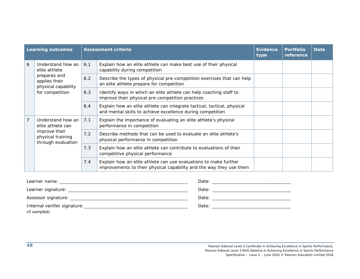|                | <b>Learning outcomes</b>                                                                                      |     | <b>Assessment criteria</b>                                                                                                              | <b>Evidence</b><br>type | <b>Portfolio</b><br>reference | <b>Date</b> |
|----------------|---------------------------------------------------------------------------------------------------------------|-----|-----------------------------------------------------------------------------------------------------------------------------------------|-------------------------|-------------------------------|-------------|
| 6              | Understand how an<br>elite athlete<br>prepares and<br>applies their<br>physical capability<br>for competition | 6.1 | Explain how an elite athlete can make best use of their physical<br>capability during competition                                       |                         |                               |             |
|                |                                                                                                               | 6.2 | Describe the types of physical pre-competition exercises that can help<br>an elite athlete prepare for competition                      |                         |                               |             |
|                |                                                                                                               | 6.3 | Identify ways in which an elite athlete can help coaching staff to<br>improve their physical pre-competition practices                  |                         |                               |             |
|                |                                                                                                               | 6.4 | Explain how an elite athlete can integrate tactical, tactical, physical<br>and mental skills to achieve excellence during competition   |                         |                               |             |
| $\overline{7}$ | Understand how an<br>elite athlete can<br>improve their<br>physical training<br>through evaluation            | 7.1 | Explain the importance of evaluating an elite athlete's physical<br>performance in competition                                          |                         |                               |             |
|                |                                                                                                               | 7.2 | Describe methods that can be used to evaluate an elite athlete's<br>physical performance in competition                                 |                         |                               |             |
|                |                                                                                                               | 7.3 | Explain how an elite athlete can contribute to evaluations of their<br>competitive physical performance                                 |                         |                               |             |
|                |                                                                                                               | 7.4 | Explain how an elite athlete can use evaluations to make further<br>improvements to their physical capability and the way they use them |                         |                               |             |

| (if sampled) |  |
|--------------|--|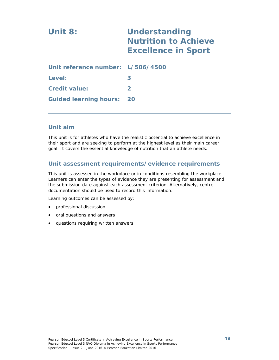# **Unit 8: Understanding Nutrition to Achieve Excellence in Sport Unit reference number: L/506/4500 Level: 3 Credit value: 2 Guided learning hours: 20**

#### **Unit aim**

This unit is for athletes who have the realistic potential to achieve excellence in their sport and are seeking to perform at the highest level as their main career goal. It covers the essential knowledge of nutrition that an athlete needs.

#### **Unit assessment requirements/evidence requirements**

This unit is assessed in the workplace or in conditions resembling the workplace. Learners can enter the types of evidence they are presenting for assessment and the submission date against each assessment criterion. Alternatively, centre documentation should be used to record this information.

- professional discussion
- oral questions and answers
- questions requiring written answers.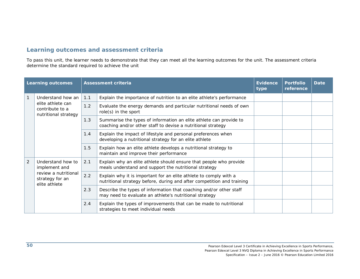|                | <b>Learning outcomes</b>                                                                       |     | <b>Assessment criteria</b>                                                                                                                  | <b>Evidence</b><br>type | <b>Portfolio</b><br>reference | <b>Date</b> |
|----------------|------------------------------------------------------------------------------------------------|-----|---------------------------------------------------------------------------------------------------------------------------------------------|-------------------------|-------------------------------|-------------|
| $\mathbf{1}$   | Understand how an                                                                              | 1.1 | Explain the importance of nutrition to an elite athlete's performance                                                                       |                         |                               |             |
|                | elite athlete can<br>contribute to a<br>nutritional strategy                                   | 1.2 | Evaluate the energy demands and particular nutritional needs of own<br>role(s) in the sport                                                 |                         |                               |             |
|                |                                                                                                | 1.3 | Summarise the types of information an elite athlete can provide to<br>coaching and/or other staff to devise a nutritional strategy          |                         |                               |             |
|                |                                                                                                | 1.4 | Explain the impact of lifestyle and personal preferences when<br>developing a nutritional strategy for an elite athlete                     |                         |                               |             |
|                |                                                                                                | 1.5 | Explain how an elite athlete develops a nutritional strategy to<br>maintain and improve their performance                                   |                         |                               |             |
| $\overline{2}$ | Understand how to<br>implement and<br>review a nutritional<br>strategy for an<br>elite athlete | 2.1 | Explain why an elite athlete should ensure that people who provide<br>meals understand and support the nutritional strategy                 |                         |                               |             |
|                |                                                                                                | 2.2 | Explain why it is important for an elite athlete to comply with a<br>nutritional strategy before, during and after competition and training |                         |                               |             |
|                |                                                                                                | 2.3 | Describe the types of information that coaching and/or other staff<br>may need to evaluate an athlete's nutritional strategy                |                         |                               |             |
|                |                                                                                                | 2.4 | Explain the types of improvements that can be made to nutritional<br>strategies to meet individual needs                                    |                         |                               |             |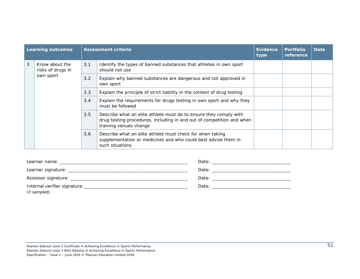| <b>Learning outcomes</b> |                                                  |     | Assessment criteria                                                                                                                                                  | <b>Evidence</b><br>type | <b>Portfolio</b><br>reference | <b>Date</b> |
|--------------------------|--------------------------------------------------|-----|----------------------------------------------------------------------------------------------------------------------------------------------------------------------|-------------------------|-------------------------------|-------------|
| 3                        | Know about the<br>risks of drugs in<br>own sport | 3.1 | Identify the types of banned substances that athletes in own sport<br>should not use                                                                                 |                         |                               |             |
|                          |                                                  | 3.2 | Explain why banned substances are dangerous and not approved in<br>own sport                                                                                         |                         |                               |             |
|                          |                                                  | 3.3 | Explain the principle of strict liability in the context of drug testing                                                                                             |                         |                               |             |
|                          |                                                  | 3.4 | Explain the requirements for drugs testing in own sport and why they<br>must be followed                                                                             |                         |                               |             |
|                          |                                                  | 3.5 | Describe what an elite athlete must do to ensure they comply with<br>drug testing procedures, including in and out of competition and when<br>training venues change |                         |                               |             |
|                          |                                                  | 3.6 | Describe what an elite athlete must check for when taking<br>supplementation or medicines and who could best advise them in<br>such situations                       |                         |                               |             |

| (if sampled) |  |
|--------------|--|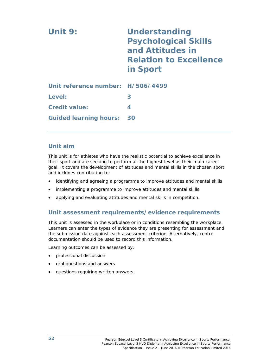| Unit 9:                           | <b>Understanding</b><br><b>Psychological Skills</b><br>and Attitudes in<br><b>Relation to Excellence</b><br>in Sport |
|-----------------------------------|----------------------------------------------------------------------------------------------------------------------|
| Unit reference number: H/506/4499 |                                                                                                                      |
| Level:                            | 3                                                                                                                    |
| <b>Credit value:</b>              | 4                                                                                                                    |
| <b>Guided learning hours:</b>     | 30                                                                                                                   |

#### **Unit aim**

This unit is for athletes who have the realistic potential to achieve excellence in their sport and are seeking to perform at the highest level as their main career goal. It covers the development of attitudes and mental skills in the chosen sport and includes contributing to:

- identifying and agreeing a programme to improve attitudes and mental skills
- implementing a programme to improve attitudes and mental skills
- applying and evaluating attitudes and mental skills in competition.

## **Unit assessment requirements/evidence requirements**

This unit is assessed in the workplace or in conditions resembling the workplace. Learners can enter the types of evidence they are presenting for assessment and the submission date against each assessment criterion. Alternatively, centre documentation should be used to record this information.

- professional discussion
- oral questions and answers
- questions requiring written answers.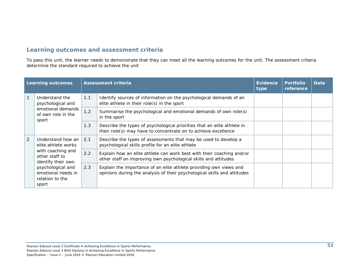| <b>Learning outcomes</b> |                                                                                                                     |                                                                                                                                          | <b>Assessment criteria</b>                                                                                                                     | <b>Evidence</b><br>type | <b>Portfolio</b><br>reference | <b>Date</b> |
|--------------------------|---------------------------------------------------------------------------------------------------------------------|------------------------------------------------------------------------------------------------------------------------------------------|------------------------------------------------------------------------------------------------------------------------------------------------|-------------------------|-------------------------------|-------------|
|                          | Understand the<br>psychological and                                                                                 | 1.1                                                                                                                                      | Identify sources of information on the psychological demands of an<br>elite athlete in their role(s) in the sport                              |                         |                               |             |
|                          | emotional demands<br>of own role in the<br>sport                                                                    | 1.2<br>Summarise the psychological and emotional demands of own role(s)<br>in the sport                                                  |                                                                                                                                                |                         |                               |             |
|                          |                                                                                                                     | 1.3                                                                                                                                      | Describe the types of psychological priorities that an elite athlete in<br>their role(s) may have to concentrate on to achieve excellence      |                         |                               |             |
| 2                        | Understand how an<br>2.1<br>elite athlete works<br>with coaching and<br>2.2<br>other staff to<br>identify their own |                                                                                                                                          | Describe the types of assessments that may be used to develop a<br>psychological skills profile for an elite athlete                           |                         |                               |             |
|                          |                                                                                                                     | Explain how an elite athlete can work best with their coaching and/or<br>other staff on improving own psychological skills and attitudes |                                                                                                                                                |                         |                               |             |
|                          | psychological and<br>emotional needs in<br>relation to the<br>sport                                                 | 2.3                                                                                                                                      | Explain the importance of an elite athlete providing own views and<br>opinions during the analysis of their psychological skills and attitudes |                         |                               |             |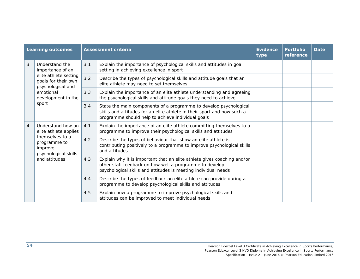|                | <b>Learning outcomes</b>                                           |     | <b>Assessment criteria</b>                                                                                                                                                                           | <b>Evidence</b><br>type | <b>Portfolio</b><br>reference | <b>Date</b> |
|----------------|--------------------------------------------------------------------|-----|------------------------------------------------------------------------------------------------------------------------------------------------------------------------------------------------------|-------------------------|-------------------------------|-------------|
| 3              | Understand the<br>importance of an                                 | 3.1 | Explain the importance of psychological skills and attitudes in goal<br>setting in achieving excellence in sport                                                                                     |                         |                               |             |
|                | elite athlete setting<br>goals for their own<br>psychological and  | 3.2 | Describe the types of psychological skills and attitude goals that an<br>elite athlete may need to set themselves                                                                                    |                         |                               |             |
|                | emotional<br>development in the                                    | 3.3 | Explain the importance of an elite athlete understanding and agreeing<br>the psychological skills and attitude goals they need to achieve                                                            |                         |                               |             |
|                | sport                                                              | 3.4 | State the main components of a programme to develop psychological<br>skills and attitudes for an elite athlete in their sport and how such a<br>programme should help to achieve individual goals    |                         |                               |             |
| $\overline{4}$ | Understand how an<br>elite athlete applies                         | 4.1 | Explain the importance of an elite athlete committing themselves to a<br>programme to improve their psychological skills and attitudes                                                               |                         |                               |             |
|                | themselves to a<br>programme to<br>improve<br>psychological skills | 4.2 | Describe the types of behaviour that show an elite athlete is<br>contributing positively to a programme to improve psychological skills<br>and attitudes                                             |                         |                               |             |
|                | and attitudes                                                      | 4.3 | Explain why it is important that an elite athlete gives coaching and/or<br>other staff feedback on how well a programme to develop<br>psychological skills and attitudes is meeting individual needs |                         |                               |             |
|                |                                                                    | 4.4 | Describe the types of feedback an elite athlete can provide during a<br>programme to develop psychological skills and attitudes                                                                      |                         |                               |             |
|                |                                                                    | 4.5 | Explain how a programme to improve psychological skills and<br>attitudes can be improved to meet individual needs                                                                                    |                         |                               |             |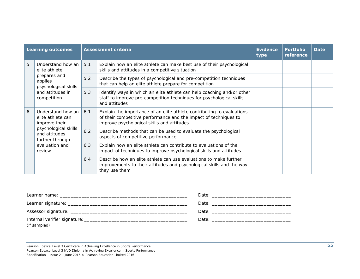|   | <b>Learning outcomes</b>                                 |                                                                                                              | <b>Assessment criteria</b>                                                                                                                                                               | <b>Evidence</b><br>type | <b>Portfolio</b><br>reference | <b>Date</b> |
|---|----------------------------------------------------------|--------------------------------------------------------------------------------------------------------------|------------------------------------------------------------------------------------------------------------------------------------------------------------------------------------------|-------------------------|-------------------------------|-------------|
| 5 | Understand how an<br>elite athlete                       | 5.1                                                                                                          | Explain how an elite athlete can make best use of their psychological<br>skills and attitudes in a competitive situation                                                                 |                         |                               |             |
|   | prepares and<br>applies<br>psychological skills          | 5.2                                                                                                          | Describe the types of psychological and pre-competition techniques<br>that can help an elite athlete prepare for competition                                                             |                         |                               |             |
|   | and attitudes in<br>competition                          | 5.3                                                                                                          | Identify ways in which an elite athlete can help coaching and/or other<br>staff to improve pre-competition techniques for psychological skills<br>and attitudes                          |                         |                               |             |
| 6 | Understand how an<br>elite athlete can<br>improve their  | 6.1                                                                                                          | Explain the importance of an elite athlete contributing to evaluations<br>of their competitive performance and the impact of techniques to<br>improve psychological skills and attitudes |                         |                               |             |
|   | psychological skills<br>and attitudes<br>further through | 6.2<br>Describe methods that can be used to evaluate the psychological<br>aspects of competitive performance |                                                                                                                                                                                          |                         |                               |             |
|   | evaluation and<br>review                                 | 6.3                                                                                                          | Explain how an elite athlete can contribute to evaluations of the<br>impact of techniques to improve psychological skills and attitudes                                                  |                         |                               |             |
|   |                                                          | 6.4                                                                                                          | Describe how an elite athlete can use evaluations to make further<br>improvements to their attitudes and psychological skills and the way<br>they use them                               |                         |                               |             |

| Learner name: will be a state of the state of the state of the state of the state of the state of the state of the state of the state of the state of the state of the state of the state of the state of the state of the sta |  |
|--------------------------------------------------------------------------------------------------------------------------------------------------------------------------------------------------------------------------------|--|
|                                                                                                                                                                                                                                |  |
|                                                                                                                                                                                                                                |  |
|                                                                                                                                                                                                                                |  |
| (if sampled)                                                                                                                                                                                                                   |  |

Pearson Edexcel Level 3 Certificate in Achieving Excellence in Sports Performance, Pearson Edexcel Level 3 NVQ Diploma in Achieving Excellence in Sports Performance Specification – Issue 2 – June 2016 © Pearson Education Limited 2016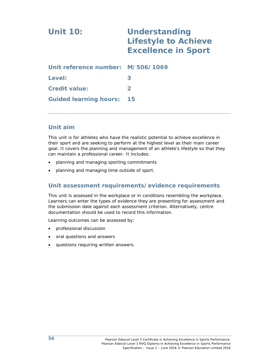# **Unit 10: Understanding Lifestyle to Achieve Excellence in Sport Unit reference number: M/506/1069 Level: 3 Credit value: 2 Guided learning hours: 15**

#### **Unit aim**

This unit is for athletes who have the realistic potential to achieve excellence in their sport and are seeking to perform at the highest level as their main career goal. It covers the planning and management of an athlete's lifestyle so that they can maintain a professional career. It includes:

- planning and managing sporting commitments
- planning and managing time outside of sport.

#### **Unit assessment requirements/evidence requirements**

This unit is assessed in the workplace or in conditions resembling the workplace. Learners can enter the types of evidence they are presenting for assessment and the submission date against each assessment criterion. Alternatively, centre documentation should be used to record this information.

- professional discussion
- oral questions and answers
- questions requiring written answers.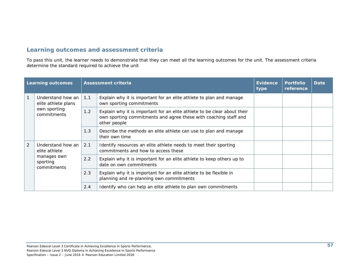|              | <b>Learning outcomes</b>                 |     | <b>Assessment criteria</b>                                                                                                                                   | Evidence<br>type | <b>Portfolio</b><br>reference | Date |
|--------------|------------------------------------------|-----|--------------------------------------------------------------------------------------------------------------------------------------------------------------|------------------|-------------------------------|------|
| $\mathbf{1}$ | Understand how an<br>elite athlete plans | 1.1 | Explain why it is important for an elite athlete to plan and manage<br>own sporting commitments                                                              |                  |                               |      |
|              | own sporting<br>commitments              | 1.2 | Explain why it is important for an elite athlete to be clear about their<br>own sporting commitments and agree these with coaching staff and<br>other people |                  |                               |      |
|              |                                          | 1.3 | Describe the methods an elite athlete can use to plan and manage<br>their own time                                                                           |                  |                               |      |
| 2            | Understand how an<br>elite athlete       | 2.1 | Identify resources an elite athlete needs to meet their sporting<br>commitments and how to access these                                                      |                  |                               |      |
|              | manages own<br>sporting<br>commitments   | 2.2 | Explain why it is important for an elite athlete to keep others up to<br>date on own commitments                                                             |                  |                               |      |
|              |                                          | 2.3 | Explain why it is important for an elite athlete to be flexible in<br>planning and re-planning own commitments                                               |                  |                               |      |
|              |                                          | 2.4 | Identify who can help an elite athlete to plan own commitments                                                                                               |                  |                               |      |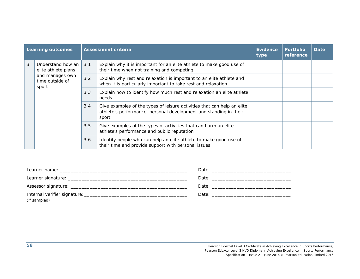|   | <b>Learning outcomes</b>                                                                                                                                                                                                                                                              |                                                                                       | <b>Assessment criteria</b>                                                                                                            | <b>Evidence</b><br>type | <b>Portfolio</b><br>reference | <b>Date</b> |
|---|---------------------------------------------------------------------------------------------------------------------------------------------------------------------------------------------------------------------------------------------------------------------------------------|---------------------------------------------------------------------------------------|---------------------------------------------------------------------------------------------------------------------------------------|-------------------------|-------------------------------|-------------|
| 3 | Understand how an<br>elite athlete plans                                                                                                                                                                                                                                              | 3.1                                                                                   | Explain why it is important for an elite athlete to make good use of<br>their time when not training and competing                    |                         |                               |             |
|   | and manages own<br>time outside of<br>sport                                                                                                                                                                                                                                           | 3.2                                                                                   | Explain why rest and relaxation is important to an elite athlete and<br>when it is particularly important to take rest and relaxation |                         |                               |             |
|   |                                                                                                                                                                                                                                                                                       | 3.3<br>Explain how to identify how much rest and relaxation an elite athlete<br>needs |                                                                                                                                       |                         |                               |             |
|   | 3.4<br>Give examples of the types of leisure activities that can help an elite<br>athlete's performance, personal development and standing in their<br>sport<br>3.5<br>Give examples of the types of activities that can harm an elite<br>athlete's performance and public reputation |                                                                                       |                                                                                                                                       |                         |                               |             |
|   |                                                                                                                                                                                                                                                                                       |                                                                                       |                                                                                                                                       |                         |                               |             |
|   |                                                                                                                                                                                                                                                                                       | 3.6                                                                                   | Identify people who can help an elite athlete to make good use of<br>their time and provide support with personal issues              |                         |                               |             |

| (if sampled) |  |
|--------------|--|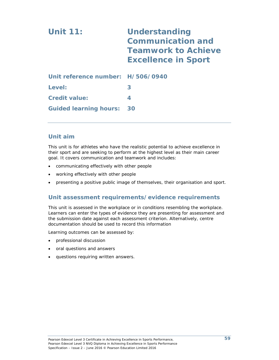| <b>Unit 11:</b>                   | <b>Understanding</b><br><b>Communication and</b><br><b>Teamwork to Achieve</b><br><b>Excellence in Sport</b> |
|-----------------------------------|--------------------------------------------------------------------------------------------------------------|
| Unit reference number: H/506/0940 |                                                                                                              |
| Level:                            | 3                                                                                                            |
| <b>Credit value:</b>              | 4                                                                                                            |
| <b>Guided learning hours:</b>     | 30                                                                                                           |

#### **Unit aim**

This unit is for athletes who have the realistic potential to achieve excellence in their sport and are seeking to perform at the highest level as their main career goal. It covers communication and teamwork and includes:

- communicating effectively with other people
- working effectively with other people
- presenting a positive public image of themselves, their organisation and sport.

#### **Unit assessment requirements/evidence requirements**

This unit is assessed in the workplace or in conditions resembling the workplace. Learners can enter the types of evidence they are presenting for assessment and the submission date against each assessment criterion. Alternatively, centre documentation should be used to record this information

- professional discussion
- oral questions and answers
- questions requiring written answers.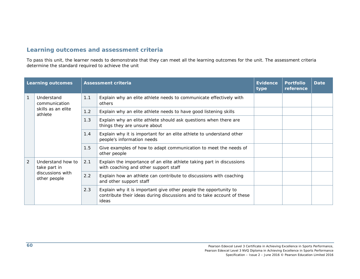|              | <b>Learning outcomes</b>          |                                                                                                    | <b>Assessment criteria</b>                                                                                                                          | <b>Evidence</b><br>type | <b>Portfolio</b><br>reference | <b>Date</b> |
|--------------|-----------------------------------|----------------------------------------------------------------------------------------------------|-----------------------------------------------------------------------------------------------------------------------------------------------------|-------------------------|-------------------------------|-------------|
| $\mathbf{1}$ | Understand<br>communication       | 1.1                                                                                                | Explain why an elite athlete needs to communicate effectively with<br>others                                                                        |                         |                               |             |
|              | skills as an elite<br>athlete     | 1.2                                                                                                | Explain why an elite athlete needs to have good listening skills                                                                                    |                         |                               |             |
|              |                                   | 1.3                                                                                                | Explain why an elite athlete should ask questions when there are<br>things they are unsure about                                                    |                         |                               |             |
|              | 1.4<br>1.5                        | Explain why it is important for an elite athlete to understand other<br>people's information needs |                                                                                                                                                     |                         |                               |             |
|              |                                   |                                                                                                    | Give examples of how to adapt communication to meet the needs of<br>other people                                                                    |                         |                               |             |
| 2            | Understand how to<br>take part in | 2.1                                                                                                | Explain the importance of an elite athlete taking part in discussions<br>with coaching and other support staff                                      |                         |                               |             |
|              | discussions with<br>other people  | 2.2                                                                                                | Explain how an athlete can contribute to discussions with coaching<br>and other support staff                                                       |                         |                               |             |
|              |                                   | 2.3                                                                                                | Explain why it is important give other people the opportunity to<br>contribute their ideas during discussions and to take account of these<br>ideas |                         |                               |             |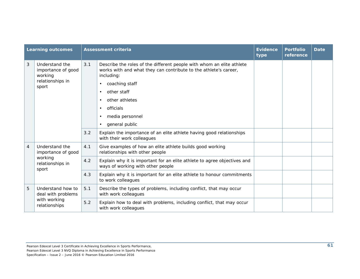|                | <b>Learning outcomes</b>                                                     |     | <b>Assessment criteria</b>                                                                                                                                                                                                                                                                                                                                                                    | <b>Evidence</b><br>type | <b>Portfolio</b><br>reference | <b>Date</b> |
|----------------|------------------------------------------------------------------------------|-----|-----------------------------------------------------------------------------------------------------------------------------------------------------------------------------------------------------------------------------------------------------------------------------------------------------------------------------------------------------------------------------------------------|-------------------------|-------------------------------|-------------|
| 3              | Understand the<br>importance of good<br>working<br>relationships in<br>sport | 3.1 | Describe the roles of the different people with whom an elite athlete<br>works with and what they can contribute to the athlete's career,<br>including:<br>coaching staff<br>other staff<br>$\bullet$<br>other athletes<br>$\bullet$<br>officials<br>٠<br>media personnel<br>$\bullet$<br>general public<br>$\bullet$<br>Explain the importance of an elite athlete having good relationships |                         |                               |             |
|                |                                                                              | 3.2 | with their work colleagues                                                                                                                                                                                                                                                                                                                                                                    |                         |                               |             |
| $\overline{4}$ | Understand the<br>importance of good                                         | 4.1 | Give examples of how an elite athlete builds good working<br>relationships with other people                                                                                                                                                                                                                                                                                                  |                         |                               |             |
|                | working<br>relationships in<br>sport                                         | 4.2 | Explain why it is important for an elite athlete to agree objectives and<br>ways of working with other people                                                                                                                                                                                                                                                                                 |                         |                               |             |
|                |                                                                              | 4.3 | Explain why it is important for an elite athlete to honour commitments<br>to work colleagues                                                                                                                                                                                                                                                                                                  |                         |                               |             |
| 5              | Understand how to<br>deal with problems                                      | 5.1 | Describe the types of problems, including conflict, that may occur<br>with work colleagues                                                                                                                                                                                                                                                                                                    |                         |                               |             |
|                | with working<br>relationships                                                | 5.2 | Explain how to deal with problems, including conflict, that may occur<br>with work colleagues                                                                                                                                                                                                                                                                                                 |                         |                               |             |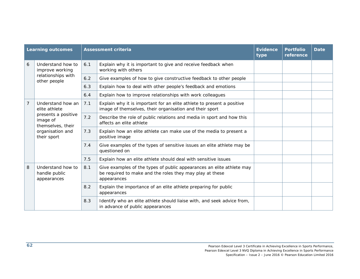| <b>Learning outcomes</b> |                                                                                                                               |     | <b>Assessment criteria</b>                                                                                                                       | <b>Evidence</b><br>type | <b>Portfolio</b><br>reference | <b>Date</b> |
|--------------------------|-------------------------------------------------------------------------------------------------------------------------------|-----|--------------------------------------------------------------------------------------------------------------------------------------------------|-------------------------|-------------------------------|-------------|
| 6                        | Understand how to<br>improve working<br>relationships with<br>other people                                                    | 6.1 | Explain why it is important to give and receive feedback when<br>working with others                                                             |                         |                               |             |
|                          |                                                                                                                               | 6.2 | Give examples of how to give constructive feedback to other people                                                                               |                         |                               |             |
|                          |                                                                                                                               | 6.3 | Explain how to deal with other people's feedback and emotions                                                                                    |                         |                               |             |
|                          |                                                                                                                               | 6.4 | Explain how to improve relationships with work colleagues                                                                                        |                         |                               |             |
| 7                        | Understand how an<br>elite athlete<br>presents a positive<br>image of<br>themselves, their<br>organisation and<br>their sport | 7.1 | Explain why it is important for an elite athlete to present a positive<br>image of themselves, their organisation and their sport                |                         |                               |             |
|                          |                                                                                                                               | 7.2 | Describe the role of public relations and media in sport and how this<br>affects an elite athlete                                                |                         |                               |             |
|                          |                                                                                                                               | 7.3 | Explain how an elite athlete can make use of the media to present a<br>positive image                                                            |                         |                               |             |
|                          |                                                                                                                               | 7.4 | Give examples of the types of sensitive issues an elite athlete may be<br>questioned on                                                          |                         |                               |             |
|                          |                                                                                                                               | 7.5 | Explain how an elite athlete should deal with sensitive issues                                                                                   |                         |                               |             |
| 8                        | Understand how to<br>handle public<br>appearances                                                                             | 8.1 | Give examples of the types of public appearances an elite athlete may<br>be required to make and the roles they may play at these<br>appearances |                         |                               |             |
|                          |                                                                                                                               | 8.2 | Explain the importance of an elite athlete preparing for public<br>appearances                                                                   |                         |                               |             |
|                          |                                                                                                                               | 8.3 | Identify who an elite athlete should liaise with, and seek advice from,<br>in advance of public appearances                                      |                         |                               |             |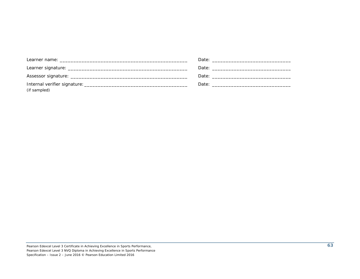| (if sampled) |  |
|--------------|--|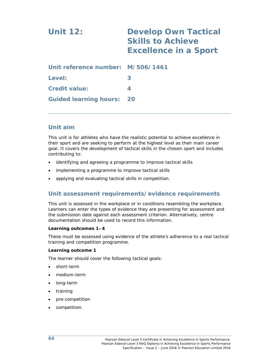# **Unit 12: Develop Own Tactical Skills to Achieve Excellence in a Sport Unit reference number: M/506/1461**

| Level:                           | З |
|----------------------------------|---|
| <b>Credit value:</b>             |   |
| <b>Guided learning hours: 20</b> |   |

#### **Unit aim**

This unit is for athletes who have the realistic potential to achieve excellence in their sport and are seeking to perform at the highest level as their main career goal. It covers the development of tactical skills in the chosen sport and includes contributing to:

- identifying and agreeing a programme to improve tactical skills
- implementing a programme to improve tactical skills
- applying and evaluating tactical skills in competition.

#### **Unit assessment requirements/evidence requirements**

This unit is assessed in the workplace or in conditions resembling the workplace. Learners can enter the types of evidence they are presenting for assessment and the submission date against each assessment criterion. Alternatively, centre documentation should be used to record this information.

#### **Learning outcomes 1–4**

These must be assessed using evidence of the athlete's adherence to a real tactical training and competition programme.

#### **Learning outcome 1**

The learner should cover the following tactical goals:

- short-term
- medium-term
- long-term
- training
- pre-competition
- competition.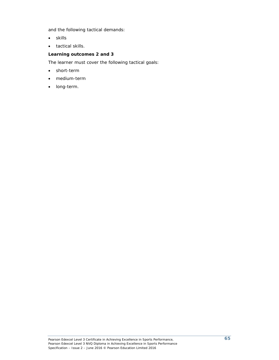and the following tactical demands:

- skills
- tactical skills.

#### **Learning outcomes 2 and 3**

The learner must cover the following tactical goals:

- short-term
- medium-term
- long-term.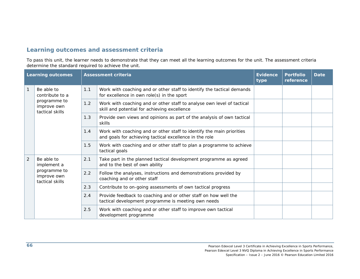|                | <b>Learning outcomes</b>                                                        |     | <b>Assessment criteria</b>                                                                                                       | <b>Evidence</b><br>type | <b>Portfolio</b><br>reference | <b>Date</b> |
|----------------|---------------------------------------------------------------------------------|-----|----------------------------------------------------------------------------------------------------------------------------------|-------------------------|-------------------------------|-------------|
|                | Be able to<br>contribute to a<br>programme to<br>improve own<br>tactical skills | 1.1 | Work with coaching and or other staff to identify the tactical demands<br>for excellence in own role(s) in the sport             |                         |                               |             |
|                |                                                                                 | 1.2 | Work with coaching and or other staff to analyse own level of tactical<br>skill and potential for achieving excellence           |                         |                               |             |
|                |                                                                                 | 1.3 | Provide own views and opinions as part of the analysis of own tactical<br>skills                                                 |                         |                               |             |
|                |                                                                                 | 1.4 | Work with coaching and or other staff to identify the main priorities<br>and goals for achieving tactical excellence in the role |                         |                               |             |
|                |                                                                                 | 1.5 | Work with coaching and or other staff to plan a programme to achieve<br>tactical goals                                           |                         |                               |             |
| $\overline{2}$ | Be able to<br>implement a<br>programme to<br>improve own<br>tactical skills     | 2.1 | Take part in the planned tactical development programme as agreed<br>and to the best of own ability                              |                         |                               |             |
|                |                                                                                 | 2.2 | Follow the analyses, instructions and demonstrations provided by<br>coaching and or other staff                                  |                         |                               |             |
|                |                                                                                 | 2.3 | Contribute to on-going assessments of own tactical progress                                                                      |                         |                               |             |
|                |                                                                                 | 2.4 | Provide feedback to coaching and or other staff on how well the<br>tactical development programme is meeting own needs           |                         |                               |             |
|                |                                                                                 | 2.5 | Work with coaching and or other staff to improve own tactical<br>development programme                                           |                         |                               |             |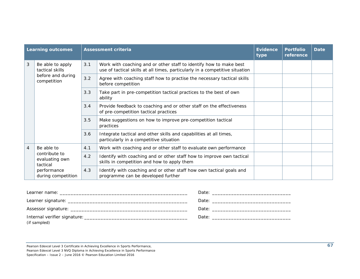|                | <b>Learning outcomes</b>                                                |     | <b>Assessment criteria</b>                                                                                                                         | <b>Evidence</b><br>type | <b>Portfolio</b><br>reference | <b>Date</b> |
|----------------|-------------------------------------------------------------------------|-----|----------------------------------------------------------------------------------------------------------------------------------------------------|-------------------------|-------------------------------|-------------|
| 3              | Be able to apply<br>tactical skills<br>before and during<br>competition | 3.1 | Work with coaching and or other staff to identify how to make best<br>use of tactical skills at all times, particularly in a competitive situation |                         |                               |             |
|                |                                                                         | 3.2 | Agree with coaching staff how to practise the necessary tactical skills<br>before competition                                                      |                         |                               |             |
|                |                                                                         | 3.3 | Take part in pre-competition tactical practices to the best of own<br>ability                                                                      |                         |                               |             |
|                |                                                                         | 3.4 | Provide feedback to coaching and or other staff on the effectiveness<br>of pre-competition tactical practices                                      |                         |                               |             |
|                |                                                                         | 3.5 | Make suggestions on how to improve pre-competition tactical<br>practices                                                                           |                         |                               |             |
|                |                                                                         | 3.6 | Integrate tactical and other skills and capabilities at all times,<br>particularly in a competitive situation                                      |                         |                               |             |
| $\overline{4}$ | Be able to                                                              | 4.1 | Work with coaching and or other staff to evaluate own performance                                                                                  |                         |                               |             |
|                | contribute to<br>evaluating own<br>tactical                             | 4.2 | Identify with coaching and or other staff how to improve own tactical<br>skills in competition and how to apply them                               |                         |                               |             |
|                | performance<br>during competition                                       | 4.3 | Identify with coaching and or other staff how own tactical goals and<br>programme can be developed further                                         |                         |                               |             |

| (if sampled) |  |
|--------------|--|

Pearson Edexcel Level 3 Certificate in Achieving Excellence in Sports Performance,

Pearson Edexcel Level 3 NVQ Diploma in Achieving Excellence in Sports Performance

Specification – Issue 2 – June 2016 © Pearson Education Limited 2016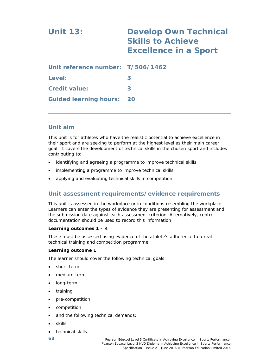## **Unit 13: Develop Own Technical Skills to Achieve Excellence in a Sport Unit reference number: T/506/1462 Level: 3**

**Credit value: 3 Guided learning hours: 20** 

## **Unit aim**

This unit is for athletes who have the realistic potential to achieve excellence in their sport and are seeking to perform at the highest level as their main career goal. It covers the development of technical skills in the chosen sport and includes contributing to:

- identifying and agreeing a programme to improve technical skills
- implementing a programme to improve technical skills
- applying and evaluating technical skills in competition.

## **Unit assessment requirements/evidence requirements**

This unit is assessed in the workplace or in conditions resembling the workplace. Learners can enter the types of evidence they are presenting for assessment and the submission date against each assessment criterion. Alternatively, centre documentation should be used to record this information

#### **Learning outcomes 1 – 4**

These must be assessed using evidence of the athlete's adherence to a real technical training and competition programme.

#### **Learning outcome 1**

The learner should cover the following technical goals:

- short-term
- medium-term
- long-term
- training
- pre-competition
- competition
- and the following technical demands:
- skills
- technical skills.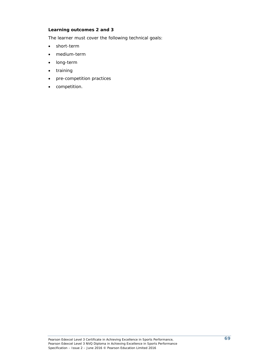#### **Learning outcomes 2 and 3**

The learner must cover the following technical goals:

- short-term
- medium-term
- long-term
- training
- pre-competition practices
- competition.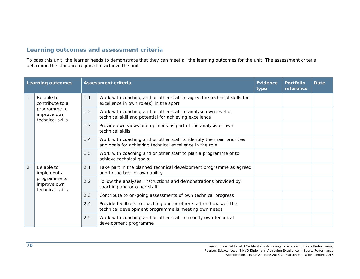|                | <b>Learning outcomes</b>                                                         |               | <b>Assessment criteria</b>                                                                                                        | <b>Evidence</b><br>type | <b>Portfolio</b><br>reference | <b>Date</b> |
|----------------|----------------------------------------------------------------------------------|---------------|-----------------------------------------------------------------------------------------------------------------------------------|-------------------------|-------------------------------|-------------|
| $\mathbf{1}$   | Be able to<br>contribute to a<br>programme to<br>improve own<br>technical skills | 1.1           | Work with coaching and or other staff to agree the technical skills for<br>excellence in own role(s) in the sport                 |                         |                               |             |
|                |                                                                                  | 1.2           | Work with coaching and or other staff to analyse own level of<br>technical skill and potential for achieving excellence           |                         |                               |             |
|                |                                                                                  | 1.3           | Provide own views and opinions as part of the analysis of own<br>technical skills                                                 |                         |                               |             |
|                |                                                                                  | 1.4           | Work with coaching and or other staff to identify the main priorities<br>and goals for achieving technical excellence in the role |                         |                               |             |
|                |                                                                                  | 1.5           | Work with coaching and or other staff to plan a programme of to<br>achieve technical goals                                        |                         |                               |             |
| $\overline{2}$ | Be able to<br>implement a<br>programme to<br>improve own<br>technical skills     | 2.1           | Take part in the planned technical development programme as agreed<br>and to the best of own ability                              |                         |                               |             |
|                |                                                                                  | $2.2^{\circ}$ | Follow the analyses, instructions and demonstrations provided by<br>coaching and or other staff                                   |                         |                               |             |
|                |                                                                                  | 2.3           | Contribute to on-going assessments of own technical progress                                                                      |                         |                               |             |
|                |                                                                                  | 2.4           | Provide feedback to coaching and or other staff on how well the<br>technical development programme is meeting own needs           |                         |                               |             |
|                |                                                                                  | 2.5           | Work with coaching and or other staff to modify own technical<br>development programme                                            |                         |                               |             |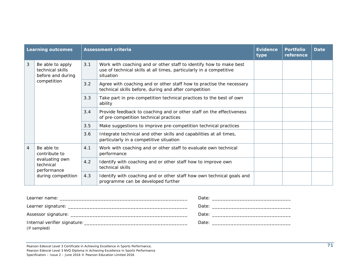|                | <b>Learning outcomes</b>                                  |     | <b>Assessment criteria</b>                                                                                                                             | <b>Evidence</b><br>type | <b>Portfolio</b><br>reference | <b>Date</b> |
|----------------|-----------------------------------------------------------|-----|--------------------------------------------------------------------------------------------------------------------------------------------------------|-------------------------|-------------------------------|-------------|
| $\mathfrak{Z}$ | Be able to apply<br>technical skills<br>before and during | 3.1 | Work with coaching and or other staff to identify how to make best<br>use of technical skills at all times, particularly in a competitive<br>situation |                         |                               |             |
|                | competition                                               | 3.2 | Agree with coaching and or other staff how to practise the necessary<br>technical skills before, during and after competition                          |                         |                               |             |
|                |                                                           | 3.3 | Take part in pre-competition technical practices to the best of own<br>ability                                                                         |                         |                               |             |
|                |                                                           | 3.4 | Provide feedback to coaching and or other staff on the effectiveness<br>of pre-competition technical practices                                         |                         |                               |             |
|                |                                                           | 3.5 | Make suggestions to improve pre-competition technical practices                                                                                        |                         |                               |             |
|                |                                                           | 3.6 | Integrate technical and other skills and capabilities at all times,<br>particularly in a competitive situation                                         |                         |                               |             |
| $\overline{4}$ | Be able to<br>contribute to                               | 4.1 | Work with coaching and or other staff to evaluate own technical<br>performance                                                                         |                         |                               |             |
|                | evaluating own<br>technical<br>performance                | 4.2 | Identify with coaching and or other staff how to improve own<br>technical skills                                                                       |                         |                               |             |
|                | during competition                                        | 4.3 | Identify with coaching and or other staff how own technical goals and<br>programme can be developed further                                            |                         |                               |             |

| (if sampled) |  |
|--------------|--|

Pearson Edexcel Level 3 Certificate in Achieving Excellence in Sports Performance, Pearson Edexcel Level 3 NVQ Diploma in Achieving Excellence in Sports Performance

Specification – Issue 2 – June 2016 © Pearson Education Limited 2016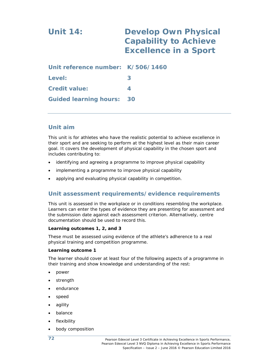## **Unit 14: Develop Own Physical Capability to Achieve Excellence in a Sport**

| Unit reference number: K/506/1460 |   |
|-----------------------------------|---|
| Level:                            | З |
| <b>Credit value:</b>              |   |
| <b>Guided learning hours: 30</b>  |   |

## **Unit aim**

This unit is for athletes who have the realistic potential to achieve excellence in their sport and are seeking to perform at the highest level as their main career goal. It covers the development of physical capability in the chosen sport and includes contributing to:

- identifying and agreeing a programme to improve physical capability
- implementing a programme to improve physical capability
- applying and evaluating physical capability in competition.

## **Unit assessment requirements/evidence requirements**

This unit is assessed in the workplace or in conditions resembling the workplace. Learners can enter the types of evidence they are presenting for assessment and the submission date against each assessment criterion. Alternatively, centre documentation should be used to record this.

#### **Learning outcomes 1, 2, and 3**

These must be assessed using evidence of the athlete's adherence to a real physical training and competition programme.

#### **Learning outcome 1**

The learner should cover at least four of the following aspects of a programme in their training and show knowledge and understanding of the rest:

- power
- strength
- endurance
- speed
- agility
- balance
- flexibility
- body composition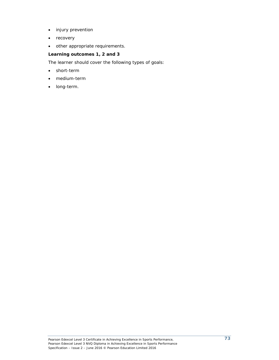- injury prevention
- recovery
- other appropriate requirements.

#### **Learning outcomes 1, 2 and 3**

The learner should cover the following types of goals:

- short-term
- medium-term
- long-term.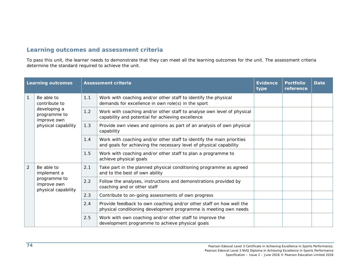|                | <b>Learning outcomes</b>                                                                          |     | <b>Assessment criteria</b>                                                                                                                  | <b>Evidence</b><br>type | <b>Portfolio</b><br>reference | <b>Date</b> |
|----------------|---------------------------------------------------------------------------------------------------|-----|---------------------------------------------------------------------------------------------------------------------------------------------|-------------------------|-------------------------------|-------------|
|                | Be able to<br>contribute to<br>developing a<br>programme to<br>improve own<br>physical capability | 1.1 | Work with coaching and/or other staff to identify the physical<br>demands for excellence in own role(s) in the sport                        |                         |                               |             |
|                |                                                                                                   | 1.2 | Work with coaching and/or other staff to analyse own level of physical<br>capability and potential for achieving excellence                 |                         |                               |             |
|                |                                                                                                   | 1.3 | Provide own views and opinions as part of an analysis of own physical<br>capability                                                         |                         |                               |             |
|                |                                                                                                   | 1.4 | Work with coaching and/or other staff to identify the main priorities<br>and goals for achieving the necessary level of physical capability |                         |                               |             |
|                |                                                                                                   | 1.5 | Work with coaching and/or other staff to plan a programme to<br>achieve physical goals                                                      |                         |                               |             |
| $\overline{2}$ | Be able to<br>implement a<br>programme to<br>improve own<br>physical capability                   | 2.1 | Take part in the planned physical conditioning programme as agreed<br>and to the best of own ability                                        |                         |                               |             |
|                |                                                                                                   | 2.2 | Follow the analyses, instructions and demonstrations provided by<br>coaching and or other staff                                             |                         |                               |             |
|                |                                                                                                   | 2.3 | Contribute to on-going assessments of own progress                                                                                          |                         |                               |             |
|                |                                                                                                   | 2.4 | Provide feedback to own coaching and/or other staff on how well the<br>physical conditioning development programme is meeting own needs     |                         |                               |             |
|                |                                                                                                   | 2.5 | Work with own coaching and/or other staff to improve the<br>development programme to achieve physical goals                                 |                         |                               |             |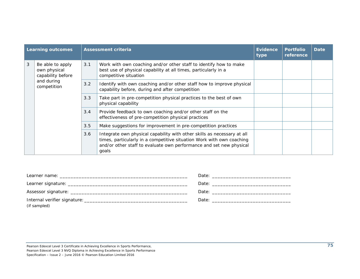| <b>Learning outcomes</b> |                                                                                    |     | <b>Assessment criteria</b>                                                                                                                                                                                                       | <b>Evidence</b><br>type | <b>Portfolio</b><br>reference | <b>Date</b> |
|--------------------------|------------------------------------------------------------------------------------|-----|----------------------------------------------------------------------------------------------------------------------------------------------------------------------------------------------------------------------------------|-------------------------|-------------------------------|-------------|
| 3                        | Be able to apply<br>own physical<br>capability before<br>and during<br>competition | 3.1 | Work with own coaching and/or other staff to identify how to make<br>best use of physical capability at all times, particularly in a<br>competitive situation                                                                    |                         |                               |             |
|                          |                                                                                    | 3.2 | Identify with own coaching and/or other staff how to improve physical<br>capability before, during and after competition                                                                                                         |                         |                               |             |
|                          |                                                                                    | 3.3 | Take part in pre-competition physical practices to the best of own<br>physical capability                                                                                                                                        |                         |                               |             |
|                          |                                                                                    | 3.4 | Provide feedback to own coaching and/or other staff on the<br>effectiveness of pre-competition physical practices                                                                                                                |                         |                               |             |
|                          |                                                                                    | 3.5 | Make suggestions for improvement in pre-competition practices                                                                                                                                                                    |                         |                               |             |
|                          |                                                                                    | 3.6 | Integrate own physical capability with other skills as necessary at all<br>times, particularly in a competitive situation Work with own coaching<br>and/or other staff to evaluate own performance and set new physical<br>goals |                         |                               |             |

| Learner name: will be a state of the state of the state of the state of the state of the state of the state of the state of the state of the state of the state of the state of the state of the state of the state of the sta |  |
|--------------------------------------------------------------------------------------------------------------------------------------------------------------------------------------------------------------------------------|--|
|                                                                                                                                                                                                                                |  |
|                                                                                                                                                                                                                                |  |
| (if sampled)                                                                                                                                                                                                                   |  |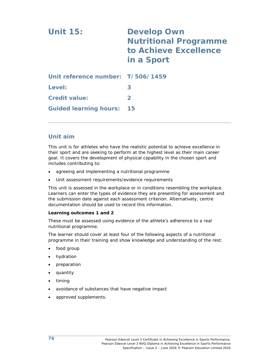| <b>Unit 15:</b>                   | <b>Develop Own</b><br><b>Nutritional Programme</b><br>to Achieve Excellence<br>in a Sport |
|-----------------------------------|-------------------------------------------------------------------------------------------|
| Unit reference number: T/506/1459 |                                                                                           |
| Level:                            | 3                                                                                         |
| <b>Credit value:</b>              | $\mathbf{P}$                                                                              |
| <b>Guided learning hours:</b>     | 15                                                                                        |

This unit is for athletes who have the realistic potential to achieve excellence in their sport and are seeking to perform at the highest level as their main career goal. It covers the development of physical capability in the chosen sport and includes contributing to:

- agreeing and implementing a nutritional programme
- Unit assessment requirements/evidence requirements

This unit is assessed in the workplace or in conditions resembling the workplace. Learners can enter the types of evidence they are presenting for assessment and the submission date against each assessment criterion. Alternatively, centre documentation should be used to record this information.

#### **Learning outcomes 1 and 2**

These must be assessed using evidence of the athlete's adherence to a real nutritional programme.

The learner should cover at least four of the following aspects of a nutritional programme in their training and show knowledge and understanding of the rest:

- food group
- hydration
- preparation
- quantity
- timing
- avoidance of substances that have negative impact
- approved supplements.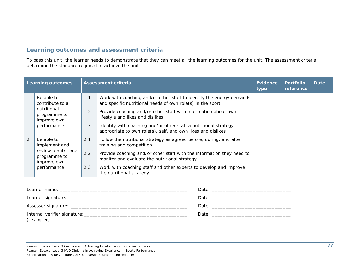To pass this unit, the learner needs to demonstrate that they can meet all the learning outcomes for the unit. The assessment criteria determine the standard required to achieve the unit

| <b>Learning outcomes</b> |                                                                                                   |     | <b>Assessment criteria</b>                                                                                                         | <b>Evidence</b><br>type | <b>Portfolio</b><br>reference | <b>Date</b> |
|--------------------------|---------------------------------------------------------------------------------------------------|-----|------------------------------------------------------------------------------------------------------------------------------------|-------------------------|-------------------------------|-------------|
|                          | Be able to<br>contribute to a                                                                     | 1.1 | Work with coaching and/or other staff to identify the energy demands<br>and specific nutritional needs of own role(s) in the sport |                         |                               |             |
|                          | nutritional<br>programme to<br>improve own<br>performance                                         | 1.2 | Provide coaching and/or other staff with information about own<br>lifestyle and likes and dislikes                                 |                         |                               |             |
|                          |                                                                                                   | 1.3 | Identify with coaching and/or other staff a nutritional strategy<br>appropriate to own role(s), self, and own likes and dislikes   |                         |                               |             |
| 2                        | Be able to<br>implement and<br>review a nutritional<br>programme to<br>improve own<br>performance | 2.1 | Follow the nutritional strategy as agreed before, during, and after,<br>training and competition                                   |                         |                               |             |
|                          |                                                                                                   | 2.2 | Provide coaching and/or other staff with the information they need to<br>monitor and evaluate the nutritional strategy             |                         |                               |             |
|                          |                                                                                                   | 2.3 | Work with coaching staff and other experts to develop and improve<br>the nutritional strategy                                      |                         |                               |             |

| (if sampled) |  |
|--------------|--|

Pearson Edexcel Level 3 Certificate in Achieving Excellence in Sports Performance,

Pearson Edexcel Level 3 NVQ Diploma in Achieving Excellence in Sports Performance

Specification – Issue 2 – June 2016 © Pearson Education Limited 2016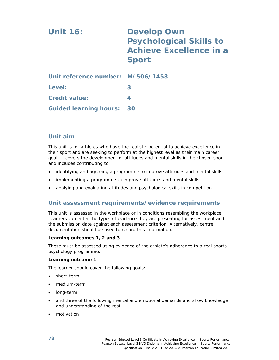| <b>Unit 16:</b>                   | <b>Develop Own</b><br><b>Psychological Skills to</b><br><b>Achieve Excellence in a</b><br><b>Sport</b> |
|-----------------------------------|--------------------------------------------------------------------------------------------------------|
| Unit reference number: M/506/1458 |                                                                                                        |
| Level:                            | 3                                                                                                      |
| <b>Credit value:</b>              | 4                                                                                                      |
| <b>Guided learning hours:</b>     | 30                                                                                                     |

This unit is for athletes who have the realistic potential to achieve excellence in their sport and are seeking to perform at the highest level as their main career goal. It covers the development of attitudes and mental skills in the chosen sport and includes contributing to:

- identifying and agreeing a programme to improve attitudes and mental skills
- implementing a programme to improve attitudes and mental skills
- applying and evaluating attitudes and psychological skills in competition

### **Unit assessment requirements/evidence requirements**

This unit is assessed in the workplace or in conditions resembling the workplace. Learners can enter the types of evidence they are presenting for assessment and the submission date against each assessment criterion. Alternatively, centre documentation should be used to record this information.

#### **Learning outcomes 1, 2 and 3**

These must be assessed using evidence of the athlete's adherence to a real sports psychology programme.

#### **Learning outcome 1**

The learner should cover the following goals:

- short-term
- medium-term
- long-term
- and three of the following mental and emotional demands and show knowledge and understanding of the rest:
- motivation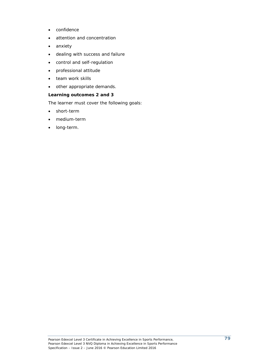- confidence
- attention and concentration
- anxiety
- dealing with success and failure
- control and self-regulation
- professional attitude
- team work skills
- other appropriate demands.

#### **Learning outcomes 2 and 3**

The learner must cover the following goals:

- short-term
- medium-term
- long-term.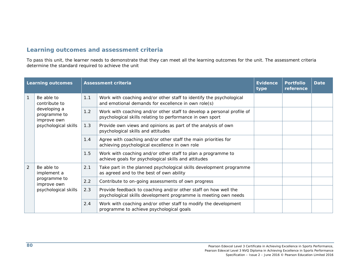| <b>Learning outcomes</b> |                                                                                  |     | <b>Assessment criteria</b>                                                                                                          | <b>Evidence</b><br>type | <b>Portfolio</b><br>reference | <b>Date</b> |
|--------------------------|----------------------------------------------------------------------------------|-----|-------------------------------------------------------------------------------------------------------------------------------------|-------------------------|-------------------------------|-------------|
|                          | Be able to<br>contribute to                                                      | 1.1 | Work with coaching and/or other staff to identify the psychological<br>and emotional demands for excellence in own role(s)          |                         |                               |             |
|                          | developing a<br>programme to<br>improve own<br>psychological skills              | 1.2 | Work with coaching and/or other staff to develop a personal profile of<br>psychological skills relating to performance in own sport |                         |                               |             |
|                          |                                                                                  | 1.3 | Provide own views and opinions as part of the analysis of own<br>psychological skills and attitudes                                 |                         |                               |             |
|                          |                                                                                  | 1.4 | Agree with coaching and/or other staff the main priorities for<br>achieving psychological excellence in own role                    |                         |                               |             |
|                          |                                                                                  | 1.5 | Work with coaching and/or other staff to plan a programme to<br>achieve goals for psychological skills and attitudes                |                         |                               |             |
| $\overline{2}$           | Be able to<br>implement a<br>programme to<br>improve own<br>psychological skills | 2.1 | Take part in the planned psychological skills development programme<br>as agreed and to the best of own ability                     |                         |                               |             |
|                          |                                                                                  | 2.2 | Contribute to on-going assessments of own progress                                                                                  |                         |                               |             |
|                          |                                                                                  | 2.3 | Provide feedback to coaching and/or other staff on how well the<br>psychological skills development programme is meeting own needs  |                         |                               |             |
|                          |                                                                                  | 2.4 | Work with coaching and/or other staff to modify the development<br>programme to achieve psychological goals                         |                         |                               |             |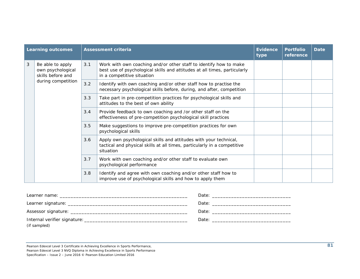|   | <b>Learning outcomes</b>                                   |     | <b>Assessment criteria</b>                                                                                                                                                   | <b>Evidence</b><br>type | <b>Portfolio</b><br>reference | <b>Date</b> |
|---|------------------------------------------------------------|-----|------------------------------------------------------------------------------------------------------------------------------------------------------------------------------|-------------------------|-------------------------------|-------------|
| 3 | Be able to apply<br>own psychological<br>skills before and | 3.1 | Work with own coaching and/or other staff to identify how to make<br>best use of psychological skills and attitudes at all times, particularly<br>in a competitive situation |                         |                               |             |
|   | during competition                                         | 3.2 | Identify with own coaching and/or other staff how to practise the<br>necessary psychological skills before, during, and after, competition                                   |                         |                               |             |
|   |                                                            | 3.3 | Take part in pre-competition practices for psychological skills and<br>attitudes to the best of own ability                                                                  |                         |                               |             |
|   |                                                            | 3.4 | Provide feedback to own coaching and /or other staff on the<br>effectiveness of pre-competition psychological skill practices                                                |                         |                               |             |
|   |                                                            | 3.5 | Make suggestions to improve pre-competition practices for own<br>psychological skills                                                                                        |                         |                               |             |
|   |                                                            | 3.6 | Apply own psychological skills and attitudes with your technical,<br>tactical and physical skills at all times, particularly in a competitive<br>situation                   |                         |                               |             |
|   |                                                            | 3.7 | Work with own coaching and/or other staff to evaluate own<br>psychological performance                                                                                       |                         |                               |             |
|   |                                                            | 3.8 | Identify and agree with own coaching and/or other staff how to<br>improve use of psychological skills and how to apply them                                                  |                         |                               |             |

| Learner name: will be a state of the state of the state of the state of the state of the state of the state of the state of the state of the state of the state of the state of the state of the state of the state of the sta |  |
|--------------------------------------------------------------------------------------------------------------------------------------------------------------------------------------------------------------------------------|--|
|                                                                                                                                                                                                                                |  |
|                                                                                                                                                                                                                                |  |
| (if sampled)                                                                                                                                                                                                                   |  |

Pearson Edexcel Level 3 Certificate in Achieving Excellence in Sports Performance, Pearson Edexcel Level 3 NVQ Diploma in Achieving Excellence in Sports Performance

Specification – Issue 2 – June 2016 © Pearson Education Limited 2016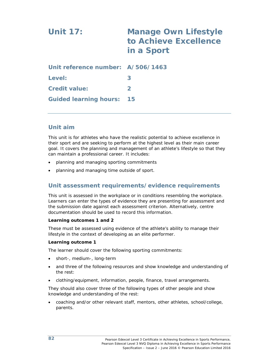| <b>Unit 17:</b>                   | <b>Manage Own Lifestyle</b><br>to Achieve Excellence<br>in a Sport |  |  |
|-----------------------------------|--------------------------------------------------------------------|--|--|
| Unit reference number: A/506/1463 |                                                                    |  |  |
| Level:                            | 3                                                                  |  |  |
| <b>Credit value:</b>              | $\mathbf{2}$                                                       |  |  |
| <b>Guided learning hours:</b>     | 15                                                                 |  |  |

This unit is for athletes who have the realistic potential to achieve excellence in their sport and are seeking to perform at the highest level as their main career goal. It covers the planning and management of an athlete's lifestyle so that they can maintain a professional career. It includes:

- planning and managing sporting commitments
- planning and managing time outside of sport.

## **Unit assessment requirements/evidence requirements**

This unit is assessed in the workplace or in conditions resembling the workplace. Learners can enter the types of evidence they are presenting for assessment and the submission date against each assessment criterion. Alternatively, centre documentation should be used to record this information.

#### **Learning outcomes 1 and 2**

These must be assessed using evidence of the athlete's ability to manage their lifestyle in the context of developing as an elite performer.

#### **Learning outcome 1**

The learner should cover the following sporting commitments:

- short-, medium-, long-term
- and three of the following resources and show knowledge and understanding of the rest:
- clothing/equipment, information, people, finance, travel arrangements.

They should also cover three of the following types of other people and show knowledge and understanding of the rest:

 coaching and/or other relevant staff, mentors, other athletes, school/college, parents.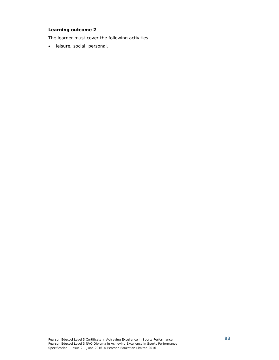#### **Learning outcome 2**

The learner must cover the following activities:

leisure, social, personal.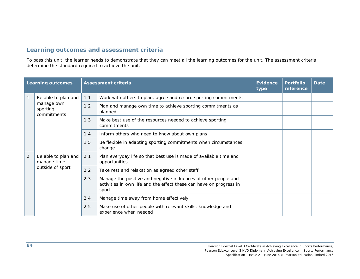| <b>Learning outcomes</b> |                                                        |     | <b>Assessment criteria</b>                                                                                                                      | Evidence<br>type | <b>Portfolio</b><br>reference | <b>Date</b> |
|--------------------------|--------------------------------------------------------|-----|-------------------------------------------------------------------------------------------------------------------------------------------------|------------------|-------------------------------|-------------|
|                          | Be able to plan and                                    | 1.1 | Work with others to plan, agree and record sporting commitments                                                                                 |                  |                               |             |
|                          | manage own<br>sporting<br>commitments                  | 1.2 | Plan and manage own time to achieve sporting commitments as<br>planned                                                                          |                  |                               |             |
|                          |                                                        | 1.3 | Make best use of the resources needed to achieve sporting<br>commitments                                                                        |                  |                               |             |
|                          |                                                        | 1.4 | Inform others who need to know about own plans                                                                                                  |                  |                               |             |
|                          |                                                        | 1.5 | Be flexible in adapting sporting commitments when circumstances<br>change                                                                       |                  |                               |             |
| $\overline{2}$           | Be able to plan and<br>manage time<br>outside of sport | 2.1 | Plan everyday life so that best use is made of available time and<br>opportunities                                                              |                  |                               |             |
|                          |                                                        | 2.2 | Take rest and relaxation as agreed other staff                                                                                                  |                  |                               |             |
|                          |                                                        | 2.3 | Manage the positive and negative influences of other people and<br>activities in own life and the effect these can have on progress in<br>sport |                  |                               |             |
|                          |                                                        | 2.4 | Manage time away from home effectively                                                                                                          |                  |                               |             |
|                          |                                                        | 2.5 | Make use of other people with relevant skills, knowledge and<br>experience when needed                                                          |                  |                               |             |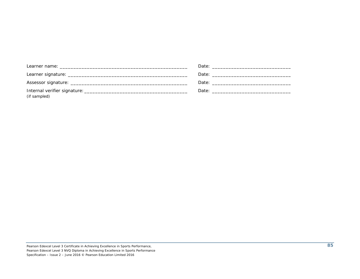| (if sampled) |  |
|--------------|--|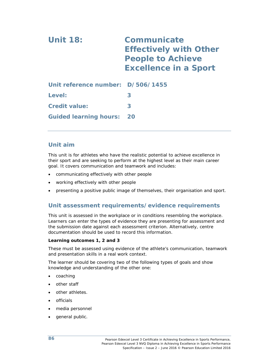| <b>Unit 18:</b>                   | <b>Communicate</b><br><b>Effectively with Other</b><br><b>People to Achieve</b><br><b>Excellence in a Sport</b> |  |  |
|-----------------------------------|-----------------------------------------------------------------------------------------------------------------|--|--|
| Unit reference number: D/506/1455 |                                                                                                                 |  |  |
| Level:                            | 3                                                                                                               |  |  |
| <b>Credit value:</b>              |                                                                                                                 |  |  |

This unit is for athletes who have the realistic potential to achieve excellence in their sport and are seeking to perform at the highest level as their main career goal. It covers communication and teamwork and includes:

- communicating effectively with other people
- working effectively with other people

**Guided learning hours: 20** 

presenting a positive public image of themselves, their organisation and sport.

## **Unit assessment requirements/evidence requirements**

This unit is assessed in the workplace or in conditions resembling the workplace. Learners can enter the types of evidence they are presenting for assessment and the submission date against each assessment criterion. Alternatively, centre documentation should be used to record this information.

#### **Learning outcomes 1, 2 and 3**

These must be assessed using evidence of the athlete's communication, teamwork and presentation skills in a real work context.

The learner should be covering two of the following types of goals and show knowledge and understanding of the other one:

- coaching
- other staff
- other athletes.
- officials
- media personnel
- general public.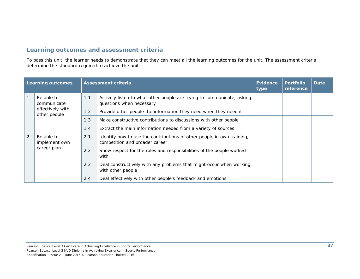| <b>Learning outcomes</b> |                                            |     | <b>Assessment criteria</b>                                                                               | <b>Evidence</b><br>type | <b>Portfolio</b><br>reference | <b>Date</b> |
|--------------------------|--------------------------------------------|-----|----------------------------------------------------------------------------------------------------------|-------------------------|-------------------------------|-------------|
|                          | Be able to<br>communicate                  | 1.1 | Actively listen to what other people are trying to communicate, asking<br>questions when necessary       |                         |                               |             |
|                          | effectively with<br>other people           | 1.2 | Provide other people the information they need when they need it                                         |                         |                               |             |
|                          |                                            | 1.3 | Make constructive contributions to discussions with other people                                         |                         |                               |             |
|                          |                                            | 1.4 | Extract the main information needed from a variety of sources                                            |                         |                               |             |
| 2                        | Be able to<br>implement own<br>career plan | 2.1 | Identify how to use the contributions of other people in own training,<br>competition and broader career |                         |                               |             |
|                          |                                            | 2.2 | Show respect for the roles and responsibilities of the people worked<br>with                             |                         |                               |             |
|                          |                                            | 2.3 | Deal constructively with any problems that might occur when working<br>with other people                 |                         |                               |             |
|                          |                                            | 2.4 | Deal effectively with other people's feedback and emotions                                               |                         |                               |             |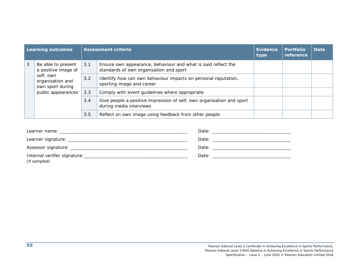| <b>Learning outcomes</b> |                                                                         |               | Assessment criteria                                                                                      | Evidence<br>type | <b>Portfolio</b><br>reference | Date |
|--------------------------|-------------------------------------------------------------------------|---------------|----------------------------------------------------------------------------------------------------------|------------------|-------------------------------|------|
| 3                        | Be able to present<br>a positive image of                               | 3.1           | Ensure own appearance, behaviour and what is said reflect the<br>standards of own organisation and sport |                  |                               |      |
|                          | self, own<br>organisation and<br>own sport during<br>public appearances | $3.2^{\circ}$ | Identify how can own behaviour impacts on personal reputation,<br>sporting image and career              |                  |                               |      |
|                          |                                                                         | 3.3           | Comply with event guidelines where appropriate                                                           |                  |                               |      |
|                          |                                                                         | 3.4           | Give people a positive impression of self, own organisation and sport<br>during media interviews         |                  |                               |      |
|                          |                                                                         | 3.5           | Reflect on own image using feedback from other people                                                    |                  |                               |      |

| (if sampled) |  |
|--------------|--|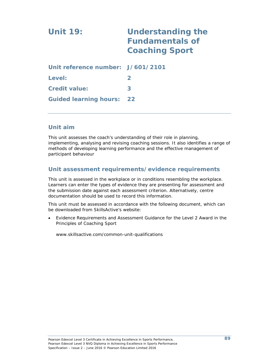# **Unit 19: Understanding the Fundamentals of Coaching Sport Unit reference number: J/601/2101 Level: 2 Credit value: 3**

## **Unit aim**

**Guided learning hours: 22** 

This unit assesses the coach's understanding of their role in planning, implementing, analysing and revising coaching sessions. It also identifies a range of methods of developing learning performance and the effective management of participant behaviour

## **Unit assessment requirements/evidence requirements**

This unit is assessed in the workplace or in conditions resembling the workplace. Learners can enter the types of evidence they are presenting for assessment and the submission date against each assessment criterion. Alternatively, centre documentation should be used to record this information.

This unit must be assessed in accordance with the following document, which can be downloaded from SkillsActive's website:

 *Evidence Requirements and Assessment Guidance for the Level 2 Award in the Principles of Coaching Sport*

www.skillsactive.com/common-unit-qualifications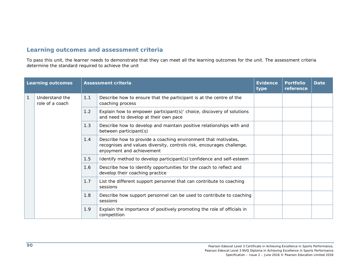|              | <b>Learning outcomes</b>          |     | <b>Assessment criteria</b>                                                                                                                                           | <b>Evidence</b><br>type | <b>Portfolio</b><br>reference | <b>Date</b> |
|--------------|-----------------------------------|-----|----------------------------------------------------------------------------------------------------------------------------------------------------------------------|-------------------------|-------------------------------|-------------|
| $\mathbf{1}$ | Understand the<br>role of a coach | 1.1 | Describe how to ensure that the participant is at the centre of the<br>coaching process                                                                              |                         |                               |             |
|              |                                   | 1.2 | Explain how to empower participant(s)' choice, discovery of solutions<br>and need to develop at their own pace                                                       |                         |                               |             |
|              |                                   | 1.3 | Describe how to develop and maintain positive relationships with and<br>between participant(s)                                                                       |                         |                               |             |
|              |                                   | 1.4 | Describe how to provide a coaching environment that motivates,<br>recognises and values diversity, controls risk, encourages challenge,<br>enjoyment and achievement |                         |                               |             |
|              |                                   | 1.5 | Identify method to develop participant(s)'confidence and self-esteem                                                                                                 |                         |                               |             |
|              |                                   | 1.6 | Describe how to identify opportunities for the coach to reflect and<br>develop their coaching practice                                                               |                         |                               |             |
|              |                                   | 1.7 | List the different support personnel that can contribute to coaching<br>sessions                                                                                     |                         |                               |             |
|              |                                   | 1.8 | Describe how support personnel can be used to contribute to coaching<br>sessions                                                                                     |                         |                               |             |
|              |                                   | 1.9 | Explain the importance of positively promoting the role of officials in<br>competition                                                                               |                         |                               |             |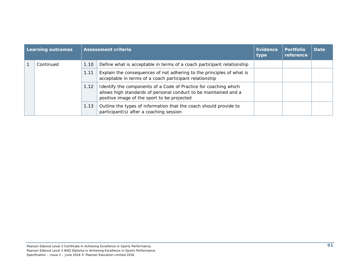| <b>Learning outcomes</b> |           | <b>Assessment criteria</b> |                                                                                                                                                                                     | <b>Evidence</b><br>type | <b>Portfolio</b><br>reference | <b>Date</b> |
|--------------------------|-----------|----------------------------|-------------------------------------------------------------------------------------------------------------------------------------------------------------------------------------|-------------------------|-------------------------------|-------------|
|                          | Continued | 1.10                       | Define what is acceptable in terms of a coach participant relationship                                                                                                              |                         |                               |             |
|                          |           | 1.11                       | Explain the consequences of not adhering to the principles of what is<br>acceptable in terms of a coach participant relationship                                                    |                         |                               |             |
|                          |           | 1.12                       | Identify the components of a Code of Practice for coaching which<br>allows high standards of personal conduct to be maintained and a<br>positive image of the sport to be projected |                         |                               |             |
|                          |           | 1.13                       | Outline the types of information that the coach should provide to<br>participant(s) after a coaching session                                                                        |                         |                               |             |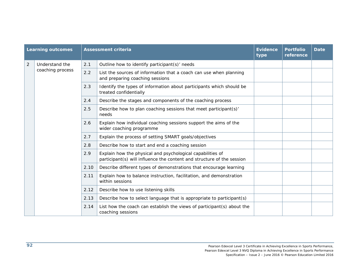|                | <b>Learning outcomes</b> |      | <b>Assessment criteria</b>                                                                                                           | <b>Evidence</b><br>type | <b>Portfolio</b><br>reference | <b>Date</b> |
|----------------|--------------------------|------|--------------------------------------------------------------------------------------------------------------------------------------|-------------------------|-------------------------------|-------------|
| $\overline{2}$ | Understand the           | 2.1  | Outline how to identify participant(s)' needs                                                                                        |                         |                               |             |
|                | coaching process         | 2.2  | List the sources of information that a coach can use when planning<br>and preparing coaching sessions                                |                         |                               |             |
|                |                          | 2.3  | Identify the types of information about participants which should be<br>treated confidentially                                       |                         |                               |             |
|                |                          | 2.4  | Describe the stages and components of the coaching process                                                                           |                         |                               |             |
|                |                          | 2.5  | Describe how to plan coaching sessions that meet participant(s)'<br>needs                                                            |                         |                               |             |
|                |                          | 2.6  | Explain how individual coaching sessions support the aims of the<br>wider coaching programme                                         |                         |                               |             |
|                |                          | 2.7  | Explain the process of setting SMART goals/objectives                                                                                |                         |                               |             |
|                |                          | 2.8  | Describe how to start and end a coaching session                                                                                     |                         |                               |             |
|                |                          | 2.9  | Explain how the physical and psychological capabilities of<br>participant(s) will influence the content and structure of the session |                         |                               |             |
|                |                          | 2.10 | Describe different types of demonstrations that encourage learning                                                                   |                         |                               |             |
|                |                          | 2.11 | Explain how to balance instruction, facilitation, and demonstration<br>within sessions                                               |                         |                               |             |
|                |                          | 2.12 | Describe how to use listening skills                                                                                                 |                         |                               |             |
|                |                          | 2.13 | Describe how to select language that is appropriate to participant(s)                                                                |                         |                               |             |
|                |                          | 2.14 | List how the coach can establish the views of participant(s) about the<br>coaching sessions                                          |                         |                               |             |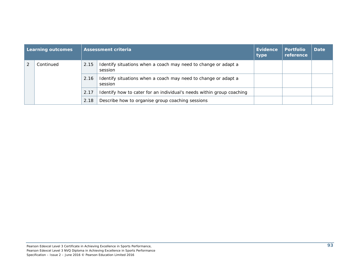| Learning outcomes |           |      | <b>Assessment criteria</b>                                                | Evidence<br>type | <b>Portfolio</b><br>reference | <b>Date</b> |
|-------------------|-----------|------|---------------------------------------------------------------------------|------------------|-------------------------------|-------------|
|                   | Continued | 2.15 | Identify situations when a coach may need to change or adapt a<br>session |                  |                               |             |
|                   |           | 2.16 | Identify situations when a coach may need to change or adapt a<br>session |                  |                               |             |
|                   |           | 2.17 | Identify how to cater for an individual's needs within group coaching     |                  |                               |             |
|                   |           | 2.18 | Describe how to organise group coaching sessions                          |                  |                               |             |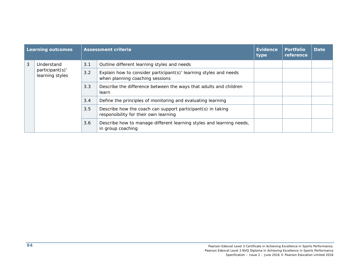| <b>Learning outcomes</b> |                                    |     | <b>Assessment criteria</b>                                                                           | Evidence<br>type | <b>Portfolio</b><br>reference | <b>Date</b> |
|--------------------------|------------------------------------|-----|------------------------------------------------------------------------------------------------------|------------------|-------------------------------|-------------|
| 3                        | Understand                         | 3.1 | Outline different learning styles and needs                                                          |                  |                               |             |
|                          | participant(s)'<br>learning styles | 3.2 | Explain how to consider participant(s)' learning styles and needs<br>when planning coaching sessions |                  |                               |             |
|                          |                                    | 3.3 | Describe the difference between the ways that adults and children<br>learn                           |                  |                               |             |
|                          |                                    | 3.4 | Define the principles of monitoring and evaluating learning                                          |                  |                               |             |
|                          |                                    | 3.5 | Describe how the coach can support participant(s) in taking<br>responsibility for their own learning |                  |                               |             |
|                          |                                    | 3.6 | Describe how to manage different learning styles and learning needs,<br>in group coaching            |                  |                               |             |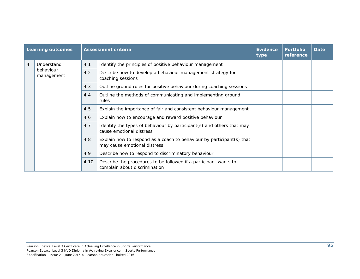| <b>Learning outcomes</b> |                                       |      | <b>Assessment criteria</b>                                                                            | <b>Evidence</b><br>type | <b>Portfolio</b><br>reference | <b>Date</b> |
|--------------------------|---------------------------------------|------|-------------------------------------------------------------------------------------------------------|-------------------------|-------------------------------|-------------|
| $\overline{4}$           | Understand<br>behaviour<br>management | 4.1  | Identify the principles of positive behaviour management                                              |                         |                               |             |
|                          |                                       | 4.2  | Describe how to develop a behaviour management strategy for<br>coaching sessions                      |                         |                               |             |
|                          |                                       | 4.3  | Outline ground rules for positive behaviour during coaching sessions                                  |                         |                               |             |
|                          |                                       | 4.4  | Outline the methods of communicating and implementing ground<br>rules                                 |                         |                               |             |
|                          |                                       | 4.5  | Explain the importance of fair and consistent behaviour management                                    |                         |                               |             |
|                          |                                       | 4.6  | Explain how to encourage and reward positive behaviour                                                |                         |                               |             |
|                          |                                       | 4.7  | Identify the types of behaviour by participant(s) and others that may<br>cause emotional distress     |                         |                               |             |
|                          |                                       | 4.8  | Explain how to respond as a coach to behaviour by participant(s) that<br>may cause emotional distress |                         |                               |             |
|                          |                                       | 4.9  | Describe how to respond to discriminatory behaviour                                                   |                         |                               |             |
|                          |                                       | 4.10 | Describe the procedures to be followed if a participant wants to<br>complain about discrimination     |                         |                               |             |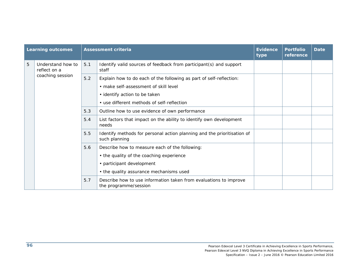|   | <b>Learning outcomes</b>          |       | <b>Assessment criteria</b>                                                                 | <b>Evidence</b><br>type | <b>Portfolio</b><br>reference | <b>Date</b> |
|---|-----------------------------------|-------|--------------------------------------------------------------------------------------------|-------------------------|-------------------------------|-------------|
| 5 | Understand how to<br>reflect on a | 5.1   | Identify valid sources of feedback from participant(s) and support<br>staff                |                         |                               |             |
|   | coaching session                  | $5.2$ | Explain how to do each of the following as part of self-reflection:                        |                         |                               |             |
|   |                                   |       | · make self-assessment of skill level                                                      |                         |                               |             |
|   |                                   |       | • identify action to be taken                                                              |                         |                               |             |
|   |                                   |       | • use different methods of self-reflection                                                 |                         |                               |             |
|   |                                   | 5.3   | Outline how to use evidence of own performance                                             |                         |                               |             |
|   |                                   | 5.4   | List factors that impact on the ability to identify own development<br>needs               |                         |                               |             |
|   |                                   | 5.5   | Identify methods for personal action planning and the prioritisation of<br>such planning   |                         |                               |             |
|   |                                   | 5.6   | Describe how to measure each of the following:                                             |                         |                               |             |
|   |                                   |       | • the quality of the coaching experience                                                   |                         |                               |             |
|   |                                   |       | • participant development                                                                  |                         |                               |             |
|   |                                   |       | • the quality assurance mechanisms used                                                    |                         |                               |             |
|   |                                   | 5.7   | Describe how to use information taken from evaluations to improve<br>the programme/session |                         |                               |             |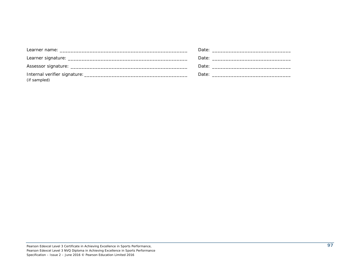|              | Date: the contract of the contract of the contract of the contract of the contract of the contract of the contract of the contract of the contract of the contract of the contract of the contract of the contract of the cont |
|--------------|--------------------------------------------------------------------------------------------------------------------------------------------------------------------------------------------------------------------------------|
| (if sampled) |                                                                                                                                                                                                                                |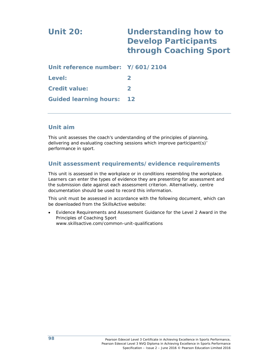| <b>Unit 20:</b>                   | <b>Understanding how to</b><br><b>Develop Participants</b><br>through Coaching Sport |  |  |
|-----------------------------------|--------------------------------------------------------------------------------------|--|--|
| Unit reference number: Y/601/2104 |                                                                                      |  |  |
| Level:                            | $\mathbf{2}$                                                                         |  |  |
| <b>Credit value:</b>              | $\mathbf{2}$                                                                         |  |  |
| <b>Guided learning hours:</b>     | $12 \ \mathsf{ }$                                                                    |  |  |

This unit assesses the coach's understanding of the principles of planning, delivering and evaluating coaching sessions which improve participant(s)' performance in sport.

## **Unit assessment requirements/evidence requirements**

This unit is assessed in the workplace or in conditions resembling the workplace. Learners can enter the types of evidence they are presenting for assessment and the submission date against each assessment criterion. Alternatively, centre documentation should be used to record this information.

This unit must be assessed in accordance with the following document, which can be downloaded from the SkillsActive website:

 *Evidence Requirements and Assessment Guidance for the Level 2 Award in the Principles of Coaching Sport*  www.skillsactive.com/common-unit-qualifications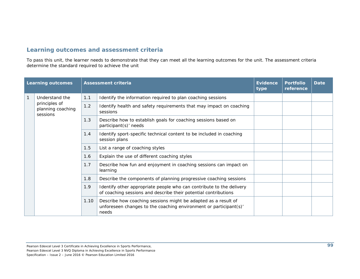| <b>Learning outcomes</b> |                                                |      | <b>Assessment criteria</b>                                                                                                                   | <b>Evidence</b><br>type | <b>Portfolio</b><br>reference | <b>Date</b> |
|--------------------------|------------------------------------------------|------|----------------------------------------------------------------------------------------------------------------------------------------------|-------------------------|-------------------------------|-------------|
| $\mathbf{1}$             | Understand the                                 | 1.1  | Identify the information required to plan coaching sessions                                                                                  |                         |                               |             |
|                          | principles of<br>planning coaching<br>sessions | 1.2  | Identify health and safety requirements that may impact on coaching<br>sessions                                                              |                         |                               |             |
|                          |                                                | 1.3  | Describe how to establish goals for coaching sessions based on<br>participant(s)' needs                                                      |                         |                               |             |
|                          |                                                | 1.4  | Identify sport-specific technical content to be included in coaching<br>session plans                                                        |                         |                               |             |
|                          |                                                | 1.5  | List a range of coaching styles                                                                                                              |                         |                               |             |
|                          |                                                | 1.6  | Explain the use of different coaching styles                                                                                                 |                         |                               |             |
|                          |                                                | 1.7  | Describe how fun and enjoyment in coaching sessions can impact on<br>learning                                                                |                         |                               |             |
|                          |                                                | 1.8  | Describe the components of planning progressive coaching sessions                                                                            |                         |                               |             |
|                          |                                                | 1.9  | Identify other appropriate people who can contribute to the delivery<br>of coaching sessions and describe their potential contributions      |                         |                               |             |
|                          |                                                | 1.10 | Describe how coaching sessions might be adapted as a result of<br>unforeseen changes to the coaching environment or participant(s)'<br>needs |                         |                               |             |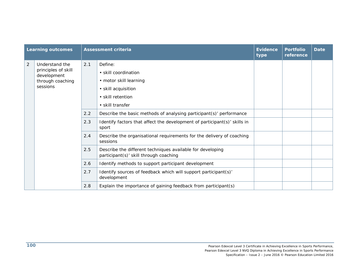|                | <b>Learning outcomes</b>           |     | <b>Assessment criteria</b>                                                                           | <b>Evidence</b><br>type | <b>Portfolio</b><br>reference | <b>Date</b> |
|----------------|------------------------------------|-----|------------------------------------------------------------------------------------------------------|-------------------------|-------------------------------|-------------|
| $\overline{2}$ | Understand the                     | 2.1 | Define:                                                                                              |                         |                               |             |
|                | principles of skill<br>development |     | • skill coordination                                                                                 |                         |                               |             |
|                | through coaching                   |     | • motor skill learning                                                                               |                         |                               |             |
|                | sessions                           |     | · skill acquisition                                                                                  |                         |                               |             |
|                |                                    |     | • skill retention                                                                                    |                         |                               |             |
|                |                                    |     | · skill transfer                                                                                     |                         |                               |             |
|                |                                    | 2.2 | Describe the basic methods of analysing participant(s)' performance                                  |                         |                               |             |
|                |                                    | 2.3 | Identify factors that affect the development of participant(s)' skills in<br>sport                   |                         |                               |             |
|                |                                    | 2.4 | Describe the organisational requirements for the delivery of coaching<br>sessions                    |                         |                               |             |
|                |                                    | 2.5 | Describe the different techniques available for developing<br>participant(s)' skill through coaching |                         |                               |             |
|                |                                    | 2.6 | Identify methods to support participant development                                                  |                         |                               |             |
|                |                                    | 2.7 | Identify sources of feedback which will support participant(s)'<br>development                       |                         |                               |             |
|                |                                    | 2.8 | Explain the importance of gaining feedback from participant(s)                                       |                         |                               |             |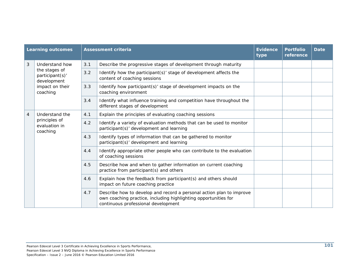| <b>Learning outcomes</b> |                                                              | <b>Assessment criteria</b> |                                                                                                                                                                                | <b>Evidence</b><br>type | <b>Portfolio</b><br>reference | <b>Date</b> |
|--------------------------|--------------------------------------------------------------|----------------------------|--------------------------------------------------------------------------------------------------------------------------------------------------------------------------------|-------------------------|-------------------------------|-------------|
| 3                        | Understand how                                               | 3.1                        | Describe the progressive stages of development through maturity                                                                                                                |                         |                               |             |
|                          | the stages of<br>participant(s)'<br>development              | 3.2                        | Identify how the participant(s)' stage of development affects the<br>content of coaching sessions                                                                              |                         |                               |             |
|                          | impact on their<br>coaching                                  | 3.3                        | Identify how participant(s)' stage of development impacts on the<br>coaching environment                                                                                       |                         |                               |             |
|                          |                                                              | 3.4                        | Identify what influence training and competition have throughout the<br>different stages of development                                                                        |                         |                               |             |
| $\overline{4}$           | Understand the<br>principles of<br>evaluation in<br>coaching | 4.1                        | Explain the principles of evaluating coaching sessions                                                                                                                         |                         |                               |             |
|                          |                                                              | 4.2                        | Identify a variety of evaluation methods that can be used to monitor<br>participant(s)' development and learning                                                               |                         |                               |             |
|                          |                                                              | 4.3                        | Identify types of information that can be gathered to monitor<br>participant(s)' development and learning                                                                      |                         |                               |             |
|                          |                                                              | 4.4                        | Identify appropriate other people who can contribute to the evaluation<br>of coaching sessions                                                                                 |                         |                               |             |
|                          |                                                              | 4.5                        | Describe how and when to gather information on current coaching<br>practice from participant(s) and others                                                                     |                         |                               |             |
|                          |                                                              | 4.6                        | Explain how the feedback from participant(s) and others should<br>impact on future coaching practice                                                                           |                         |                               |             |
|                          |                                                              | 4.7                        | Describe how to develop and record a personal action plan to improve<br>own coaching practice, including highlighting opportunities for<br>continuous professional development |                         |                               |             |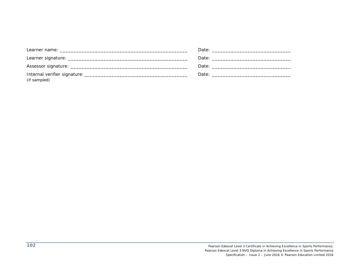| Learner name: will be a state of the state of the state of the state of the state of the state of the state of the state of the state of the state of the state of the state of the state of the state of the state of the sta |  |
|--------------------------------------------------------------------------------------------------------------------------------------------------------------------------------------------------------------------------------|--|
|                                                                                                                                                                                                                                |  |
|                                                                                                                                                                                                                                |  |
|                                                                                                                                                                                                                                |  |
| (if sampled)                                                                                                                                                                                                                   |  |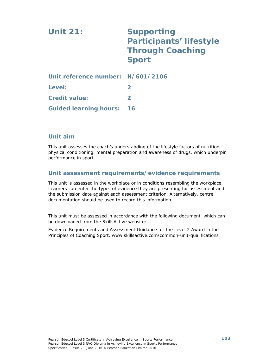| <b>Unit 21:</b>                   | <b>Supporting</b><br><b>Participants' lifestyle</b><br><b>Through Coaching</b><br><b>Sport</b> |
|-----------------------------------|------------------------------------------------------------------------------------------------|
| Unit reference number: H/601/2106 |                                                                                                |
| Level:                            | $\mathbf{2}$                                                                                   |
| <b>Credit value:</b>              | $\mathbf{2}$                                                                                   |
| <b>Guided learning hours:</b>     | 16                                                                                             |

# **Unit aim**

This unit assesses the coach's understanding of the lifestyle factors of nutrition, physical conditioning, mental preparation and awareness of drugs, which underpin performance in sport

# **Unit assessment requirements/evidence requirements**

This unit is assessed in the workplace or in conditions resembling the workplace. Learners can enter the types of evidence they are presenting for assessment and the submission date against each assessment criterion. Alternatively, centre documentation should be used to record this information.

This unit must be assessed in accordance with the following document, which can be downloaded from the SkillsActive website:

Evidence Requirements and Assessment Guidance for the Level 2 Award in the Principles of Coaching Sport. www.skillsactive.com/common-unit-qualifications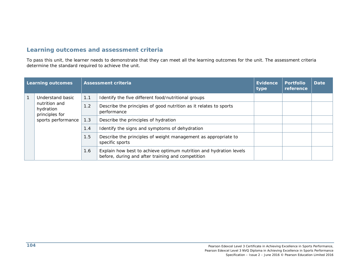# **Learning outcomes and assessment criteria**

To pass this unit, the learner needs to demonstrate that they can meet all the learning outcomes for the unit. The assessment criteria determine the standard required to achieve the unit.

| <b>Learning outcomes</b> |                                                                    |     | Assessment criteria                                                                                                     | Evidence<br>type | <b>Portfolio</b><br>reference | <b>Date</b> |
|--------------------------|--------------------------------------------------------------------|-----|-------------------------------------------------------------------------------------------------------------------------|------------------|-------------------------------|-------------|
|                          | Understand basic                                                   | 1.1 | Identify the five different food/nutritional groups                                                                     |                  |                               |             |
|                          | nutrition and<br>hydration<br>principles for<br>sports performance | 1.2 | Describe the principles of good nutrition as it relates to sports<br>performance                                        |                  |                               |             |
|                          |                                                                    | 1.3 | Describe the principles of hydration                                                                                    |                  |                               |             |
|                          |                                                                    | 1.4 | Identify the signs and symptoms of dehydration                                                                          |                  |                               |             |
|                          |                                                                    | 1.5 | Describe the principles of weight management as appropriate to<br>specific sports                                       |                  |                               |             |
|                          |                                                                    | 1.6 | Explain how best to achieve optimum nutrition and hydration levels<br>before, during and after training and competition |                  |                               |             |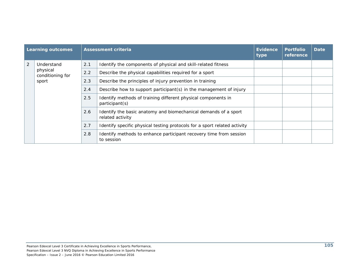| <b>Learning outcomes</b> |                                                     |     | <b>Assessment criteria</b>                                                          | Evidence<br>type | <b>Portfolio</b><br>reference | <b>Date</b> |
|--------------------------|-----------------------------------------------------|-----|-------------------------------------------------------------------------------------|------------------|-------------------------------|-------------|
| 2                        | Understand<br>physical<br>conditioning for<br>sport | 2.1 | Identify the components of physical and skill-related fitness                       |                  |                               |             |
|                          |                                                     | 2.2 | Describe the physical capabilities required for a sport                             |                  |                               |             |
|                          |                                                     | 2.3 | Describe the principles of injury prevention in training                            |                  |                               |             |
|                          |                                                     | 2.4 | Describe how to support participant(s) in the management of injury                  |                  |                               |             |
|                          |                                                     | 2.5 | Identify methods of training different physical components in<br>participant(s)     |                  |                               |             |
|                          |                                                     | 2.6 | Identify the basic anatomy and biomechanical demands of a sport<br>related activity |                  |                               |             |
|                          |                                                     | 2.7 | Identify specific physical testing protocols for a sport related activity           |                  |                               |             |
|                          |                                                     | 2.8 | Identify methods to enhance participant recovery time from session<br>to session    |                  |                               |             |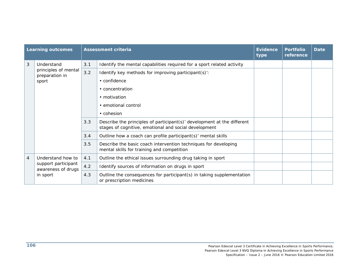| <b>Learning outcomes</b> |                                           |     | <b>Assessment criteria</b>                                                                                                       | <b>Evidence</b><br>type | <b>Portfolio</b><br>reference | <b>Date</b> |
|--------------------------|-------------------------------------------|-----|----------------------------------------------------------------------------------------------------------------------------------|-------------------------|-------------------------------|-------------|
| 3                        | Understand                                | 3.1 | Identify the mental capabilities required for a sport related activity                                                           |                         |                               |             |
|                          | principles of mental<br>preparation in    | 3.2 | Identify key methods for improving participant(s):                                                                               |                         |                               |             |
|                          | sport                                     |     | $\cdot$ confidence                                                                                                               |                         |                               |             |
|                          |                                           |     | • concentration                                                                                                                  |                         |                               |             |
|                          |                                           |     | • motivation                                                                                                                     |                         |                               |             |
|                          |                                           |     | • emotional control                                                                                                              |                         |                               |             |
|                          |                                           |     | • cohesion                                                                                                                       |                         |                               |             |
|                          |                                           | 3.3 | Describe the principles of participant(s)' development at the different<br>stages of cognitive, emotional and social development |                         |                               |             |
|                          |                                           | 3.4 | Outline how a coach can profile participant(s)' mental skills                                                                    |                         |                               |             |
|                          |                                           | 3.5 | Describe the basic coach intervention techniques for developing<br>mental skills for training and competition                    |                         |                               |             |
| $\overline{4}$           | Understand how to                         | 4.1 | Outline the ethical issues surrounding drug taking in sport                                                                      |                         |                               |             |
|                          | support participant<br>awareness of drugs | 4.2 | Identify sources of information on drugs in sport                                                                                |                         |                               |             |
|                          | in sport                                  | 4.3 | Outline the consequences for participant(s) in taking supplementation<br>or prescription medicines                               |                         |                               |             |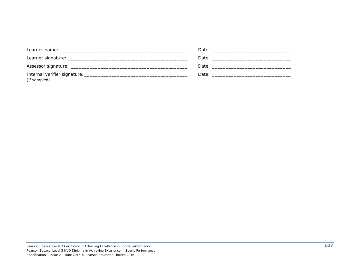|              | Date: the contract of the contract of the contract of the contract of the contract of the contract of the contract of the contract of the contract of the contract of the contract of the contract of the contract of the cont |
|--------------|--------------------------------------------------------------------------------------------------------------------------------------------------------------------------------------------------------------------------------|
| (if sampled) |                                                                                                                                                                                                                                |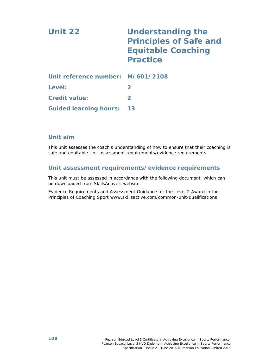| Unit 22                           | <b>Understanding the</b><br><b>Principles of Safe and</b><br><b>Equitable Coaching</b><br><b>Practice</b> |
|-----------------------------------|-----------------------------------------------------------------------------------------------------------|
| Unit reference number: M/601/2108 |                                                                                                           |
| Level:                            | $\mathbf{2}$                                                                                              |
| <b>Credit value:</b>              | $\mathbf{2}$                                                                                              |
| <b>Guided learning hours:</b>     | 13                                                                                                        |

# **Unit aim**

This unit assesses the coach's understanding of how to ensure that their coaching is safe and equitable Unit assessment requirements/evidence requirements

# **Unit assessment requirements/evidence requirements**

This unit must be assessed in accordance with the following document, which can be downloaded from SkillsActive's website:

Evidence Requirements and Assessment Guidance for the Level 2 Award in the Principles of Coaching Sport www.skillsactive.com/common-unit-qualifications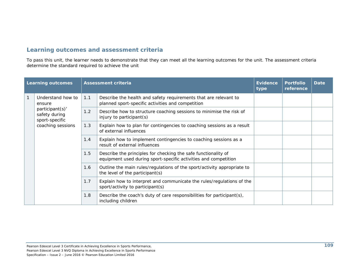# **Learning outcomes and assessment criteria**

To pass this unit, the learner needs to demonstrate that they can meet all the learning outcomes for the unit. The assessment criteria determine the standard required to achieve the unit

|              | <b>Learning outcomes</b>                                                                               |     | <b>Assessment criteria</b>                                                                                                        | <b>Evidence</b><br>type | <b>Portfolio</b><br>reference | <b>Date</b> |
|--------------|--------------------------------------------------------------------------------------------------------|-----|-----------------------------------------------------------------------------------------------------------------------------------|-------------------------|-------------------------------|-------------|
| $\mathbf{1}$ | Understand how to<br>ensure<br>participant(s)'<br>safety during<br>sport-specific<br>coaching sessions | 1.1 | Describe the health and safety requirements that are relevant to<br>planned sport-specific activities and competition             |                         |                               |             |
|              |                                                                                                        | 1.2 | Describe how to structure coaching sessions to minimise the risk of<br>injury to participant(s)                                   |                         |                               |             |
|              |                                                                                                        | 1.3 | Explain how to plan for contingencies to coaching sessions as a result<br>of external influences                                  |                         |                               |             |
|              |                                                                                                        | 1.4 | Explain how to implement contingencies to coaching sessions as a<br>result of external influences                                 |                         |                               |             |
|              |                                                                                                        | 1.5 | Describe the principles for checking the safe functionality of<br>equipment used during sport-specific activities and competition |                         |                               |             |
|              |                                                                                                        | 1.6 | Outline the main rules/regulations of the sport/activity appropriate to<br>the level of the participant(s)                        |                         |                               |             |
|              |                                                                                                        | 1.7 | Explain how to interpret and communicate the rules/regulations of the<br>sport/activity to participant(s)                         |                         |                               |             |
|              |                                                                                                        | 1.8 | Describe the coach's duty of care responsibilities for participant(s),<br>including children                                      |                         |                               |             |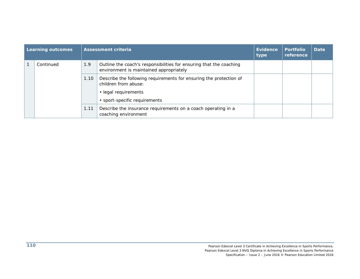| <b>Learning outcomes</b> |      | <b>Assessment criteria</b>                                                                                                                          | Evidence<br>type | <b>Portfolio</b><br>reference | Date |
|--------------------------|------|-----------------------------------------------------------------------------------------------------------------------------------------------------|------------------|-------------------------------|------|
| Continued                | 1.9  | Outline the coach's responsibilities for ensuring that the coaching<br>environment is maintained appropriately                                      |                  |                               |      |
|                          | 1.10 | Describe the following requirements for ensuring the protection of<br>children from abuse:<br>• legal requirements<br>• sport-specific requirements |                  |                               |      |
|                          | 1.11 | Describe the insurance requirements on a coach operating in a<br>coaching environment                                                               |                  |                               |      |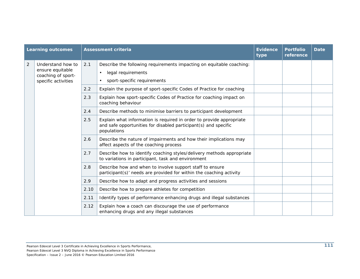| <b>Learning outcomes</b> |                                        |      | <b>Assessment criteria</b>                                                                                                                             | <b>Evidence</b><br>type | <b>Portfolio</b><br>reference | <b>Date</b> |
|--------------------------|----------------------------------------|------|--------------------------------------------------------------------------------------------------------------------------------------------------------|-------------------------|-------------------------------|-------------|
| $\overline{2}$           | Understand how to                      | 2.1  | Describe the following requirements impacting on equitable coaching:                                                                                   |                         |                               |             |
|                          | ensure equitable<br>coaching of sport- |      | legal requirements<br>$\bullet$                                                                                                                        |                         |                               |             |
|                          | specific activities                    |      | sport-specific requirements<br>$\bullet$                                                                                                               |                         |                               |             |
|                          |                                        | 2.2  | Explain the purpose of sport-specific Codes of Practice for coaching                                                                                   |                         |                               |             |
|                          |                                        | 2.3  | Explain how sport-specific Codes of Practice for coaching impact on<br>coaching behaviour                                                              |                         |                               |             |
|                          |                                        | 2.4  | Describe methods to minimise barriers to participant development                                                                                       |                         |                               |             |
|                          |                                        | 2.5  | Explain what information is required in order to provide appropriate<br>and safe opportunities for disabled participant(s) and specific<br>populations |                         |                               |             |
|                          |                                        | 2.6  | Describe the nature of impairments and how their implications may<br>affect aspects of the coaching process                                            |                         |                               |             |
|                          |                                        | 2.7  | Describe how to identify coaching styles/delivery methods appropriate<br>to variations in participant, task and environment                            |                         |                               |             |
|                          |                                        | 2.8  | Describe how and when to involve support staff to ensure<br>participant(s)' needs are provided for within the coaching activity                        |                         |                               |             |
|                          |                                        | 2.9  | Describe how to adapt and progress activities and sessions                                                                                             |                         |                               |             |
|                          |                                        | 2.10 | Describe how to prepare athletes for competition                                                                                                       |                         |                               |             |
|                          |                                        | 2.11 | Identify types of performance enhancing drugs and illegal substances                                                                                   |                         |                               |             |
|                          |                                        | 2.12 | Explain how a coach can discourage the use of performance<br>enhancing drugs and any illegal substances                                                |                         |                               |             |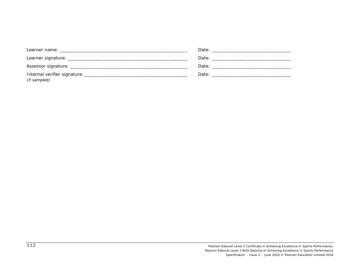| Learner name: will be a state of the state of the state of the state of the state of the state of the state of the state of the state of the state of the state of the state of the state of the state of the state of the sta |  |
|--------------------------------------------------------------------------------------------------------------------------------------------------------------------------------------------------------------------------------|--|
|                                                                                                                                                                                                                                |  |
|                                                                                                                                                                                                                                |  |
|                                                                                                                                                                                                                                |  |
| (if sampled)                                                                                                                                                                                                                   |  |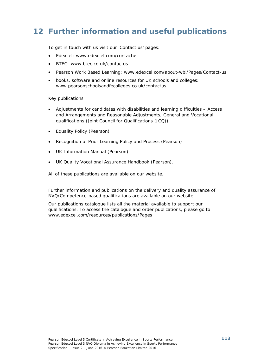# **12 Further information and useful publications**

To get in touch with us visit our 'Contact us' pages:

- Edexcel: www.edexcel.com/contactus
- BTEC: www.btec.co.uk/contactus
- Pearson Work Based Learning: www.edexcel.com/about-wbl/Pages/Contact-us
- books, software and online resources for UK schools and colleges: www.pearsonschoolsandfecolleges.co.uk/contactus

### Key publications

- *Adjustments for candidates with disabilities and learning difficulties Access and Arrangements and Reasonable Adjustments, General and Vocational qualifications* (Joint Council for Qualifications (JCQ))
- *Equality Policy* (Pearson)
- *Recognition of Prior Learning Policy and Process* (Pearson)
- *UK Information Manual* (Pearson)
- *UK Quality Vocational Assurance Handbook* (Pearson).

All of these publications are available on our website.

Further information and publications on the delivery and quality assurance of NVQ/Competence-based qualifications are available on our website.

Our publications catalogue lists all the material available to support our qualifications. To access the catalogue and order publications, please go to www.edexcel.com/resources/publications/Pages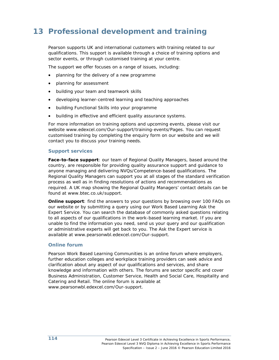# **13 Professional development and training**

Pearson supports UK and international customers with training related to our qualifications. This support is available through a choice of training options and sector events, or through customised training at your centre.

The support we offer focuses on a range of issues, including:

- planning for the delivery of a new programme
- planning for assessment
- building your team and teamwork skills
- developing learner-centred learning and teaching approaches
- building Functional Skills into your programme
- building in effective and efficient quality assurance systems.

For more information on training options and upcoming events, please visit our website www.edexcel.com/Our-support/training-events/Pages. You can request customised training by completing the enquiry form on our website and we will contact you to discuss your training needs.

# **Support services**

**Face-to-face support**: our team of Regional Quality Managers, based around the country, are responsible for providing quality assurance support and guidance to anyone managing and delivering NVQs/Competence-based qualifications. The Regional Quality Managers can support you at all stages of the standard verification process as well as in finding resolutions of actions and recommendations as required. A UK map showing the Regional Quality Managers' contact details can be found at www.btec.co.uk/support.

**Online support**: find the answers to your questions by browsing over 100 FAQs on our website or by submitting a query using our Work Based Learning Ask the Expert Service. You can search the database of commonly asked questions relating to all aspects of our qualifications in the work-based learning market. If you are unable to find the information you need, send us your query and our qualification or administrative experts will get back to you. The Ask the Expert service is available at www.pearsonwbl.edexcel.com/Our-support.

# **Online forum**

Pearson Work Based Learning Communities is an online forum where employers, further education colleges and workplace training providers can seek advice and clarification about any aspect of our qualifications and services, and share knowledge and information with others. The forums are sector specific and cover Business Administration, Customer Service, Health and Social Care, Hospitality and Catering and Retail. The online forum is available at www.pearsonwbl.edexcel.com/Our-support.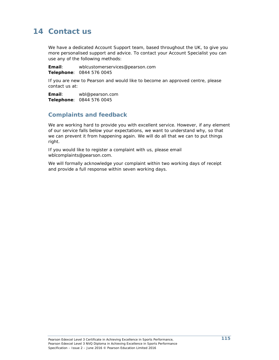# **14 Contact us**

We have a dedicated Account Support team, based throughout the UK, to give you more personalised support and advice. To contact your Account Specialist you can use any of the following methods:

**Email**: wblcustomerservices@pearson.com **Telephone**: 0844 576 0045

If you are new to Pearson and would like to become an approved centre, please contact us at:

**Email**: wbl@pearson.com **Telephone**: 0844 576 0045

# **Complaints and feedback**

We are working hard to provide you with excellent service. However, if any element of our service falls below your expectations, we want to understand why, so that we can prevent it from happening again. We will do all that we can to put things right.

If you would like to register a complaint with us, please email wblcomplaints@pearson.com.

We will formally acknowledge your complaint within two working days of receipt and provide a full response within seven working days.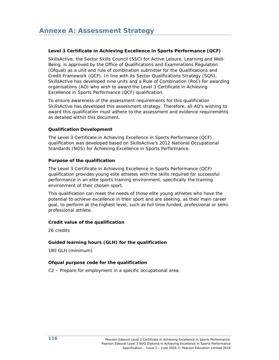# **Level 3 Certificate in Achieving Excellence in Sports Performance (QCF)**

SkillsActive, the Sector Skills Council (SSC) for Active Leisure, Learning and Well-Being, is approved by the Office of Qualifications and Examinations Regulation (Ofqual) as a unit and rule of combination submitter for the Qualifications and Credit Framework (QCF). In line with its Sector Qualifications Strategy (SQS), SkillsActive has developed nine units and a Rule of Combination (RoC) for awarding organisations (AO) who wish to award the Level 3 Certificate in Achieving Excellence in Sports Performance (QCF) qualification.

To ensure awareness of the assessment requirements for this qualification SkillsActive has developed this assessment strategy. Therefore, all AO's wishing to award this qualification must adhere to the assessment and evidence requirements as detailed within this document.

### **Qualification Development**

The Level 3 Certificate in Achieving Excellence in Sports Performance (QCF) qualification was developed based on SkillsActive's 2012 National Occupational Standards (NOS) for Achieving Excellence in Sports Performance.

### **Purpose of the qualification**

The Level 3 Certificate in Achieving Excellence in Sports Performance (QCF) qualification provides young elite athletes with the skills required for successful performance in an elite sports training environment, specifically the training environment of their chosen sport.

This qualification can meet the needs of those elite young athletes who have the potential to achieve excellence in their sport and are seeking, as their main career goal, to perform at the highest level, such as full time funded, professional or semiprofessional athlete.

# **Credit value of the qualification**

26 credits

# **Guided learning hours (GLH) for the qualification**

180 GLH (minimum)

# **Ofqual purpose code for the qualification**

C2 – Prepare for employment in a specific occupational area.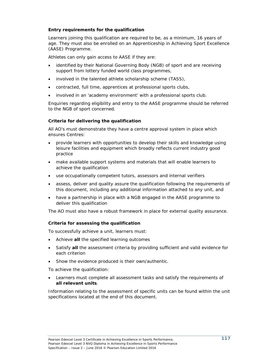# **Entry requirements for the qualification**

Learners joining this qualification are required to be, as a minimum, 16 years of age. They must also be enrolled on an Apprenticeship in Achieving Sport Excellence (AASE) Programme.

Athletes can only gain access to AASE if they are:

- identified by their National Governing Body (NGB) of sport and are receiving support from lottery funded world class programmes,
- involved in the talented athlete scholarship scheme (TASS),
- contracted, full time, apprentices at professional sports clubs,
- involved in an 'academy environment' with a professional sports club.

Enquiries regarding eligibility and entry to the AASE programme should be referred to the NGB of sport concerned.

# **Criteria for delivering the qualification**

All AO's must demonstrate they have a centre approval system in place which ensures Centres:

- provide learners with opportunities to develop their skills and knowledge using leisure facilities and equipment which broadly reflects current industry good practice
- make available support systems and materials that will enable learners to achieve the qualification
- use occupationally competent tutors, assessors and internal verifiers
- assess, deliver and quality assure the qualification following the requirements of this document, including any additional information attached to any unit, and
- have a partnership in place with a NGB engaged in the AASE programme to deliver this qualification

The AO must also have a robust framework in place for external quality assurance.

# **Criteria for assessing the qualification**

To successfully achieve a unit, learners must:

- Achieve **all** the specified learning outcomes
- Satisfy **all** the assessment criteria by providing sufficient and valid evidence for each criterion
- Show the evidence produced is their own/authentic.

To achieve the qualification:

 Learners must complete all assessment tasks and satisfy the requirements of **all relevant units**.

Information relating to the assessment of specific units can be found within the unit specifications located at the end of this document.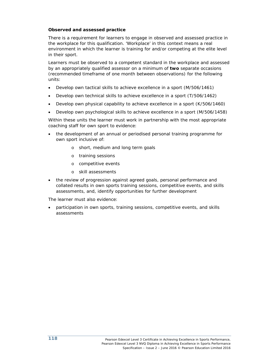## **Observed and assessed practice**

There is a requirement for learners to engage in observed and assessed practice in the workplace for this qualification. 'Workplace' in this context means a real environment in which the learner is training for and/or competing at the elite level in their sport.

Learners must be observed to a competent standard in the workplace and assessed by an appropriately qualified assessor on a minimum of **two** separate occasions (recommended timeframe of one month between observations) for the following units:

- Develop own tactical skills to achieve excellence in a sport (M/506/1461)
- Develop own technical skills to achieve excellence in a sport (T/506/1462)
- Develop own physical capability to achieve excellence in a sport (K/506/1460)
- Develop own psychological skills to achieve excellence in a sport (M/506/1458)

Within these units the learner must work in partnership with the most appropriate coaching staff for own sport to evidence:

- the development of an annual or periodised personal training programme for own sport inclusive of:
	- o short, medium and long term goals
	- o training sessions
	- o competitive events
	- o skill assessments
- the review of progression against agreed goals, personal performance and collated results in own sports training sessions, competitive events, and skills assessments, and, identify opportunities for further development

The learner must also evidence:

 participation in own sports, training sessions, competitive events, and skills assessments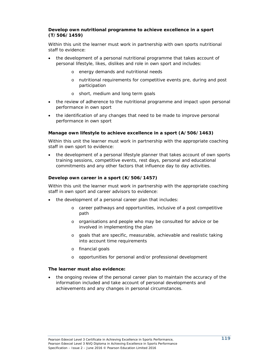# **Develop own nutritional programme to achieve excellence in a sport (T/506/1459)**

Within this unit the learner must work in partnership with own sports nutritional staff to evidence:

- the development of a personal nutritional programme that takes account of personal lifestyle, likes, dislikes and role in own sport and includes:
	- o energy demands and nutritional needs
	- o nutritional requirements for competitive events pre, during and post participation
	- o short, medium and long term goals
- the review of adherence to the nutritional programme and impact upon personal performance in own sport
- the identification of any changes that need to be made to improve personal performance in own sport

### **Manage own lifestyle to achieve excellence in a sport (A/506/1463)**

Within this unit the learner must work in partnership with the appropriate coaching staff in own sport to evidence:

 the development of a personal lifestyle planner that takes account of own sports training sessions, competitive events, rest days, personal and educational commitments and any other factors that influence day to day activities.

# **Develop own career in a sport (K/506/1457)**

Within this unit the learner must work in partnership with the appropriate coaching staff in own sport and career advisors to evidence:

- the development of a personal career plan that includes:
	- o career pathways and opportunities, inclusive of a post competitive path
	- o organisations and people who may be consulted for advice or be involved in implementing the plan
	- o goals that are specific, measurable, achievable and realistic taking into account time requirements
	- o financial goals
	- o opportunities for personal and/or professional development

#### **The learner must also evidence:**

 the ongoing review of the personal career plan to maintain the accuracy of the information included and take account of personal developments and achievements and any changes in personal circumstances.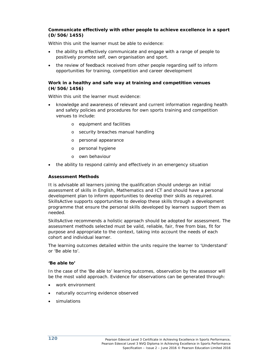#### **Communicate effectively with other people to achieve excellence in a sport (D/506/1455)**

Within this unit the learner must be able to evidence:

- the ability to effectively communicate and engage with a range of people to positively promote self, own organisation and sport.
- the review of feedback received from other people regarding self to inform opportunities for training, competition and career development

#### **Work in a healthy and safe way at training and competition venues (H/506/1456)**

Within this unit the learner must evidence:

- knowledge and awareness of relevant and current information regarding health and safety policies and procedures for own sports training and competition venues to include:
	- o equipment and facilities
	- o security breaches manual handling
	- o personal appearance
	- o personal hygiene
	- o own behaviour
- the ability to respond calmly and effectively in an emergency situation

#### **Assessment Methods**

It is advisable all learners joining the qualification should undergo an initial assessment of skills in English, Mathematics and ICT and should have a personal development plan to inform opportunities to develop their skills as required. SkillsActive supports opportunities to develop these skills through a development programme that ensure the personal skills developed by learners support them as needed.

SkillsActive recommends a holistic approach should be adopted for assessment. The assessment methods selected must be valid, reliable, fair, free from bias, fit for purpose and appropriate to the context, taking into account the needs of each cohort and individual learner.

The learning outcomes detailed within the units require the learner to 'Understand' or 'Be able to'.

#### **'Be able to'**

In the case of the 'Be able to' learning outcomes, observation by the assessor will be the most valid approach. Evidence for observations can be generated through:

- work environment
- naturally occurring evidence observed
- simulations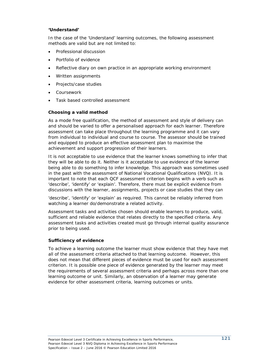#### **'Understand'**

In the case of the 'Understand' learning outcomes, the following assessment methods are valid but are not limited to:

- Professional discussion
- Portfolio of evidence
- Reflective diary on own practice in an appropriate working environment
- Written assignments
- Projects/case studies
- Coursework
- Task based controlled assessment

### **Choosing a valid method**

As a mode free qualification, the method of assessment and style of delivery can and should be varied to offer a personalised approach for each learner. Therefore assessment can take place throughout the learning programme and it can vary from individual to individual and course to course. The assessor should be trained and equipped to produce an effective assessment plan to maximise the achievement and support progression of their learners.

It is not acceptable to use evidence that the learner knows something to infer that they will be able to do it. Neither is it acceptable to use evidence of the learner being able to do something to infer knowledge. This approach was sometimes used in the past with the assessment of National Vocational Qualifications (NVQ). It is important to note that each QCF assessment criterion begins with a verb such as 'describe', 'identify' or 'explain'. Therefore, there must be explicit evidence from discussions with the learner, assignments, projects or case studies that they can

'describe', 'identify' or 'explain' as required. This cannot be reliably inferred from watching a learner do/demonstrate a related activity.

Assessment tasks and activities chosen should enable learners to produce, valid, sufficient and reliable evidence that relates directly to the specified criteria. Any assessment tasks and activities created must go through internal quality assurance prior to being used.

#### **Sufficiency of evidence**

To achieve a learning outcome the learner must show evidence that they have met all of the assessment criteria attached to that learning outcome. However, this does not mean that different pieces of evidence must be used for each assessment criterion. It is possible one piece of evidence generated by the learner may meet the requirements of several assessment criteria and perhaps across more than one learning outcome or unit. Similarly, an observation of a learner may generate evidence for other assessment criteria, learning outcomes or units.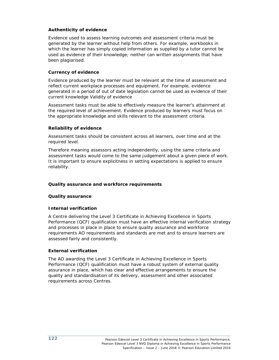# **Authenticity of evidence**

Evidence used to assess learning outcomes and assessment criteria must be generated by the learner without help from others. For example, workbooks in which the learner has simply copied information as supplied by a tutor cannot be used as evidence of their knowledge; neither can written assignments that have been plagiarised.

# **Currency of evidence**

Evidence produced by the learner must be relevant at the time of assessment and reflect current workplace processes and equipment. For example, evidence generated in a period of out of date legislation cannot be used as evidence of their current knowledge Validity of evidence

Assessment tasks must be able to effectively measure the learner's attainment at the required level of achievement. Evidence produced by learners must focus on the appropriate knowledge and skills relevant to the assessment criteria.

# **Reliability of evidence**

Assessment tasks should be consistent across all learners, over time and at the required level.

Therefore meaning assessors acting independently, using the same criteria and assessment tasks would come to the same judgement about a given piece of work. It is important to ensure explicitness in setting expectations is applied to ensure reliability.

# **Quality assurance and workforce requirements**

# **Quality assurance**

# **Internal verification**

A Centre delivering the Level 3 Certificate in Achieving Excellence in Sports Performance (QCF) qualification must have an effective internal verification strategy and processes in place in place to ensure quality assurance and workforce requirements AO requirements and standards are met and to ensure learners are assessed fairly and consistently.

# **External verification**

The AO awarding the Level 3 Certificate in Achieving Excellence in Sports Performance (QCF) qualification must have a robust system of external quality assurance in place, which has clear and effective arrangements to ensure the quality and standardisation of its delivery, assessment and other associated requirements across Centres.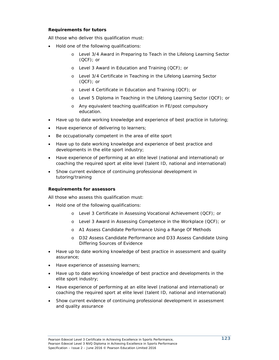# **Requirements for tutors**

All those who deliver this qualification must:

- Hold one of the following qualifications:
	- o Level 3/4 Award in Preparing to Teach in the Lifelong Learning Sector (QCF); or
	- o Level 3 Award in Education and Training (QCF); or
	- o Level 3/4 Certificate in Teaching in the Lifelong Learning Sector (QCF); or
	- o Level 4 Certificate in Education and Training (QCF); or
	- o Level 5 Diploma in Teaching in the Lifelong Learning Sector (QCF); or
	- o Any equivalent teaching qualification in FE/post compulsory education.
- Have up to date working knowledge and experience of best practice in tutoring;
- Have experience of delivering to learners;
- Be occupationally competent in the area of elite sport
- Have up to date working knowledge and experience of best practice and developments in the elite sport industry;
- Have experience of performing at an elite level (national and international) or coaching the required sport at elite level (talent ID, national and international)
- Show current evidence of continuing professional development in tutoring/training

#### **Requirements for assessors**

All those who assess this qualification must:

- Hold one of the following qualifications:
	- o Level 3 Certificate in Assessing Vocational Achievement (QCF); or
	- o Level 3 Award in Assessing Competence in the Workplace (QCF); or
	- o A1 Assess Candidate Performance Using a Range Of Methods
	- o D32 Assess Candidate Performance and D33 Assess Candidate Using Differing Sources of Evidence
- Have up to date working knowledge of best practice in assessment and quality assurance;
- Have experience of assessing learners;
- Have up to date working knowledge of best practice and developments in the elite sport industry;
- Have experience of performing at an elite level (national and international) or coaching the required sport at elite level (talent ID, national and international)
- Show current evidence of continuing professional development in assessment and quality assurance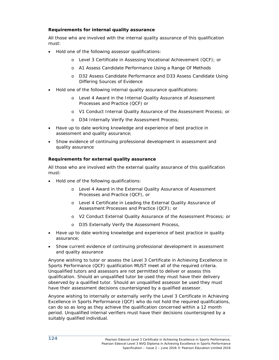# **Requirements for internal quality assurance**

All those who are involved with the internal quality assurance of this qualification must:

- Hold one of the following assessor qualifications:
	- o Level 3 Certificate in Assessing Vocational Achievement (QCF); or
	- o A1 Assess Candidate Performance Using a Range Of Methods
	- o D32 Assess Candidate Performance and D33 Assess Candidate Using Differing Sources of Evidence
- Hold one of the following internal quality assurance qualifications:
	- o Level 4 Award in the Internal Quality Assurance of Assessment Processes and Practice (QCF) or
	- o V1 Conduct Internal Quality Assurance of the Assessment Process; or
	- o D34 Internally Verify the Assessment Process;
- Have up to date working knowledge and experience of best practice in assessment and quality assurance;
- Show evidence of continuing professional development in assessment and quality assurance

# **Requirements for external quality assurance**

All those who are involved with the external quality assurance of this qualification must:

- Hold one of the following qualifications:
	- o Level 4 Award in the External Quality Assurance of Assessment Processes and Practice (QCF), or
	- o Level 4 Certificate in Leading the External Quality Assurance of Assessment Processes and Practice (QCF); or
	- o V2 Conduct External Quality Assurance of the Assessment Process; or
	- o D35 Externally Verify the Assessment Process,
- Have up to date working knowledge and experience of best practice in quality assurance;
- Show current evidence of continuing professional development in assessment and quality assurance

Anyone wishing to tutor or assess the Level 3 Certificate in Achieving Excellence in Sports Performance (QCF) qualification MUST meet all of the required criteria. Unqualified tutors and assessors are not permitted to deliver or assess this qualification. Should an unqualified tutor be used they must have their delivery observed by a qualified tutor. Should an unqualified assessor be used they must have their assessment decisions countersigned by a qualified assessor.

Anyone wishing to internally or externally verify the Level 3 Certificate in Achieving Excellence in Sports Performance (QCF) who do not hold the required qualifications, can do so as long as they achieve the qualification concerned within a 12 month period. Unqualified internal verifiers must have their decisions countersigned by a suitably qualified individual.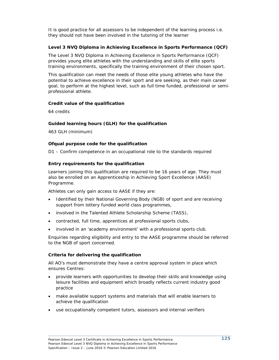It is good practice for all assessors to be independent of the learning process i.e. they should not have been involved in the tutoring of the learner

# **Level 3 NVQ Diploma in Achieving Excellence in Sports Performance (QCF)**

The Level 3 NVQ Diploma in Achieving Excellence in Sports Performance (QCF) provides young elite athletes with the understanding and skills of elite sports training environments, specifically the training environment of their chosen sport.

This qualification can meet the needs of those elite young athletes who have the potential to achieve excellence in their sport and are seeking, as their main career goal, to perform at the highest level, such as full time funded, professional or semiprofessional athlete.

### **Credit value of the qualification**

64 credits

# **Guided learning hours (GLH) for the qualification**

463 GLH (minimum)

# **Ofqual purpose code for the qualification**

D1 – Confirm competence in an occupational role to the standards required

### **Entry requirements for the qualification**

Learners joining this qualification are required to be 16 years of age. They must also be enrolled on an Apprenticeship in Achieving Sport Excellence (AASE) Programme.

Athletes can only gain access to AASE if they are:

- Identified by their National Governing Body (NGB) of sport and are receiving support from lottery funded world class programmes,
- involved in the Talented Athlete Scholarship Scheme (TASS),
- contracted, full time, apprentices at professional sports clubs,
- involved in an 'academy environment' with a professional sports club.

Enquiries regarding eligibility and entry to the AASE programme should be referred to the NGB of sport concerned.

#### **Criteria for delivering the qualification**

All AO's must demonstrate they have a centre approval system in place which ensures Centres:

- provide learners with opportunities to develop their skills and knowledge using leisure facilities and equipment which broadly reflects current industry good practice
- make available support systems and materials that will enable learners to achieve the qualification
- use occupationally competent tutors, assessors and internal verifiers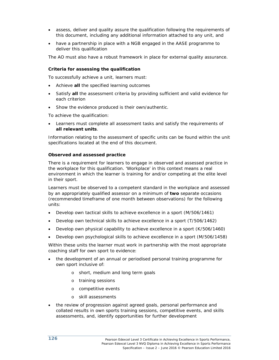- assess, deliver and quality assure the qualification following the requirements of this document, including any additional information attached to any unit, and
- have a partnership in place with a NGB engaged in the AASE programme to deliver this qualification

The AO must also have a robust framework in place for external quality assurance.

### **Criteria for assessing the qualification**

To successfully achieve a unit, learners must:

- Achieve **all** the specified learning outcomes
- Satisfy **all** the assessment criteria by providing sufficient and valid evidence for each criterion
- Show the evidence produced is their own/authentic.

To achieve the qualification:

 Learners must complete all assessment tasks and satisfy the requirements of **all relevant units**.

Information relating to the assessment of specific units can be found within the unit specifications located at the end of this document.

### **Observed and assessed practice**

There is a requirement for learners to engage in observed and assessed practice in the workplace for this qualification. 'Workplace' in this context means a real environment in which the learner is training for and/or competing at the elite level in their sport.

Learners must be observed to a competent standard in the workplace and assessed by an appropriately qualified assessor on a minimum of **two** separate occasions (recommended timeframe of one month between observations) for the following units:

- Develop own tactical skills to achieve excellence in a sport (M/506/1461)
- Develop own technical skills to achieve excellence in a sport (T/506/1462)
- Develop own physical capability to achieve excellence in a sport (K/506/1460)
- Develop own psychological skills to achieve excellence in a sport (M/506/1458)

Within these units the learner must work in partnership with the most appropriate coaching staff for own sport to evidence:

- the development of an annual or periodised personal training programme for own sport inclusive of:
	- o short, medium and long term goals
	- o training sessions
	- o competitive events
	- o skill assessments
- the review of progression against agreed goals, personal performance and collated results in own sports training sessions, competitive events, and skills assessments, and, identify opportunities for further development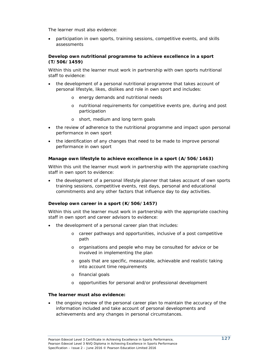The learner must also evidence:

 participation in own sports, training sessions, competitive events, and skills assessments

# **Develop own nutritional programme to achieve excellence in a sport (T/506/1459)**

Within this unit the learner must work in partnership with own sports nutritional staff to evidence:

- the development of a personal nutritional programme that takes account of personal lifestyle, likes, dislikes and role in own sport and includes:
	- o energy demands and nutritional needs
	- o nutritional requirements for competitive events pre, during and post participation
	- o short, medium and long term goals
- the review of adherence to the nutritional programme and impact upon personal performance in own sport
- the identification of any changes that need to be made to improve personal performance in own sport

# **Manage own lifestyle to achieve excellence in a sport (A/506/1463)**

Within this unit the learner must work in partnership with the appropriate coaching staff in own sport to evidence:

 the development of a personal lifestyle planner that takes account of own sports training sessions, competitive events, rest days, personal and educational commitments and any other factors that influence day to day activities.

# **Develop own career in a sport (K/506/1457)**

Within this unit the learner must work in partnership with the appropriate coaching staff in own sport and career advisors to evidence:

- the development of a personal career plan that includes:
	- o career pathways and opportunities, inclusive of a post competitive path
	- o organisations and people who may be consulted for advice or be involved in implementing the plan
	- o goals that are specific, measurable, achievable and realistic taking into account time requirements
	- o financial goals
	- o opportunities for personal and/or professional development

#### **The learner must also evidence:**

 the ongoing review of the personal career plan to maintain the accuracy of the information included and take account of personal developments and achievements and any changes in personal circumstances.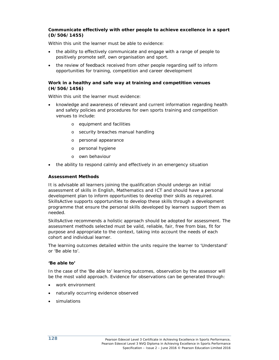#### **Communicate effectively with other people to achieve excellence in a sport (D/506/1455)**

Within this unit the learner must be able to evidence:

- the ability to effectively communicate and engage with a range of people to positively promote self, own organisation and sport.
- the review of feedback received from other people regarding self to inform opportunities for training, competition and career development

#### **Work in a healthy and safe way at training and competition venues (H/506/1456)**

Within this unit the learner must evidence:

- knowledge and awareness of relevant and current information regarding health and safety policies and procedures for own sports training and competition venues to include:
	- o equipment and facilities
	- o security breaches manual handling
	- o personal appearance
	- o personal hygiene
	- o own behaviour
- the ability to respond calmly and effectively in an emergency situation

#### **Assessment Methods**

It is advisable all learners joining the qualification should undergo an initial assessment of skills in English, Mathematics and ICT and should have a personal development plan to inform opportunities to develop their skills as required. SkillsActive supports opportunities to develop these skills through a development programme that ensure the personal skills developed by learners support them as needed.

SkillsActive recommends a holistic approach should be adopted for assessment. The assessment methods selected must be valid, reliable, fair, free from bias, fit for purpose and appropriate to the context, taking into account the needs of each cohort and individual learner.

The learning outcomes detailed within the units require the learner to 'Understand' or 'Be able to'.

#### **'Be able to'**

In the case of the 'Be able to' learning outcomes, observation by the assessor will be the most valid approach. Evidence for observations can be generated through:

- work environment
- naturally occurring evidence observed
- simulations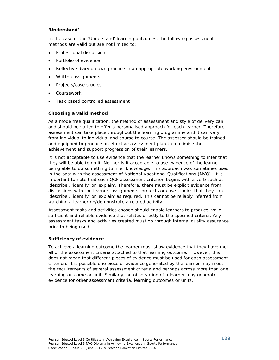## **'Understand'**

In the case of the 'Understand' learning outcomes, the following assessment methods are valid but are not limited to:

- Professional discussion
- Portfolio of evidence
- Reflective diary on own practice in an appropriate working environment
- Written assignments
- Projects/case studies
- Coursework
- Task based controlled assessment

### **Choosing a valid method**

As a mode free qualification, the method of assessment and style of delivery can and should be varied to offer a personalised approach for each learner. Therefore assessment can take place throughout the learning programme and it can vary from individual to individual and course to course. The assessor should be trained and equipped to produce an effective assessment plan to maximise the achievement and support progression of their learners.

It is not acceptable to use evidence that the learner knows something to infer that they will be able to do it. Neither is it acceptable to use evidence of the learner being able to do something to infer knowledge. This approach was sometimes used in the past with the assessment of National Vocational Qualifications (NVQ). It is important to note that each QCF assessment criterion begins with a verb such as 'describe', 'identify' or 'explain'. Therefore, there must be explicit evidence from discussions with the learner, assignments, projects or case studies that they can 'describe', 'identify' or 'explain' as required. This cannot be reliably inferred from watching a learner do/demonstrate a related activity.

Assessment tasks and activities chosen should enable learners to produce, valid, sufficient and reliable evidence that relates directly to the specified criteria. Any assessment tasks and activities created must go through internal quality assurance prior to being used.

#### **Sufficiency of evidence**

To achieve a learning outcome the learner must show evidence that they have met all of the assessment criteria attached to that learning outcome. However, this does not mean that different pieces of evidence must be used for each assessment criterion. It is possible one piece of evidence generated by the learner may meet the requirements of several assessment criteria and perhaps across more than one learning outcome or unit. Similarly, an observation of a learner may generate evidence for other assessment criteria, learning outcomes or units.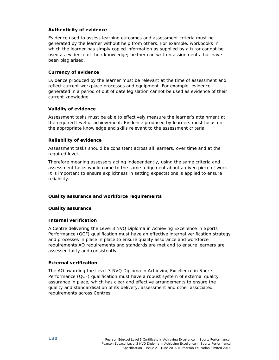# **Authenticity of evidence**

Evidence used to assess learning outcomes and assessment criteria must be generated by the learner without help from others. For example, workbooks in which the learner has simply copied information as supplied by a tutor cannot be used as evidence of their knowledge; neither can written assignments that have been plagiarised.

# **Currency of evidence**

Evidence produced by the learner must be relevant at the time of assessment and reflect current workplace processes and equipment. For example, evidence generated in a period of out of date legislation cannot be used as evidence of their current knowledge.

### **Validity of evidence**

Assessment tasks must be able to effectively measure the learner's attainment at the required level of achievement. Evidence produced by learners must focus on the appropriate knowledge and skills relevant to the assessment criteria.

### **Reliability of evidence**

Assessment tasks should be consistent across all learners, over time and at the required level.

Therefore meaning assessors acting independently, using the same criteria and assessment tasks would come to the same judgement about a given piece of work. It is important to ensure explicitness in setting expectations is applied to ensure reliability.

# **Quality assurance and workforce requirements**

#### **Quality assurance**

#### **Internal verification**

A Centre delivering the Level 3 NVQ Diploma in Achieving Excellence in Sports Performance (QCF) qualification must have an effective internal verification strategy and processes in place in place to ensure quality assurance and workforce requirements AO requirements and standards are met and to ensure learners are assessed fairly and consistently.

# **External verification**

The AO awarding the Level 3 NVQ Diploma in Achieving Excellence in Sports Performance (QCF) qualification must have a robust system of external quality assurance in place, which has clear and effective arrangements to ensure the quality and standardisation of its delivery, assessment and other associated requirements across Centres.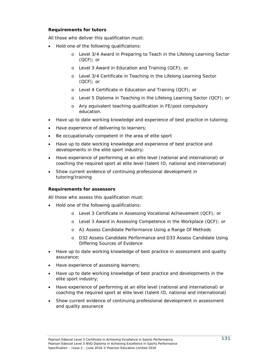# **Requirements for tutors**

All those who deliver this qualification must:

- Hold one of the following qualifications:
	- o Level 3/4 Award in Preparing to Teach in the Lifelong Learning Sector (QCF); or
	- o Level 3 Award in Education and Training (QCF); or
	- o Level 3/4 Certificate in Teaching in the Lifelong Learning Sector (QCF); or
	- o Level 4 Certificate in Education and Training (QCF); or
	- o Level 5 Diploma in Teaching in the Lifelong Learning Sector (QCF); or
	- o Any equivalent teaching qualification in FE/post compulsory education.
- Have up to date working knowledge and experience of best practice in tutoring;
- Have experience of delivering to learners;
- Be occupationally competent in the area of elite sport
- Have up to date working knowledge and experience of best practice and developments in the elite sport industry;
- Have experience of performing at an elite level (national and international) or coaching the required sport at elite level (talent ID, national and international)
- Show current evidence of continuing professional development in tutoring/training

#### **Requirements for assessors**

All those who assess this qualification must:

- Hold one of the following qualifications:
	- o Level 3 Certificate in Assessing Vocational Achievement (QCF); or
	- o Level 3 Award in Assessing Competence in the Workplace (QCF); or
	- o A1 Assess Candidate Performance Using a Range Of Methods
	- o D32 Assess Candidate Performance and D33 Assess Candidate Using Differing Sources of Evidence
- Have up to date working knowledge of best practice in assessment and quality assurance;
- Have experience of assessing learners;
- Have up to date working knowledge of best practice and developments in the elite sport industry;
- Have experience of performing at an elite level (national and international) or coaching the required sport at elite level (talent ID, national and international)
- Show current evidence of continuing professional development in assessment and quality assurance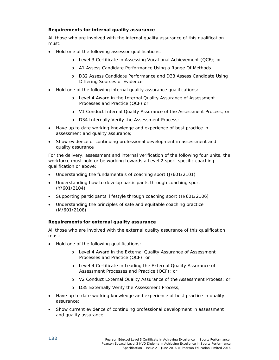# **Requirements for internal quality assurance**

All those who are involved with the internal quality assurance of this qualification must:

- Hold one of the following assessor qualifications:
	- o Level 3 Certificate in Assessing Vocational Achievement (QCF); or
	- o A1 Assess Candidate Performance Using a Range Of Methods
	- o D32 Assess Candidate Performance and D33 Assess Candidate Using Differing Sources of Evidence
- Hold one of the following internal quality assurance qualifications:
	- o Level 4 Award in the Internal Quality Assurance of Assessment Processes and Practice (QCF) or
	- o V1 Conduct Internal Quality Assurance of the Assessment Process; or
	- o D34 Internally Verify the Assessment Process;
- Have up to date working knowledge and experience of best practice in assessment and quality assurance;
- Show evidence of continuing professional development in assessment and quality assurance

For the delivery, assessment and internal verification of the following four units, the workforce must hold or be working towards a Level 2 sport-specific coaching qualification or above:

- Understanding the fundamentals of coaching sport (J/601/2101)
- Understanding how to develop participants through coaching sport (Y/601/2104)
- Supporting participants' lifestyle through coaching sport (H/601/2106)
- Understanding the principles of safe and equitable coaching practice (M/601/2108)

# **Requirements for external quality assurance**

All those who are involved with the external quality assurance of this qualification must:

- Hold one of the following qualifications:
	- o Level 4 Award in the External Quality Assurance of Assessment Processes and Practice (QCF), or
	- o Level 4 Certificate in Leading the External Quality Assurance of Assessment Processes and Practice (QCF); or
	- o V2 Conduct External Quality Assurance of the Assessment Process; or
	- o D35 Externally Verify the Assessment Process,
- Have up to date working knowledge and experience of best practice in quality assurance;
- Show current evidence of continuing professional development in assessment and quality assurance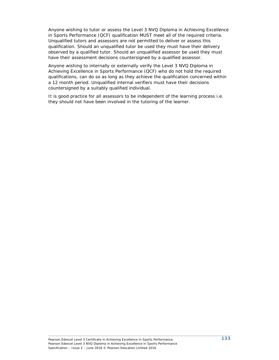Anyone wishing to tutor or assess the Level 3 NVQ Diploma in Achieving Excellence in Sports Performance (QCF) qualification MUST meet all of the required criteria. Unqualified tutors and assessors are not permitted to deliver or assess this qualification. Should an unqualified tutor be used they must have their delivery observed by a qualified tutor. Should an unqualified assessor be used they must have their assessment decisions countersigned by a qualified assessor.

Anyone wishing to internally or externally verify the Level 3 NVQ Diploma in Achieving Excellence in Sports Performance (QCF) who do not hold the required qualifications, can do so as long as they achieve the qualification concerned within a 12 month period. Unqualified internal verifiers must have their decisions countersigned by a suitably qualified individual.

It is good practice for all assessors to be independent of the learning process i.e. they should not have been involved in the tutoring of the learner.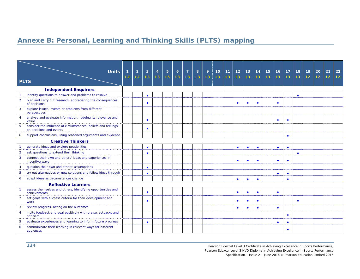# **Annexe B: Personal, Learning and Thinking Skills (PLTS) mapping**

|                              | <b>Units</b>                                                                             | 1              | $\overline{2}$ | 3         | $\overline{4}$ | $\overline{5}$ | $\overline{6}$ | $\overline{7}$ | 8              | 9  | 10 | 11             | $12$      | 13        | 14        | 15             | 16        | 17        | 18        | 19             | 20             | 21             | 22 |
|------------------------------|------------------------------------------------------------------------------------------|----------------|----------------|-----------|----------------|----------------|----------------|----------------|----------------|----|----|----------------|-----------|-----------|-----------|----------------|-----------|-----------|-----------|----------------|----------------|----------------|----|
|                              | <b>PLTS</b>                                                                              | L <sub>2</sub> | L2             | L3        | L3             | L <sub>5</sub> | L3             | L3             | L <sub>3</sub> | L3 | L3 | L <sub>3</sub> | L3        | L3        | L3        | L <sub>3</sub> | L3        | L3        | L3        | L <sub>2</sub> | L <sub>2</sub> | L <sub>2</sub> | L2 |
| <b>Independent Enquirers</b> |                                                                                          |                |                |           |                |                |                |                |                |    |    |                |           |           |           |                |           |           |           |                |                |                |    |
|                              | identify questions to answer and problems to resolve                                     |                |                | $\bullet$ |                |                |                |                |                |    |    |                |           |           |           |                |           |           | $\bullet$ |                |                |                |    |
| $\overline{2}$               | plan and carry out research, appreciating the consequences<br>of decisions               |                |                |           |                |                |                |                |                |    |    |                | $\bullet$ | ×         | $\bullet$ |                | ٠         |           |           |                |                |                |    |
| 3                            | explore issues, events or problems from different<br>perspectives                        |                |                |           |                |                |                |                |                |    |    |                |           |           |           |                |           |           |           |                |                |                |    |
| $\overline{4}$               | analyse and evaluate information, judging its relevance and<br>value                     |                |                |           |                |                |                |                |                |    |    |                |           |           |           |                |           | $\bullet$ |           |                |                |                |    |
| 5                            | consider the influence of circumstances, beliefs and feelings<br>on decisions and events |                |                |           |                |                |                |                |                |    |    |                |           |           |           |                |           |           |           |                |                |                |    |
| 6                            | support conclusions, using reasoned arguments and evidence                               |                |                |           |                |                |                |                |                |    |    |                |           |           |           |                |           | $\bullet$ |           |                |                |                |    |
| <b>Creative Thinkers</b>     |                                                                                          |                |                |           |                |                |                |                |                |    |    |                |           |           |           |                |           |           |           |                |                |                |    |
|                              | generate ideas and explore possibilities                                                 |                |                | $\bullet$ |                |                |                |                |                |    |    |                | $\bullet$ | $\bullet$ | $\bullet$ |                | $\bullet$ | $\bullet$ |           |                |                |                |    |
|                              | ask questions to extend their thinking                                                   |                |                | $\bullet$ |                |                |                |                |                |    |    |                |           |           |           |                |           |           | $\bullet$ |                |                |                |    |
|                              | connect their own and others' ideas and experiences in<br>inventive ways                 |                |                |           |                |                |                |                |                |    |    |                | $\bullet$ | ٠         | $\bullet$ |                | ٠         | $\bullet$ |           |                |                |                |    |
| 4                            | question their own and others' assumptions                                               |                |                | $\bullet$ |                |                |                |                |                |    |    |                |           |           |           |                |           |           |           |                |                |                |    |
| 5                            | try out alternatives or new solutions and follow ideas through                           |                |                |           |                |                |                |                |                |    |    |                |           |           |           |                | $\bullet$ | ٠         |           |                |                |                |    |
| 6                            | adapt ideas as circumstances change                                                      |                |                |           |                |                |                |                |                |    |    |                | $\bullet$ |           |           |                |           | $\bullet$ |           |                |                |                |    |
|                              | <b>Reflective Learners</b>                                                               |                |                |           |                |                |                |                |                |    |    |                |           |           |           |                |           |           |           |                |                |                |    |
|                              | assess themselves and others, identifying opportunities and<br>achievements              |                |                |           |                |                |                |                |                |    |    |                | $\bullet$ | $\bullet$ | $\bullet$ |                | $\bullet$ |           |           |                |                |                |    |
| $\overline{2}$               | set goals with success criteria for their development and<br>work                        |                |                |           |                |                |                |                |                |    |    |                | $\bullet$ | $\bullet$ | $\bullet$ |                |           |           | $\bullet$ |                |                |                |    |
| 3                            | review progress, acting on the outcomes                                                  |                |                |           |                |                |                |                |                |    |    |                | $\bullet$ |           |           |                | $\bullet$ |           |           |                |                |                |    |
| $\overline{A}$               | invite feedback and deal positively with praise, setbacks and<br>criticism               |                |                |           |                |                |                |                |                |    |    |                |           |           |           |                |           | $\bullet$ |           |                |                |                |    |
|                              | evaluate experiences and learning to inform future progress                              |                |                |           |                |                |                |                |                |    |    |                |           |           |           |                | ٠         | $\bullet$ |           |                |                |                |    |
| 6                            | communicate their learning in relevant ways for different<br>audiences                   |                |                |           |                |                |                |                |                |    |    |                |           |           |           |                |           | $\bullet$ |           |                |                |                |    |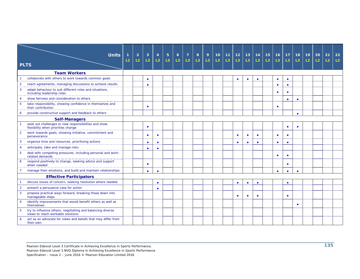|                | <b>Units</b>                                                                                    | 1  | $\overline{2}$ | 3         | $\overline{4}$ | $5\phantom{.}$ | $\mathbf{6}$ | $\overline{7}$ | 8              | 9  | 10 <sup>°</sup> | 11             | 12             | 13        | 14        | 15             | 16        | 17        | 18             | 19 | 20             | 21             | 22             |
|----------------|-------------------------------------------------------------------------------------------------|----|----------------|-----------|----------------|----------------|--------------|----------------|----------------|----|-----------------|----------------|----------------|-----------|-----------|----------------|-----------|-----------|----------------|----|----------------|----------------|----------------|
|                |                                                                                                 | L2 | L2             | L3        | L3             | L <sub>5</sub> | L3           | L <sub>3</sub> | L <sub>3</sub> | L3 | L3              | L <sub>3</sub> | L <sub>3</sub> | L3        | L3        | L <sub>3</sub> | L3        | L3        | L <sub>3</sub> | L2 | L <sub>2</sub> | L <sub>2</sub> | L <sub>2</sub> |
|                | <b>PLTS</b>                                                                                     |    |                |           |                |                |              |                |                |    |                 |                |                |           |           |                |           |           |                |    |                |                |                |
|                | <b>Team Workers</b>                                                                             |    |                |           |                |                |              |                |                |    |                 |                |                |           |           |                |           |           |                |    |                |                |                |
|                | collaborate with others to work towards common goals                                            |    |                | $\bullet$ |                |                |              |                |                |    |                 |                | $\bullet$      | $\bullet$ | $\bullet$ |                | $\bullet$ | $\bullet$ |                |    |                |                |                |
| $\overline{2}$ | reach agreements, managing discussions to achieve results                                       |    |                | $\bullet$ |                |                |              |                |                |    |                 |                |                |           |           |                | $\bullet$ | $\bullet$ |                |    |                |                |                |
| 3              | adapt behaviour to suit different roles and situations,<br>including leadership roles           |    |                |           |                |                |              |                |                |    |                 |                |                |           |           |                |           | $\bullet$ |                |    |                |                |                |
| 4              | show fairness and consideration to others                                                       |    |                |           |                |                |              |                |                |    |                 |                |                |           |           |                |           | $\bullet$ | $\bullet$      |    |                |                |                |
| 5              | take responsibility, showing confidence in themselves and<br>their contribution                 |    |                | $\bullet$ |                |                |              |                |                |    |                 |                |                |           |           |                |           |           |                |    |                |                |                |
| 6              | provide constructive support and feedback to others                                             |    |                |           |                |                |              |                |                |    |                 |                |                |           |           |                |           |           | $\bullet$      |    |                |                |                |
|                | <b>Self-Managers</b>                                                                            |    |                |           |                |                |              |                |                |    |                 |                |                |           |           |                |           |           |                |    |                |                |                |
|                | seek out challenges or new responsibilities and show<br>flexibility when priorities change      |    |                | $\bullet$ |                |                |              |                |                |    |                 |                |                |           |           |                |           | $\bullet$ | $\bullet$      |    |                |                |                |
| $\overline{2}$ | work towards goals, showing initiative, commitment and<br>perseverance                          |    |                | $\bullet$ | $\bullet$      |                |              |                |                |    |                 |                | $\bullet$      |           |           |                |           | $\bullet$ |                |    |                |                |                |
| 3              | organise time and resources, prioritising actions                                               |    |                | $\bullet$ | $\bullet$      |                |              |                |                |    |                 |                | $\bullet$      |           | $\bullet$ |                | $\bullet$ | $\bullet$ |                |    |                |                |                |
| $\overline{4}$ | anticipate, take and manage risks                                                               |    |                | $\bullet$ | $\bullet$      |                |              |                |                |    |                 |                |                |           |           |                |           |           |                |    |                |                |                |
| 5              | deal with competing pressures, including personal and work-<br>related demands                  |    |                |           |                |                |              |                |                |    |                 |                |                |           |           |                | ٠         | ٠         |                |    |                |                |                |
| 6              | respond positively to change, seeking advice and support<br>when needed                         |    |                | $\bullet$ |                |                |              |                |                |    |                 |                |                |           |           |                |           | $\bullet$ |                |    |                |                |                |
|                | manage their emotions, and build and maintain relationships                                     |    |                | $\bullet$ | $\bullet$      |                |              |                |                |    |                 |                |                |           |           |                | $\bullet$ | $\bullet$ | $\bullet$      |    |                |                |                |
|                | <b>Effective Participators</b>                                                                  |    |                |           |                |                |              |                |                |    |                 |                |                |           |           |                |           |           |                |    |                |                |                |
|                | discuss issues of concern, seeking resolution where needed                                      |    |                |           | $\bullet$      |                |              |                |                |    |                 |                | $\bullet$      | $\bullet$ | $\bullet$ |                |           | $\bullet$ |                |    |                |                |                |
| $\overline{2}$ | present a persuasive case for action                                                            |    |                |           | $\bullet$      |                |              |                |                |    |                 |                |                |           |           |                |           |           |                |    |                |                |                |
| $\mathbf{3}$   | propose practical ways forward, breaking these down into<br>manageable steps                    |    |                |           |                |                |              |                |                |    |                 |                | $\bullet$      |           |           |                |           | ٠         |                |    |                |                |                |
| $\overline{4}$ | identify improvements that would benefit others as well as<br>themselves                        |    |                |           |                |                |              |                |                |    |                 |                |                |           |           |                |           |           | $\bullet$      |    |                |                |                |
| 5 <sup>5</sup> | try to influence others, negotiating and balancing diverse<br>views to reach workable solutions |    |                |           |                |                |              |                |                |    |                 |                |                |           |           |                |           |           |                |    |                |                |                |
| 6              | act as an advocate for views and beliefs that may differ from<br>their own                      |    |                |           |                |                |              |                |                |    |                 |                |                |           |           |                |           |           |                |    |                |                |                |

Pearson Edexcel Level 3 Certificate in Achieving Excellence in Sports Performance,

Pearson Edexcel Level 3 NVQ Diploma in Achieving Excellence in Sports Performance

Specification – Issue 2 – June 2016 © Pearson Education Limited 2016